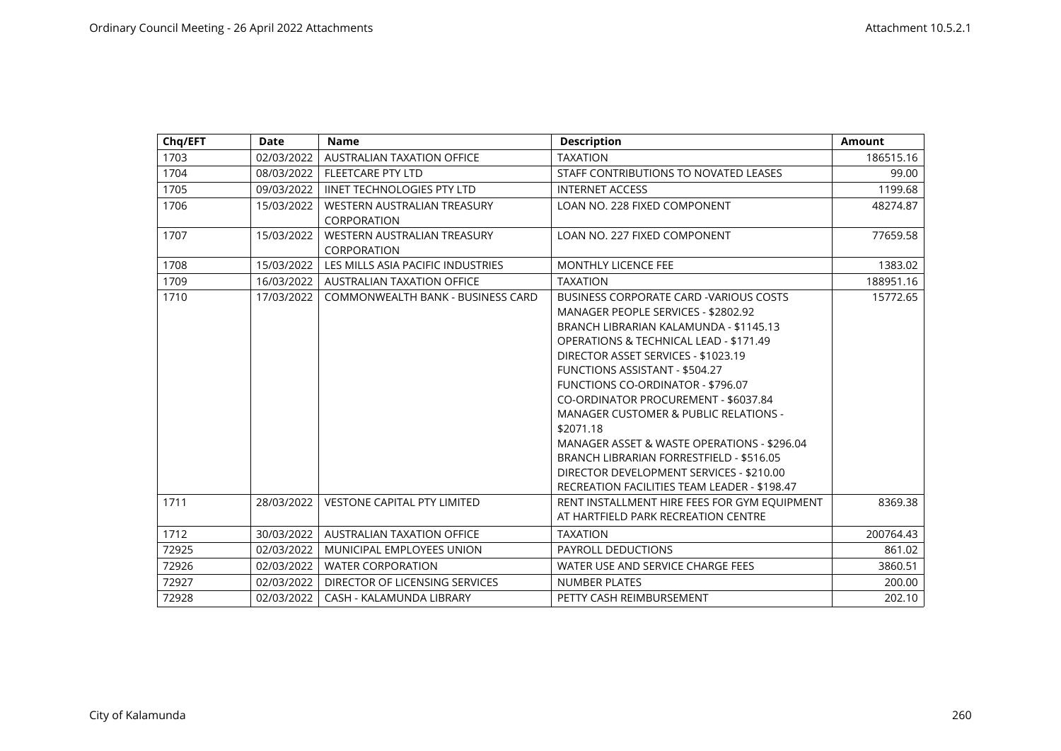| Chq/EFT | Date       | <b>Name</b>                        | <b>Description</b>                                | <b>Amount</b> |
|---------|------------|------------------------------------|---------------------------------------------------|---------------|
| 1703    | 02/03/2022 | AUSTRALIAN TAXATION OFFICE         | <b>TAXATION</b>                                   | 186515.16     |
| 1704    | 08/03/2022 | <b>FLEETCARE PTY LTD</b>           | STAFF CONTRIBUTIONS TO NOVATED LEASES             | 99.00         |
| 1705    | 09/03/2022 | <b>IINET TECHNOLOGIES PTY LTD</b>  | <b>INTERNET ACCESS</b>                            | 1199.68       |
| 1706    | 15/03/2022 | WESTERN AUSTRALIAN TREASURY        | LOAN NO. 228 FIXED COMPONENT                      | 48274.87      |
|         |            | <b>CORPORATION</b>                 |                                                   |               |
| 1707    | 15/03/2022 | <b>WESTERN AUSTRALIAN TREASURY</b> | LOAN NO. 227 FIXED COMPONENT                      | 77659.58      |
|         |            | CORPORATION                        |                                                   |               |
| 1708    | 15/03/2022 | LES MILLS ASIA PACIFIC INDUSTRIES  | <b>MONTHLY LICENCE FEE</b>                        | 1383.02       |
| 1709    | 16/03/2022 | <b>AUSTRALIAN TAXATION OFFICE</b>  | <b>TAXATION</b>                                   | 188951.16     |
| 1710    | 17/03/2022 | COMMONWEALTH BANK - BUSINESS CARD  | <b>BUSINESS CORPORATE CARD - VARIOUS COSTS</b>    | 15772.65      |
|         |            |                                    | MANAGER PEOPLE SERVICES - \$2802.92               |               |
|         |            |                                    | BRANCH LIBRARIAN KALAMUNDA - \$1145.13            |               |
|         |            |                                    | <b>OPERATIONS &amp; TECHNICAL LEAD - \$171.49</b> |               |
|         |            |                                    | DIRECTOR ASSET SERVICES - \$1023.19               |               |
|         |            |                                    | FUNCTIONS ASSISTANT - \$504.27                    |               |
|         |            |                                    | <b>FUNCTIONS CO-ORDINATOR - \$796.07</b>          |               |
|         |            |                                    | CO-ORDINATOR PROCUREMENT - \$6037.84              |               |
|         |            |                                    | <b>MANAGER CUSTOMER &amp; PUBLIC RELATIONS -</b>  |               |
|         |            |                                    | \$2071.18                                         |               |
|         |            |                                    | MANAGER ASSET & WASTE OPERATIONS - \$296.04       |               |
|         |            |                                    | BRANCH LIBRARIAN FORRESTFIELD - \$516.05          |               |
|         |            |                                    | DIRECTOR DEVELOPMENT SERVICES - \$210.00          |               |
|         |            |                                    | RECREATION FACILITIES TEAM LEADER - \$198.47      |               |
| 1711    | 28/03/2022 | <b>VESTONE CAPITAL PTY LIMITED</b> | RENT INSTALLMENT HIRE FEES FOR GYM EQUIPMENT      | 8369.38       |
|         |            |                                    | AT HARTFIELD PARK RECREATION CENTRE               |               |
| 1712    | 30/03/2022 | <b>AUSTRALIAN TAXATION OFFICE</b>  | <b>TAXATION</b>                                   | 200764.43     |
| 72925   | 02/03/2022 | MUNICIPAL EMPLOYEES UNION          | PAYROLL DEDUCTIONS                                | 861.02        |
| 72926   | 02/03/2022 | <b>WATER CORPORATION</b>           | WATER USE AND SERVICE CHARGE FEES                 | 3860.51       |
| 72927   | 02/03/2022 | DIRECTOR OF LICENSING SERVICES     | <b>NUMBER PLATES</b>                              | 200.00        |
| 72928   | 02/03/2022 | CASH - KALAMUNDA LIBRARY           | PETTY CASH REIMBURSEMENT                          | 202.10        |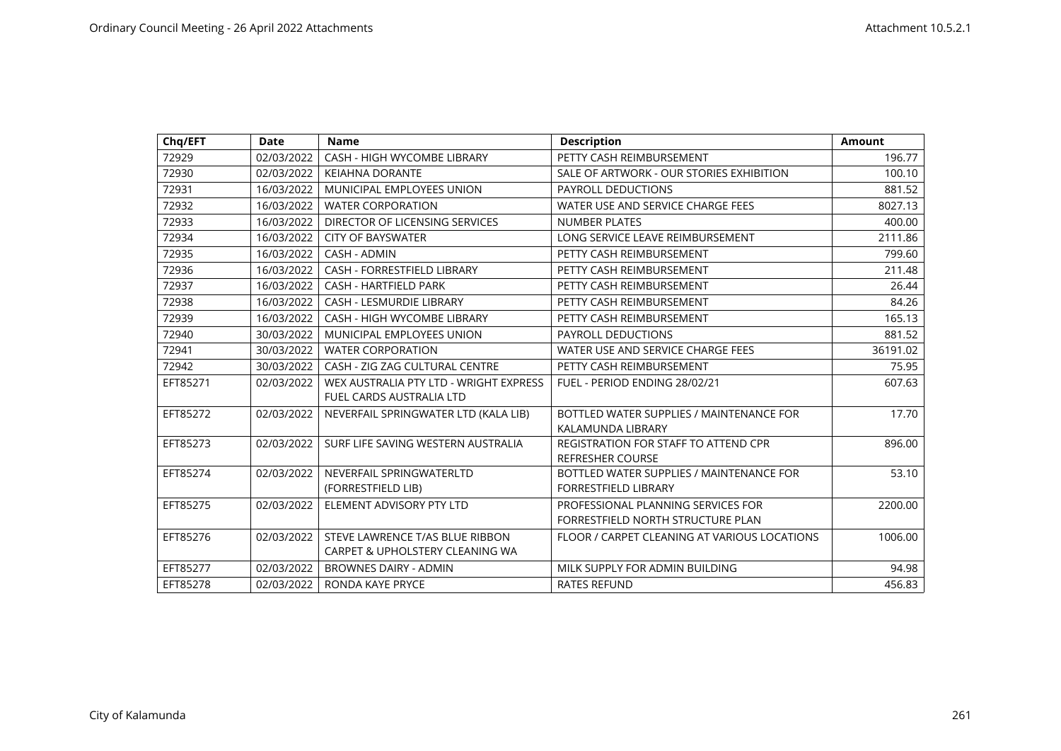| Chq/EFT  | <b>Date</b> | <b>Name</b>                                                        | <b>Description</b>                                                      | <b>Amount</b> |
|----------|-------------|--------------------------------------------------------------------|-------------------------------------------------------------------------|---------------|
| 72929    | 02/03/2022  | CASH - HIGH WYCOMBE LIBRARY                                        | PETTY CASH REIMBURSEMENT                                                | 196.77        |
| 72930    | 02/03/2022  | <b>KEIAHNA DORANTE</b>                                             | SALE OF ARTWORK - OUR STORIES EXHIBITION                                | 100.10        |
| 72931    | 16/03/2022  | MUNICIPAL EMPLOYEES UNION                                          | PAYROLL DEDUCTIONS                                                      | 881.52        |
| 72932    | 16/03/2022  | <b>WATER CORPORATION</b>                                           | WATER USE AND SERVICE CHARGE FEES                                       | 8027.13       |
| 72933    | 16/03/2022  | DIRECTOR OF LICENSING SERVICES                                     | <b>NUMBER PLATES</b>                                                    | 400.00        |
| 72934    | 16/03/2022  | <b>CITY OF BAYSWATER</b>                                           | LONG SERVICE LEAVE REIMBURSEMENT                                        | 2111.86       |
| 72935    | 16/03/2022  | CASH - ADMIN                                                       | PETTY CASH REIMBURSEMENT                                                | 799.60        |
| 72936    | 16/03/2022  | CASH - FORRESTFIELD LIBRARY                                        | PETTY CASH REIMBURSEMENT                                                | 211.48        |
| 72937    | 16/03/2022  | <b>CASH - HARTFIELD PARK</b>                                       | PETTY CASH REIMBURSEMENT                                                | 26.44         |
| 72938    | 16/03/2022  | <b>CASH - LESMURDIE LIBRARY</b>                                    | PETTY CASH REIMBURSEMENT                                                | 84.26         |
| 72939    | 16/03/2022  | <b>CASH - HIGH WYCOMBE LIBRARY</b>                                 | PETTY CASH REIMBURSEMENT                                                | 165.13        |
| 72940    | 30/03/2022  | MUNICIPAL EMPLOYEES UNION                                          | PAYROLL DEDUCTIONS                                                      | 881.52        |
| 72941    | 30/03/2022  | <b>WATER CORPORATION</b>                                           | WATER USE AND SERVICE CHARGE FEES                                       | 36191.02      |
| 72942    | 30/03/2022  | CASH - ZIG ZAG CULTURAL CENTRE                                     | PETTY CASH REIMBURSEMENT                                                | 75.95         |
| EFT85271 | 02/03/2022  | WEX AUSTRALIA PTY LTD - WRIGHT EXPRESS<br>FUEL CARDS AUSTRALIA LTD | FUEL - PERIOD ENDING 28/02/21                                           | 607.63        |
| EFT85272 | 02/03/2022  | NEVERFAIL SPRINGWATER LTD (KALA LIB)                               | BOTTLED WATER SUPPLIES / MAINTENANCE FOR<br>KALAMUNDA LIBRARY           | 17.70         |
| EFT85273 | 02/03/2022  | SURF LIFE SAVING WESTERN AUSTRALIA                                 | <b>REGISTRATION FOR STAFF TO ATTEND CPR</b><br><b>REFRESHER COURSE</b>  | 896.00        |
| EFT85274 | 02/03/2022  | NEVERFAIL SPRINGWATERLTD<br>(FORRESTFIELD LIB)                     | BOTTLED WATER SUPPLIES / MAINTENANCE FOR<br><b>FORRESTFIELD LIBRARY</b> | 53.10         |
| EFT85275 | 02/03/2022  | ELEMENT ADVISORY PTY LTD                                           | PROFESSIONAL PLANNING SERVICES FOR<br>FORRESTFIELD NORTH STRUCTURE PLAN | 2200.00       |
| EFT85276 | 02/03/2022  | STEVE LAWRENCE T/AS BLUE RIBBON<br>CARPET & UPHOLSTERY CLEANING WA | FLOOR / CARPET CLEANING AT VARIOUS LOCATIONS                            | 1006.00       |
| EFT85277 | 02/03/2022  | <b>BROWNES DAIRY - ADMIN</b>                                       | MILK SUPPLY FOR ADMIN BUILDING                                          | 94.98         |
| EFT85278 | 02/03/2022  | RONDA KAYE PRYCE                                                   | <b>RATES REFUND</b>                                                     | 456.83        |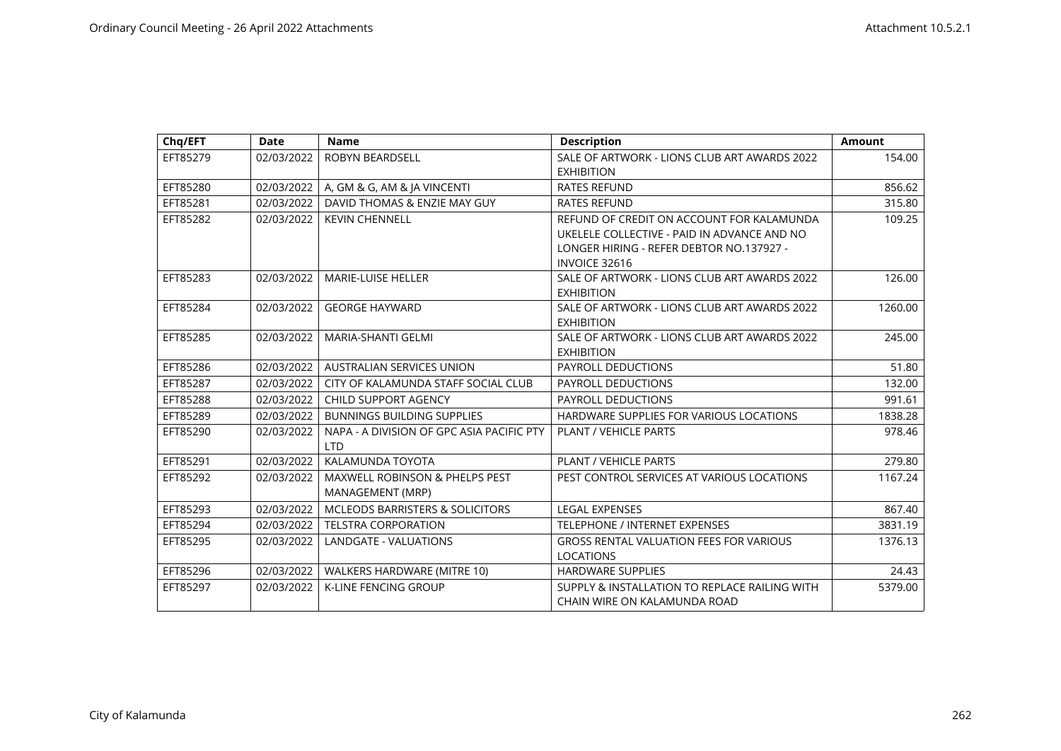| Chq/EFT  | <b>Date</b> | <b>Name</b>                               | <b>Description</b>                             | <b>Amount</b> |
|----------|-------------|-------------------------------------------|------------------------------------------------|---------------|
| EFT85279 | 02/03/2022  | ROBYN BEARDSELL                           | SALE OF ARTWORK - LIONS CLUB ART AWARDS 2022   | 154.00        |
|          |             |                                           | <b>EXHIBITION</b>                              |               |
| EFT85280 | 02/03/2022  | A, GM & G, AM & JA VINCENTI               | <b>RATES REFUND</b>                            | 856.62        |
| EFT85281 | 02/03/2022  | DAVID THOMAS & ENZIE MAY GUY              | <b>RATES REFUND</b>                            | 315.80        |
| EFT85282 | 02/03/2022  | <b>KEVIN CHENNELL</b>                     | REFUND OF CREDIT ON ACCOUNT FOR KALAMUNDA      | 109.25        |
|          |             |                                           | UKELELE COLLECTIVE - PAID IN ADVANCE AND NO    |               |
|          |             |                                           | LONGER HIRING - REFER DEBTOR NO.137927 -       |               |
|          |             |                                           | <b>INVOICE 32616</b>                           |               |
| EFT85283 | 02/03/2022  | <b>MARIE-LUISE HELLER</b>                 | SALE OF ARTWORK - LIONS CLUB ART AWARDS 2022   | 126.00        |
|          |             |                                           | <b>EXHIBITION</b>                              |               |
| EFT85284 | 02/03/2022  | <b>GEORGE HAYWARD</b>                     | SALE OF ARTWORK - LIONS CLUB ART AWARDS 2022   | 1260.00       |
|          |             |                                           | <b>EXHIBITION</b>                              |               |
| EFT85285 | 02/03/2022  | MARIA-SHANTI GELMI                        | SALE OF ARTWORK - LIONS CLUB ART AWARDS 2022   | 245.00        |
|          |             |                                           | <b>EXHIBITION</b>                              |               |
| EFT85286 | 02/03/2022  | <b>AUSTRALIAN SERVICES UNION</b>          | <b>PAYROLL DEDUCTIONS</b>                      | 51.80         |
| EFT85287 | 02/03/2022  | CITY OF KALAMUNDA STAFF SOCIAL CLUB       | <b>PAYROLL DEDUCTIONS</b>                      | 132.00        |
| EFT85288 | 02/03/2022  | CHILD SUPPORT AGENCY                      | PAYROLL DEDUCTIONS                             | 991.61        |
| EFT85289 | 02/03/2022  | <b>BUNNINGS BUILDING SUPPLIES</b>         | HARDWARE SUPPLIES FOR VARIOUS LOCATIONS        | 1838.28       |
| EFT85290 | 02/03/2022  | NAPA - A DIVISION OF GPC ASIA PACIFIC PTY | <b>PLANT / VEHICLE PARTS</b>                   | 978.46        |
|          |             | <b>LTD</b>                                |                                                |               |
| EFT85291 | 02/03/2022  | KALAMUNDA TOYOTA                          | PLANT / VEHICLE PARTS                          | 279.80        |
| EFT85292 | 02/03/2022  | <b>MAXWELL ROBINSON &amp; PHELPS PEST</b> | PEST CONTROL SERVICES AT VARIOUS LOCATIONS     | 1167.24       |
|          |             | MANAGEMENT (MRP)                          |                                                |               |
| EFT85293 | 02/03/2022  | MCLEODS BARRISTERS & SOLICITORS           | <b>LEGAL EXPENSES</b>                          | 867.40        |
| EFT85294 | 02/03/2022  | <b>TELSTRA CORPORATION</b>                | TELEPHONE / INTERNET EXPENSES                  | 3831.19       |
| EFT85295 | 02/03/2022  | LANDGATE - VALUATIONS                     | <b>GROSS RENTAL VALUATION FEES FOR VARIOUS</b> | 1376.13       |
|          |             |                                           | <b>LOCATIONS</b>                               |               |
| EFT85296 | 02/03/2022  | WALKERS HARDWARE (MITRE 10)               | <b>HARDWARE SUPPLIES</b>                       | 24.43         |
| EFT85297 | 02/03/2022  | <b>K-LINE FENCING GROUP</b>               | SUPPLY & INSTALLATION TO REPLACE RAILING WITH  | 5379.00       |
|          |             |                                           | CHAIN WIRE ON KALAMUNDA ROAD                   |               |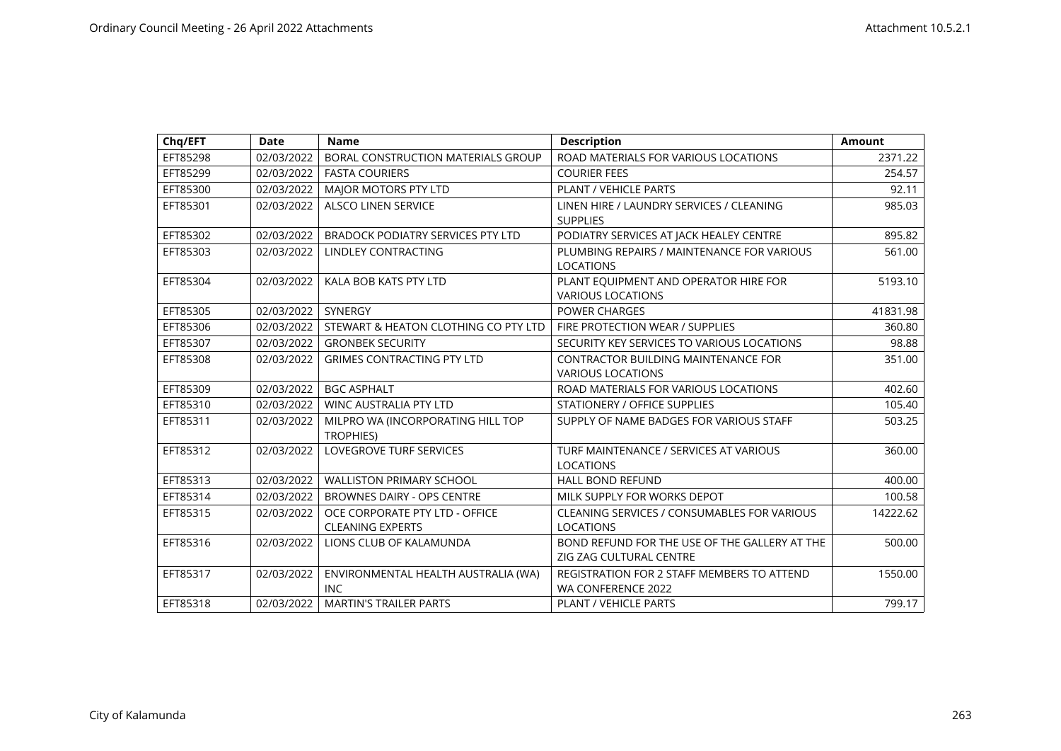| Chq/EFT  | <b>Date</b> | <b>Name</b>                                               | <b>Description</b>                                                       | Amount   |
|----------|-------------|-----------------------------------------------------------|--------------------------------------------------------------------------|----------|
| EFT85298 | 02/03/2022  | BORAL CONSTRUCTION MATERIALS GROUP                        | ROAD MATERIALS FOR VARIOUS LOCATIONS                                     | 2371.22  |
| EFT85299 | 02/03/2022  | <b>FASTA COURIERS</b>                                     | <b>COURIER FEES</b>                                                      | 254.57   |
| EFT85300 | 02/03/2022  | <b>MAJOR MOTORS PTY LTD</b>                               | <b>PLANT / VEHICLE PARTS</b>                                             | 92.11    |
| EFT85301 | 02/03/2022  | <b>ALSCO LINEN SERVICE</b>                                | LINEN HIRE / LAUNDRY SERVICES / CLEANING<br><b>SUPPLIES</b>              | 985.03   |
| EFT85302 | 02/03/2022  | <b>BRADOCK PODIATRY SERVICES PTY LTD</b>                  | PODIATRY SERVICES AT JACK HEALEY CENTRE                                  | 895.82   |
| EFT85303 | 02/03/2022  | <b>LINDLEY CONTRACTING</b>                                | PLUMBING REPAIRS / MAINTENANCE FOR VARIOUS<br><b>LOCATIONS</b>           | 561.00   |
| EFT85304 | 02/03/2022  | KALA BOB KATS PTY LTD                                     | PLANT EQUIPMENT AND OPERATOR HIRE FOR<br><b>VARIOUS LOCATIONS</b>        | 5193.10  |
| EFT85305 | 02/03/2022  | SYNERGY                                                   | <b>POWER CHARGES</b>                                                     | 41831.98 |
| EFT85306 | 02/03/2022  | STEWART & HEATON CLOTHING CO PTY LTD                      | FIRE PROTECTION WEAR / SUPPLIES                                          | 360.80   |
| EFT85307 | 02/03/2022  | <b>GRONBEK SECURITY</b>                                   | SECURITY KEY SERVICES TO VARIOUS LOCATIONS                               | 98.88    |
| EFT85308 | 02/03/2022  | <b>GRIMES CONTRACTING PTY LTD</b>                         | <b>CONTRACTOR BUILDING MAINTENANCE FOR</b><br><b>VARIOUS LOCATIONS</b>   | 351.00   |
| EFT85309 | 02/03/2022  | <b>BGC ASPHALT</b>                                        | ROAD MATERIALS FOR VARIOUS LOCATIONS                                     | 402.60   |
| EFT85310 | 02/03/2022  | <b>WINC AUSTRALIA PTY LTD</b>                             | STATIONERY / OFFICE SUPPLIES                                             | 105.40   |
| EFT85311 | 02/03/2022  | MILPRO WA (INCORPORATING HILL TOP<br><b>TROPHIES)</b>     | SUPPLY OF NAME BADGES FOR VARIOUS STAFF                                  | 503.25   |
| EFT85312 | 02/03/2022  | <b>LOVEGROVE TURF SERVICES</b>                            | TURF MAINTENANCE / SERVICES AT VARIOUS<br><b>LOCATIONS</b>               | 360.00   |
| EFT85313 | 02/03/2022  | <b>WALLISTON PRIMARY SCHOOL</b>                           | <b>HALL BOND REFUND</b>                                                  | 400.00   |
| EFT85314 | 02/03/2022  | <b>BROWNES DAIRY - OPS CENTRE</b>                         | MILK SUPPLY FOR WORKS DEPOT                                              | 100.58   |
| EFT85315 | 02/03/2022  | OCE CORPORATE PTY LTD - OFFICE<br><b>CLEANING EXPERTS</b> | CLEANING SERVICES / CONSUMABLES FOR VARIOUS<br><b>LOCATIONS</b>          | 14222.62 |
| EFT85316 | 02/03/2022  | LIONS CLUB OF KALAMUNDA                                   | BOND REFUND FOR THE USE OF THE GALLERY AT THE<br>ZIG ZAG CULTURAL CENTRE | 500.00   |
| EFT85317 | 02/03/2022  | ENVIRONMENTAL HEALTH AUSTRALIA (WA)<br><b>INC</b>         | REGISTRATION FOR 2 STAFF MEMBERS TO ATTEND<br>WA CONFERENCE 2022         | 1550.00  |
| EFT85318 | 02/03/2022  | <b>MARTIN'S TRAILER PARTS</b>                             | PLANT / VEHICLE PARTS                                                    | 799.17   |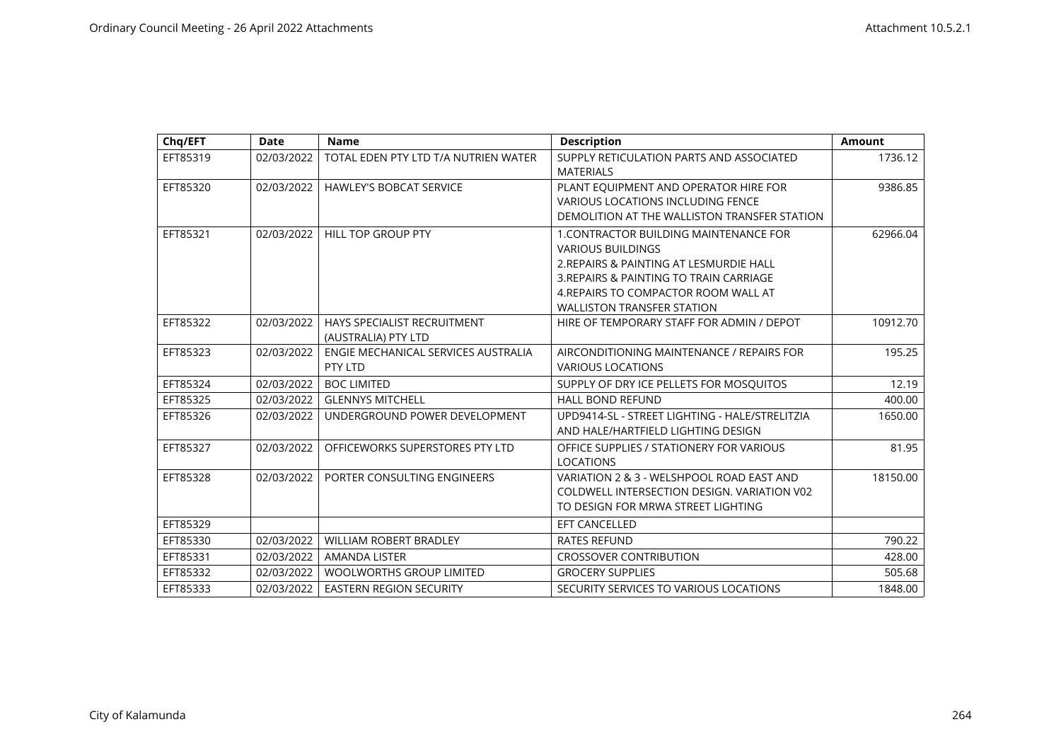| Chq/EFT  | <b>Date</b> | <b>Name</b>                                        | <b>Description</b>                                                                                                                                                                                                                           | <b>Amount</b> |
|----------|-------------|----------------------------------------------------|----------------------------------------------------------------------------------------------------------------------------------------------------------------------------------------------------------------------------------------------|---------------|
| EFT85319 | 02/03/2022  | TOTAL EDEN PTY LTD T/A NUTRIEN WATER               | SUPPLY RETICULATION PARTS AND ASSOCIATED<br><b>MATERIALS</b>                                                                                                                                                                                 | 1736.12       |
| EFT85320 | 02/03/2022  | <b>HAWLEY'S BOBCAT SERVICE</b>                     | PLANT EQUIPMENT AND OPERATOR HIRE FOR<br><b>VARIOUS LOCATIONS INCLUDING FENCE</b><br>DEMOLITION AT THE WALLISTON TRANSFER STATION                                                                                                            | 9386.85       |
| EFT85321 | 02/03/2022  | <b>HILL TOP GROUP PTY</b>                          | <b>1. CONTRACTOR BUILDING MAINTENANCE FOR</b><br><b>VARIOUS BUILDINGS</b><br>2. REPAIRS & PAINTING AT LESMURDIE HALL<br>3. REPAIRS & PAINTING TO TRAIN CARRIAGE<br>4. REPAIRS TO COMPACTOR ROOM WALL AT<br><b>WALLISTON TRANSFER STATION</b> | 62966.04      |
| EFT85322 | 02/03/2022  | HAYS SPECIALIST RECRUITMENT<br>(AUSTRALIA) PTY LTD | HIRE OF TEMPORARY STAFF FOR ADMIN / DEPOT                                                                                                                                                                                                    | 10912.70      |
| EFT85323 | 02/03/2022  | ENGIE MECHANICAL SERVICES AUSTRALIA<br>PTY LTD     | AIRCONDITIONING MAINTENANCE / REPAIRS FOR<br><b>VARIOUS LOCATIONS</b>                                                                                                                                                                        | 195.25        |
| EFT85324 | 02/03/2022  | <b>BOC LIMITED</b>                                 | SUPPLY OF DRY ICE PELLETS FOR MOSQUITOS                                                                                                                                                                                                      | 12.19         |
| EFT85325 | 02/03/2022  | <b>GLENNYS MITCHELL</b>                            | <b>HALL BOND REFUND</b>                                                                                                                                                                                                                      | 400.00        |
| EFT85326 | 02/03/2022  | UNDERGROUND POWER DEVELOPMENT                      | UPD9414-SL - STREET LIGHTING - HALE/STRELITZIA<br>AND HALE/HARTFIELD LIGHTING DESIGN                                                                                                                                                         | 1650.00       |
| EFT85327 | 02/03/2022  | OFFICEWORKS SUPERSTORES PTY LTD                    | OFFICE SUPPLIES / STATIONERY FOR VARIOUS<br><b>LOCATIONS</b>                                                                                                                                                                                 | 81.95         |
| EFT85328 | 02/03/2022  | PORTER CONSULTING ENGINEERS                        | VARIATION 2 & 3 - WELSHPOOL ROAD EAST AND<br>COLDWELL INTERSECTION DESIGN. VARIATION V02<br>TO DESIGN FOR MRWA STREET LIGHTING                                                                                                               | 18150.00      |
| EFT85329 |             |                                                    | <b>EFT CANCELLED</b>                                                                                                                                                                                                                         |               |
| EFT85330 | 02/03/2022  | <b>WILLIAM ROBERT BRADLEY</b>                      | <b>RATES REFUND</b>                                                                                                                                                                                                                          | 790.22        |
| EFT85331 | 02/03/2022  | <b>AMANDA LISTER</b>                               | <b>CROSSOVER CONTRIBUTION</b>                                                                                                                                                                                                                | 428.00        |
| EFT85332 | 02/03/2022  | <b>WOOLWORTHS GROUP LIMITED</b>                    | <b>GROCERY SUPPLIES</b>                                                                                                                                                                                                                      | 505.68        |
| EFT85333 | 02/03/2022  | <b>EASTERN REGION SECURITY</b>                     | SECURITY SERVICES TO VARIOUS LOCATIONS                                                                                                                                                                                                       | 1848.00       |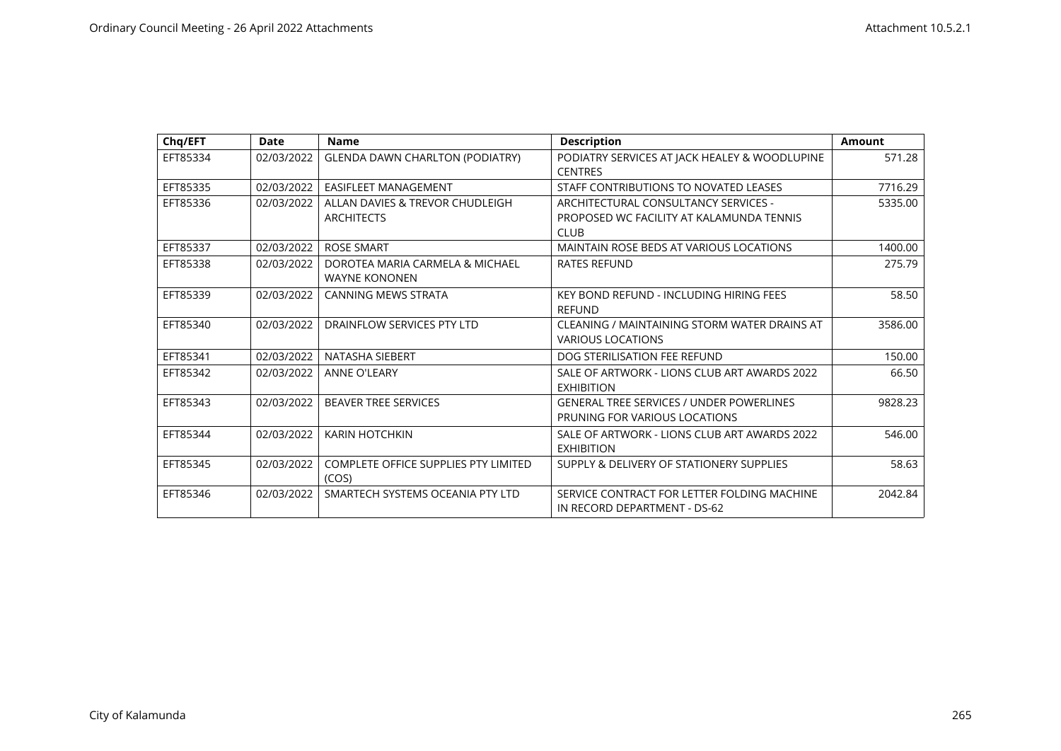| Chq/EFT  | Date       | <b>Name</b>                                             | <b>Description</b>                                                               | <b>Amount</b> |
|----------|------------|---------------------------------------------------------|----------------------------------------------------------------------------------|---------------|
| EFT85334 | 02/03/2022 | <b>GLENDA DAWN CHARLTON (PODIATRY)</b>                  | PODIATRY SERVICES AT JACK HEALEY & WOODLUPINE<br><b>CENTRES</b>                  | 571.28        |
| EFT85335 | 02/03/2022 | <b>EASIFLEET MANAGEMENT</b>                             | STAFF CONTRIBUTIONS TO NOVATED LEASES                                            | 7716.29       |
| EFT85336 | 02/03/2022 | ALLAN DAVIES & TREVOR CHUDLEIGH                         | ARCHITECTURAL CONSULTANCY SERVICES -                                             | 5335.00       |
|          |            | <b>ARCHITECTS</b>                                       | PROPOSED WC FACILITY AT KALAMUNDA TENNIS<br><b>CLUB</b>                          |               |
| EFT85337 | 02/03/2022 | <b>ROSE SMART</b>                                       | MAINTAIN ROSE BEDS AT VARIOUS LOCATIONS                                          | 1400.00       |
| EFT85338 | 02/03/2022 | DOROTEA MARIA CARMELA & MICHAEL<br><b>WAYNE KONONEN</b> | RATES REFUND                                                                     | 275.79        |
| EFT85339 | 02/03/2022 | <b>CANNING MEWS STRATA</b>                              | KEY BOND REFUND - INCLUDING HIRING FEES<br><b>RFFUND</b>                         | 58.50         |
| EFT85340 | 02/03/2022 | DRAINFLOW SERVICES PTY LTD                              | CLEANING / MAINTAINING STORM WATER DRAINS AT<br><b>VARIOUS LOCATIONS</b>         | 3586.00       |
| EFT85341 | 02/03/2022 | NATASHA SIEBERT                                         | DOG STERILISATION FEE REFUND                                                     | 150.00        |
| EFT85342 | 02/03/2022 | <b>ANNE O'LEARY</b>                                     | SALE OF ARTWORK - LIONS CLUB ART AWARDS 2022<br><b>EXHIBITION</b>                | 66.50         |
| EFT85343 | 02/03/2022 | <b>BEAVER TREE SERVICES</b>                             | <b>GENERAL TREE SERVICES / UNDER POWERLINES</b><br>PRUNING FOR VARIOUS LOCATIONS | 9828.23       |
| EFT85344 | 02/03/2022 | <b>KARIN HOTCHKIN</b>                                   | SALE OF ARTWORK - LIONS CLUB ART AWARDS 2022<br><b>EXHIBITION</b>                | 546.00        |
| EFT85345 | 02/03/2022 | COMPLETE OFFICE SUPPLIES PTY LIMITED<br>(COS)           | SUPPLY & DELIVERY OF STATIONERY SUPPLIES                                         | 58.63         |
| EFT85346 | 02/03/2022 | SMARTECH SYSTEMS OCEANIA PTY LTD                        | SERVICE CONTRACT FOR LETTER FOLDING MACHINE<br>IN RECORD DEPARTMENT - DS-62      | 2042.84       |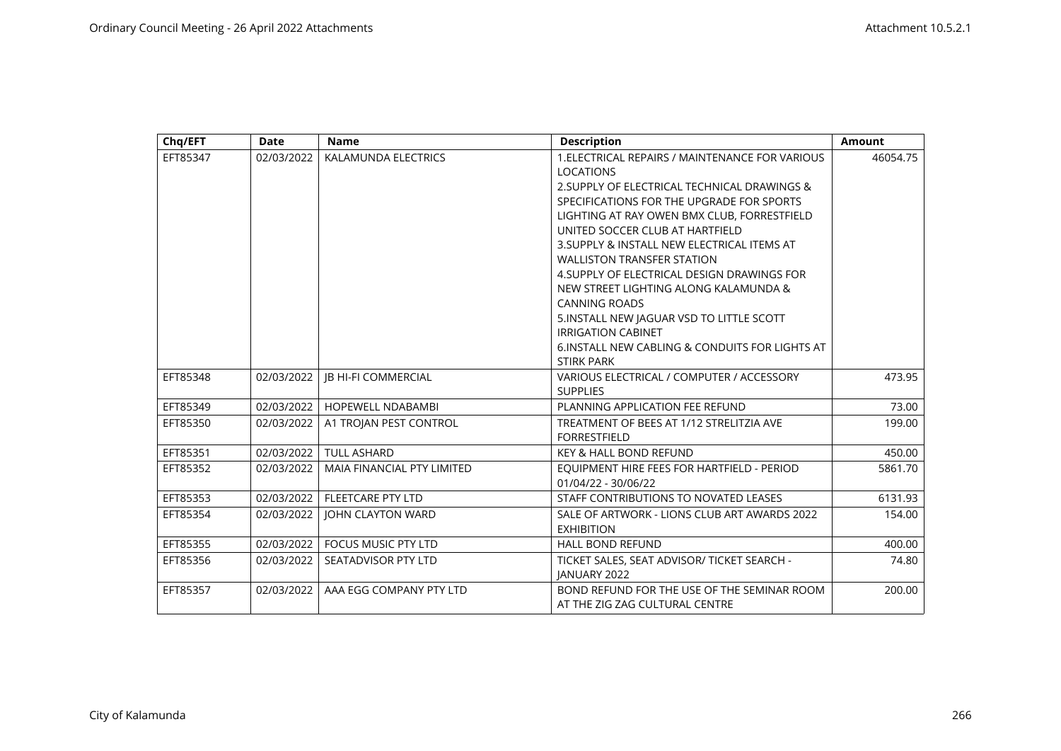| Chq/EFT  | Date       | <b>Name</b>                       | <b>Description</b>                                                            | <b>Amount</b> |
|----------|------------|-----------------------------------|-------------------------------------------------------------------------------|---------------|
| EFT85347 | 02/03/2022 | KALAMUNDA ELECTRICS               | 1. ELECTRICAL REPAIRS / MAINTENANCE FOR VARIOUS<br><b>LOCATIONS</b>           | 46054.75      |
|          |            |                                   | 2. SUPPLY OF ELECTRICAL TECHNICAL DRAWINGS &                                  |               |
|          |            |                                   | SPECIFICATIONS FOR THE UPGRADE FOR SPORTS                                     |               |
|          |            |                                   | LIGHTING AT RAY OWEN BMX CLUB, FORRESTFIELD                                   |               |
|          |            |                                   | UNITED SOCCER CLUB AT HARTFIELD                                               |               |
|          |            |                                   | 3. SUPPLY & INSTALL NEW ELECTRICAL ITEMS AT                                   |               |
|          |            |                                   | <b>WALLISTON TRANSFER STATION</b>                                             |               |
|          |            |                                   | 4. SUPPLY OF ELECTRICAL DESIGN DRAWINGS FOR                                   |               |
|          |            |                                   | NEW STREET LIGHTING ALONG KALAMUNDA &                                         |               |
|          |            |                                   | <b>CANNING ROADS</b>                                                          |               |
|          |            |                                   | 5. INSTALL NEW JAGUAR VSD TO LITTLE SCOTT<br><b>IRRIGATION CABINET</b>        |               |
|          |            |                                   | 6. INSTALL NEW CABLING & CONDUITS FOR LIGHTS AT                               |               |
|          |            |                                   | <b>STIRK PARK</b>                                                             |               |
| EFT85348 | 02/03/2022 | <b>JB HI-FI COMMERCIAL</b>        | VARIOUS ELECTRICAL / COMPUTER / ACCESSORY<br><b>SUPPLIES</b>                  | 473.95        |
| EFT85349 | 02/03/2022 | <b>HOPEWELL NDABAMBI</b>          | PLANNING APPLICATION FEE REFUND                                               | 73.00         |
| EFT85350 | 02/03/2022 | A1 TROJAN PEST CONTROL            | TREATMENT OF BEES AT 1/12 STRELITZIA AVE<br><b>FORRESTFIELD</b>               | 199.00        |
| EFT85351 | 02/03/2022 | <b>TULL ASHARD</b>                | <b>KEY &amp; HALL BOND REFUND</b>                                             | 450.00        |
| EFT85352 | 02/03/2022 | <b>MAIA FINANCIAL PTY LIMITED</b> | EQUIPMENT HIRE FEES FOR HARTFIELD - PERIOD<br>01/04/22 - 30/06/22             | 5861.70       |
| EFT85353 | 02/03/2022 | <b>FLEETCARE PTY LTD</b>          | STAFF CONTRIBUTIONS TO NOVATED LEASES                                         | 6131.93       |
| EFT85354 | 02/03/2022 | <b>JOHN CLAYTON WARD</b>          | SALE OF ARTWORK - LIONS CLUB ART AWARDS 2022<br><b>EXHIBITION</b>             | 154.00        |
| EFT85355 | 02/03/2022 | <b>FOCUS MUSIC PTY LTD</b>        | <b>HALL BOND REFUND</b>                                                       | 400.00        |
| EFT85356 | 02/03/2022 | SEATADVISOR PTY LTD               | TICKET SALES, SEAT ADVISOR/ TICKET SEARCH -<br><b>IANUARY 2022</b>            | 74.80         |
| EFT85357 | 02/03/2022 | AAA EGG COMPANY PTY LTD           | BOND REFUND FOR THE USE OF THE SEMINAR ROOM<br>AT THE ZIG ZAG CULTURAL CENTRE | 200.00        |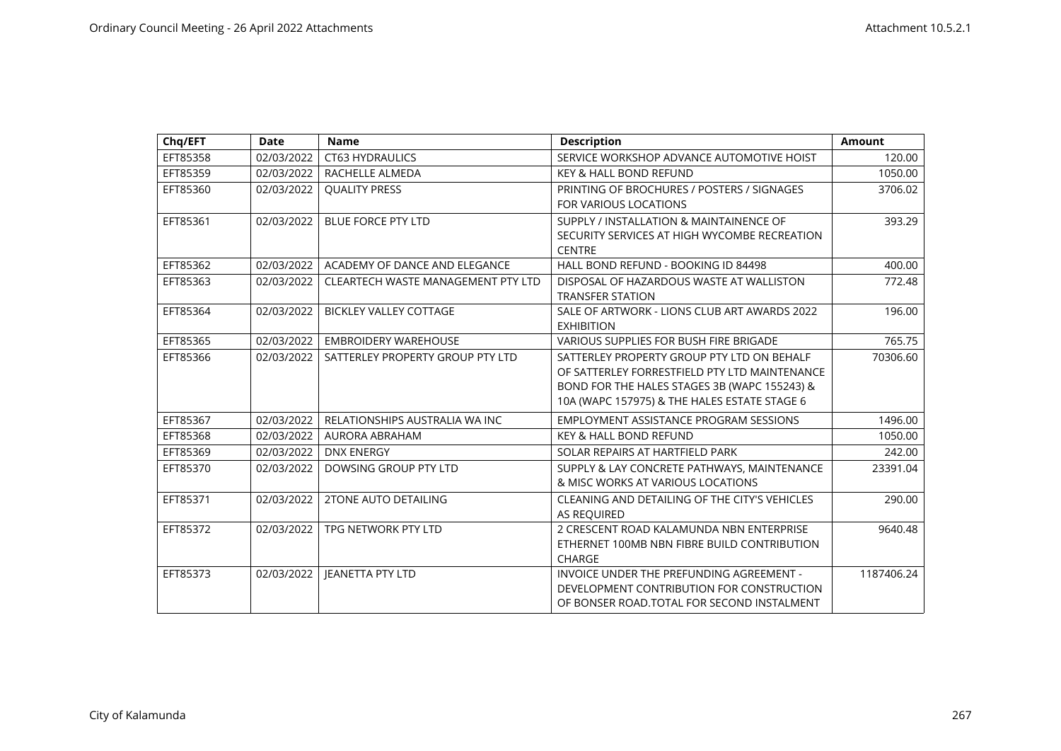| Chq/EFT  | <b>Date</b> | <b>Name</b>                        | <b>Description</b>                            | <b>Amount</b> |
|----------|-------------|------------------------------------|-----------------------------------------------|---------------|
| EFT85358 | 02/03/2022  | <b>CT63 HYDRAULICS</b>             | SERVICE WORKSHOP ADVANCE AUTOMOTIVE HOIST     | 120.00        |
| EFT85359 | 02/03/2022  | RACHELLE ALMEDA                    | <b>KEY &amp; HALL BOND REFUND</b>             | 1050.00       |
| EFT85360 | 02/03/2022  | <b>QUALITY PRESS</b>               | PRINTING OF BROCHURES / POSTERS / SIGNAGES    | 3706.02       |
|          |             |                                    | <b>FOR VARIOUS LOCATIONS</b>                  |               |
| EFT85361 | 02/03/2022  | <b>BLUE FORCE PTY LTD</b>          | SUPPLY / INSTALLATION & MAINTAINENCE OF       | 393.29        |
|          |             |                                    | SECURITY SERVICES AT HIGH WYCOMBE RECREATION  |               |
|          |             |                                    | <b>CENTRE</b>                                 |               |
| EFT85362 | 02/03/2022  | ACADEMY OF DANCE AND ELEGANCE      | HALL BOND REFUND - BOOKING ID 84498           | 400.00        |
| EFT85363 | 02/03/2022  | CLEARTECH WASTE MANAGEMENT PTY LTD | DISPOSAL OF HAZARDOUS WASTE AT WALLISTON      | 772.48        |
|          |             |                                    | <b>TRANSFER STATION</b>                       |               |
| EFT85364 | 02/03/2022  | <b>BICKLEY VALLEY COTTAGE</b>      | SALE OF ARTWORK - LIONS CLUB ART AWARDS 2022  | 196.00        |
|          |             |                                    | <b>EXHIBITION</b>                             |               |
| EFT85365 | 02/03/2022  | <b>EMBROIDERY WAREHOUSE</b>        | <b>VARIOUS SUPPLIES FOR BUSH FIRE BRIGADE</b> | 765.75        |
| EFT85366 | 02/03/2022  | SATTERLEY PROPERTY GROUP PTY LTD   | SATTERLEY PROPERTY GROUP PTY LTD ON BEHALF    | 70306.60      |
|          |             |                                    | OF SATTERLEY FORRESTFIELD PTY LTD MAINTENANCE |               |
|          |             |                                    | BOND FOR THE HALES STAGES 3B (WAPC 155243) &  |               |
|          |             |                                    | 10A (WAPC 157975) & THE HALES ESTATE STAGE 6  |               |
| EFT85367 | 02/03/2022  | RELATIONSHIPS AUSTRALIA WA INC     | <b>EMPLOYMENT ASSISTANCE PROGRAM SESSIONS</b> | 1496.00       |
| EFT85368 | 02/03/2022  | AURORA ABRAHAM                     | <b>KEY &amp; HALL BOND REFUND</b>             | 1050.00       |
| EFT85369 | 02/03/2022  | <b>DNX ENERGY</b>                  | SOLAR REPAIRS AT HARTFIELD PARK               | 242.00        |
| EFT85370 | 02/03/2022  | DOWSING GROUP PTY LTD              | SUPPLY & LAY CONCRETE PATHWAYS, MAINTENANCE   | 23391.04      |
|          |             |                                    | & MISC WORKS AT VARIOUS LOCATIONS             |               |
| EFT85371 | 02/03/2022  | <b>2TONE AUTO DETAILING</b>        | CLEANING AND DETAILING OF THE CITY'S VEHICLES | 290.00        |
|          |             |                                    | AS REQUIRED                                   |               |
| EFT85372 | 02/03/2022  | TPG NETWORK PTY LTD                | 2 CRESCENT ROAD KALAMUNDA NBN ENTERPRISE      | 9640.48       |
|          |             |                                    | ETHERNET 100MB NBN FIBRE BUILD CONTRIBUTION   |               |
|          |             |                                    | <b>CHARGE</b>                                 |               |
| EFT85373 | 02/03/2022  | <b>JEANETTA PTY LTD</b>            | INVOICE UNDER THE PREFUNDING AGREEMENT -      | 1187406.24    |
|          |             |                                    | DEVELOPMENT CONTRIBUTION FOR CONSTRUCTION     |               |
|          |             |                                    | OF BONSER ROAD. TOTAL FOR SECOND INSTALMENT   |               |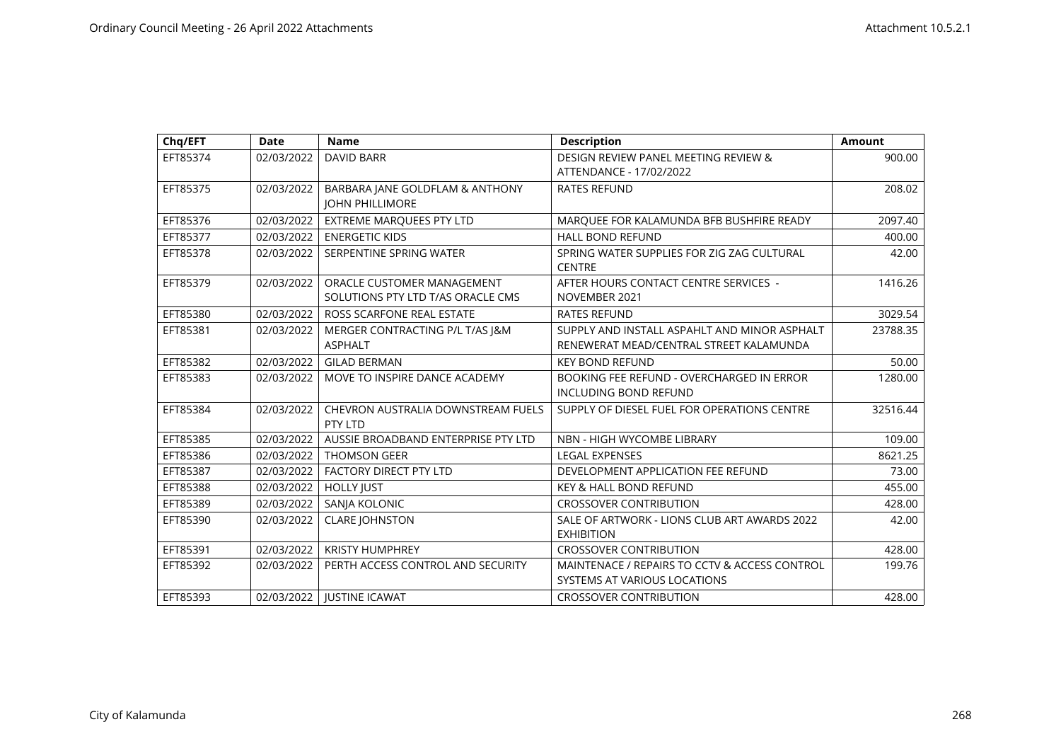| Chq/EFT  | <b>Date</b> | <b>Name</b>                                                     | <b>Description</b>                                                                      | <b>Amount</b> |
|----------|-------------|-----------------------------------------------------------------|-----------------------------------------------------------------------------------------|---------------|
| EFT85374 | 02/03/2022  | <b>DAVID BARR</b>                                               | DESIGN REVIEW PANEL MEETING REVIEW &<br>ATTENDANCE - 17/02/2022                         | 900.00        |
| EFT85375 | 02/03/2022  | BARBARA JANE GOLDFLAM & ANTHONY<br><b>JOHN PHILLIMORE</b>       | <b>RATES REFUND</b>                                                                     | 208.02        |
| EFT85376 | 02/03/2022  | <b>EXTREME MARQUEES PTY LTD</b>                                 | MARQUEE FOR KALAMUNDA BFB BUSHFIRE READY                                                | 2097.40       |
| EFT85377 | 02/03/2022  | <b>ENERGETIC KIDS</b>                                           | <b>HALL BOND REFUND</b>                                                                 | 400.00        |
| EFT85378 | 02/03/2022  | SERPENTINE SPRING WATER                                         | SPRING WATER SUPPLIES FOR ZIG ZAG CULTURAL<br><b>CENTRE</b>                             | 42.00         |
| EFT85379 | 02/03/2022  | ORACLE CUSTOMER MANAGEMENT<br>SOLUTIONS PTY LTD T/AS ORACLE CMS | AFTER HOURS CONTACT CENTRE SERVICES -<br>NOVEMBER 2021                                  | 1416.26       |
| EFT85380 | 02/03/2022  | ROSS SCARFONE REAL ESTATE                                       | <b>RATES REFUND</b>                                                                     | 3029.54       |
| EFT85381 | 02/03/2022  | MERGER CONTRACTING P/L T/AS J&M<br><b>ASPHALT</b>               | SUPPLY AND INSTALL ASPAHLT AND MINOR ASPHALT<br>RENEWERAT MEAD/CENTRAL STREET KALAMUNDA | 23788.35      |
| EFT85382 | 02/03/2022  | <b>GILAD BERMAN</b>                                             | <b>KEY BOND REFUND</b>                                                                  | 50.00         |
| EFT85383 | 02/03/2022  | MOVE TO INSPIRE DANCE ACADEMY                                   | <b>BOOKING FEE REFUND - OVERCHARGED IN ERROR</b><br><b>INCLUDING BOND REFUND</b>        | 1280.00       |
| EFT85384 | 02/03/2022  | CHEVRON AUSTRALIA DOWNSTREAM FUELS<br>PTY LTD                   | SUPPLY OF DIESEL FUEL FOR OPERATIONS CENTRE                                             | 32516.44      |
| EFT85385 | 02/03/2022  | AUSSIE BROADBAND ENTERPRISE PTY LTD                             | NBN - HIGH WYCOMBE LIBRARY                                                              | 109.00        |
| EFT85386 | 02/03/2022  | <b>THOMSON GEER</b>                                             | <b>LEGAL EXPENSES</b>                                                                   | 8621.25       |
| EFT85387 | 02/03/2022  | <b>FACTORY DIRECT PTY LTD</b>                                   | DEVELOPMENT APPLICATION FEE REFUND                                                      | 73.00         |
| EFT85388 | 02/03/2022  | <b>HOLLY JUST</b>                                               | <b>KEY &amp; HALL BOND REFUND</b>                                                       | 455.00        |
| EFT85389 | 02/03/2022  | SANJA KOLONIC                                                   | <b>CROSSOVER CONTRIBUTION</b>                                                           | 428.00        |
| EFT85390 | 02/03/2022  | <b>CLARE JOHNSTON</b>                                           | SALE OF ARTWORK - LIONS CLUB ART AWARDS 2022<br><b>EXHIBITION</b>                       | 42.00         |
| EFT85391 | 02/03/2022  | <b>KRISTY HUMPHREY</b>                                          | <b>CROSSOVER CONTRIBUTION</b>                                                           | 428.00        |
| EFT85392 | 02/03/2022  | PERTH ACCESS CONTROL AND SECURITY                               | MAINTENACE / REPAIRS TO CCTV & ACCESS CONTROL<br>SYSTEMS AT VARIOUS LOCATIONS           | 199.76        |
| EFT85393 | 02/03/2022  | <b>JUSTINE ICAWAT</b>                                           | <b>CROSSOVER CONTRIBUTION</b>                                                           | 428.00        |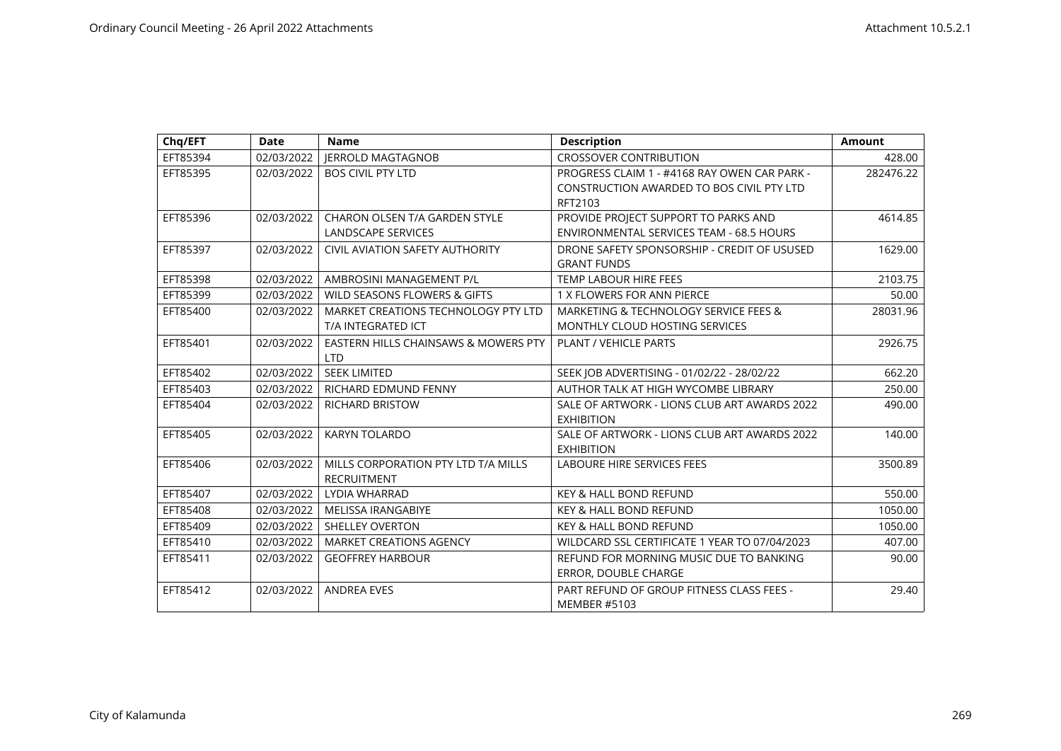| Chq/EFT  | <b>Date</b> | <b>Name</b>                            | <b>Description</b>                            | <b>Amount</b> |
|----------|-------------|----------------------------------------|-----------------------------------------------|---------------|
| EFT85394 | 02/03/2022  | <b>JERROLD MAGTAGNOB</b>               | <b>CROSSOVER CONTRIBUTION</b>                 | 428.00        |
| EFT85395 | 02/03/2022  | <b>BOS CIVIL PTY LTD</b>               | PROGRESS CLAIM 1 - #4168 RAY OWEN CAR PARK -  | 282476.22     |
|          |             |                                        | CONSTRUCTION AWARDED TO BOS CIVIL PTY LTD     |               |
|          |             |                                        | RFT2103                                       |               |
| EFT85396 | 02/03/2022  | <b>CHARON OLSEN T/A GARDEN STYLE</b>   | PROVIDE PROJECT SUPPORT TO PARKS AND          | 4614.85       |
|          |             | <b>LANDSCAPE SERVICES</b>              | ENVIRONMENTAL SERVICES TEAM - 68.5 HOURS      |               |
| EFT85397 | 02/03/2022  | <b>CIVIL AVIATION SAFETY AUTHORITY</b> | DRONE SAFETY SPONSORSHIP - CREDIT OF USUSED   | 1629.00       |
|          |             |                                        | <b>GRANT FUNDS</b>                            |               |
| EFT85398 | 02/03/2022  | AMBROSINI MANAGEMENT P/L               | TEMP LABOUR HIRE FEES                         | 2103.75       |
| EFT85399 | 02/03/2022  | WILD SEASONS FLOWERS & GIFTS           | 1 X FLOWERS FOR ANN PIERCE                    | 50.00         |
| EFT85400 | 02/03/2022  | MARKET CREATIONS TECHNOLOGY PTY LTD    | MARKETING & TECHNOLOGY SERVICE FEES &         | 28031.96      |
|          |             | T/A INTEGRATED ICT                     | MONTHLY CLOUD HOSTING SERVICES                |               |
| EFT85401 | 02/03/2022  | EASTERN HILLS CHAINSAWS & MOWERS PTY   | PLANT / VEHICLE PARTS                         | 2926.75       |
|          |             | <b>LTD</b>                             |                                               |               |
| EFT85402 | 02/03/2022  | <b>SEEK LIMITED</b>                    | SEEK JOB ADVERTISING - 01/02/22 - 28/02/22    | 662.20        |
| EFT85403 | 02/03/2022  | RICHARD EDMUND FENNY                   | AUTHOR TALK AT HIGH WYCOMBE LIBRARY           | 250.00        |
| EFT85404 | 02/03/2022  | <b>RICHARD BRISTOW</b>                 | SALE OF ARTWORK - LIONS CLUB ART AWARDS 2022  | 490.00        |
|          |             |                                        | <b>EXHIBITION</b>                             |               |
| EFT85405 | 02/03/2022  | <b>KARYN TOLARDO</b>                   | SALE OF ARTWORK - LIONS CLUB ART AWARDS 2022  | 140.00        |
|          |             |                                        | <b>EXHIBITION</b>                             |               |
| EFT85406 | 02/03/2022  | MILLS CORPORATION PTY LTD T/A MILLS    | <b>LABOURE HIRE SERVICES FEES</b>             | 3500.89       |
|          |             | <b>RECRUITMENT</b>                     |                                               |               |
| EFT85407 | 02/03/2022  | LYDIA WHARRAD                          | <b>KEY &amp; HALL BOND REFUND</b>             | 550.00        |
| EFT85408 | 02/03/2022  | <b>MELISSA IRANGABIYE</b>              | <b>KEY &amp; HALL BOND REFUND</b>             | 1050.00       |
| EFT85409 | 02/03/2022  | <b>SHELLEY OVERTON</b>                 | <b>KEY &amp; HALL BOND REFUND</b>             | 1050.00       |
| EFT85410 | 02/03/2022  | <b>MARKET CREATIONS AGENCY</b>         | WILDCARD SSL CERTIFICATE 1 YEAR TO 07/04/2023 | 407.00        |
| EFT85411 | 02/03/2022  | <b>GEOFFREY HARBOUR</b>                | REFUND FOR MORNING MUSIC DUE TO BANKING       | 90.00         |
|          |             |                                        | ERROR, DOUBLE CHARGE                          |               |
| EFT85412 | 02/03/2022  | <b>ANDREA EVES</b>                     | PART REFUND OF GROUP FITNESS CLASS FEES -     | 29.40         |
|          |             |                                        | <b>MEMBER #5103</b>                           |               |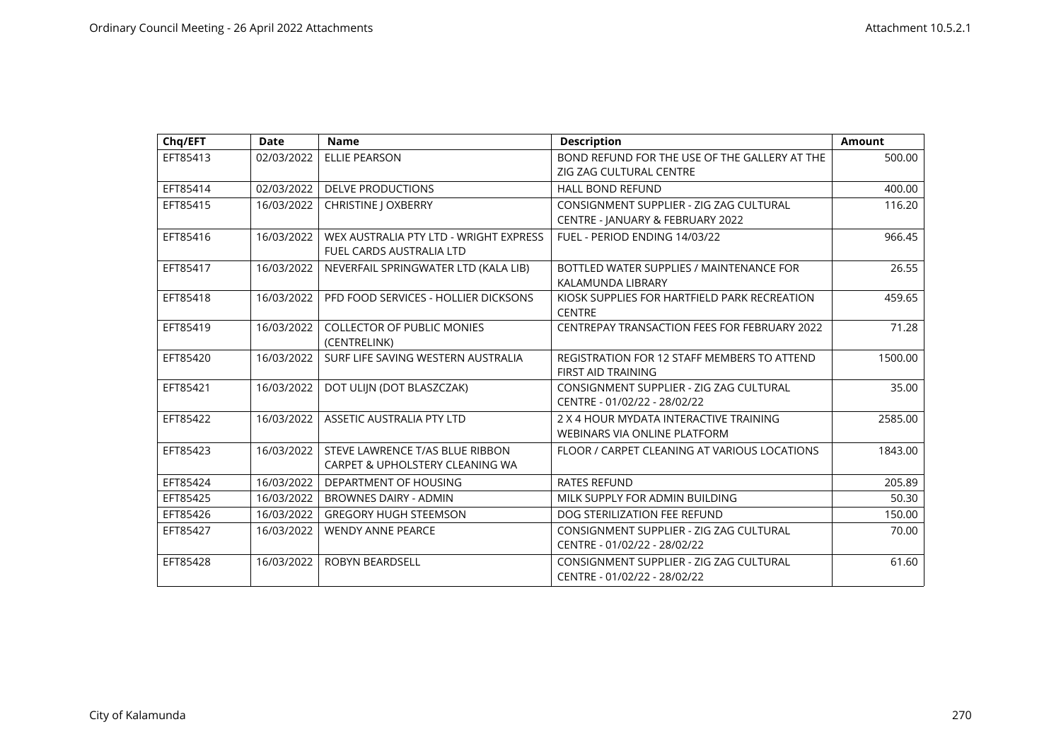| Chq/EFT  | <b>Date</b> | <b>Name</b>                            | <b>Description</b>                                                      | <b>Amount</b> |
|----------|-------------|----------------------------------------|-------------------------------------------------------------------------|---------------|
| EFT85413 | 02/03/2022  | <b>ELLIE PEARSON</b>                   | BOND REFUND FOR THE USE OF THE GALLERY AT THE                           | 500.00        |
|          |             |                                        | ZIG ZAG CULTURAL CENTRE                                                 |               |
| EFT85414 | 02/03/2022  | <b>DELVE PRODUCTIONS</b>               | <b>HALL BOND REFUND</b>                                                 | 400.00        |
| EFT85415 | 16/03/2022  | <b>CHRISTINE   OXBERRY</b>             | CONSIGNMENT SUPPLIER - ZIG ZAG CULTURAL                                 | 116.20        |
|          |             |                                        | CENTRE - JANUARY & FEBRUARY 2022                                        |               |
| EFT85416 | 16/03/2022  | WEX AUSTRALIA PTY LTD - WRIGHT EXPRESS | FUEL - PERIOD ENDING 14/03/22                                           | 966.45        |
|          |             | <b>FUEL CARDS AUSTRALIA LTD</b>        |                                                                         |               |
| EFT85417 | 16/03/2022  | NEVERFAIL SPRINGWATER LTD (KALA LIB)   | BOTTLED WATER SUPPLIES / MAINTENANCE FOR                                | 26.55         |
|          |             |                                        | KALAMUNDA LIBRARY                                                       |               |
| EFT85418 | 16/03/2022  | PFD FOOD SERVICES - HOLLIER DICKSONS   | KIOSK SUPPLIES FOR HARTFIELD PARK RECREATION                            | 459.65        |
|          |             |                                        | <b>CENTRE</b>                                                           |               |
| EFT85419 | 16/03/2022  | <b>COLLECTOR OF PUBLIC MONIES</b>      | CENTREPAY TRANSACTION FEES FOR FEBRUARY 2022                            | 71.28         |
|          |             | (CENTRELINK)                           |                                                                         |               |
| EFT85420 | 16/03/2022  | SURF LIFE SAVING WESTERN AUSTRALIA     | REGISTRATION FOR 12 STAFF MEMBERS TO ATTEND                             | 1500.00       |
|          |             |                                        | <b>FIRST AID TRAINING</b>                                               |               |
| EFT85421 | 16/03/2022  | DOT ULIJN (DOT BLASZCZAK)              | CONSIGNMENT SUPPLIER - ZIG ZAG CULTURAL<br>CENTRE - 01/02/22 - 28/02/22 | 35.00         |
|          |             |                                        |                                                                         |               |
| EFT85422 | 16/03/2022  | ASSETIC AUSTRALIA PTY LTD              | 2 X 4 HOUR MYDATA INTERACTIVE TRAINING                                  | 2585.00       |
|          |             |                                        | WEBINARS VIA ONLINE PLATFORM                                            |               |
| EFT85423 | 16/03/2022  | STEVE LAWRENCE T/AS BLUE RIBBON        | FLOOR / CARPET CLEANING AT VARIOUS LOCATIONS                            | 1843.00       |
|          |             | CARPET & UPHOLSTERY CLEANING WA        |                                                                         |               |
| EFT85424 | 16/03/2022  | DEPARTMENT OF HOUSING                  | <b>RATES REFUND</b>                                                     | 205.89        |
| EFT85425 | 16/03/2022  | <b>BROWNES DAIRY - ADMIN</b>           | MILK SUPPLY FOR ADMIN BUILDING                                          | 50.30         |
| EFT85426 | 16/03/2022  | <b>GREGORY HUGH STEEMSON</b>           | DOG STERILIZATION FEE REFUND                                            | 150.00        |
| EFT85427 | 16/03/2022  | <b>WENDY ANNE PEARCE</b>               | CONSIGNMENT SUPPLIER - ZIG ZAG CULTURAL                                 | 70.00         |
|          |             |                                        | CENTRE - 01/02/22 - 28/02/22                                            |               |
| EFT85428 | 16/03/2022  | <b>ROBYN BEARDSELL</b>                 | CONSIGNMENT SUPPLIER - ZIG ZAG CULTURAL                                 | 61.60         |
|          |             |                                        | CENTRE - 01/02/22 - 28/02/22                                            |               |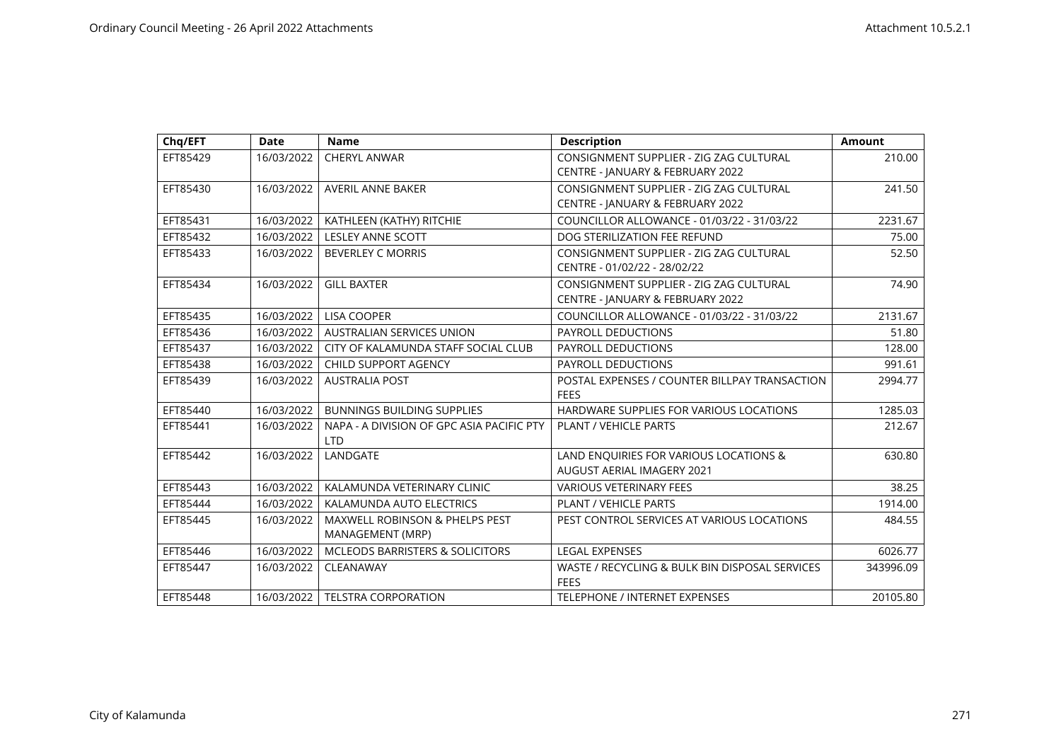| Chq/EFT  | <b>Date</b> | <b>Name</b>                                                   | <b>Description</b>                                                          | Amount    |
|----------|-------------|---------------------------------------------------------------|-----------------------------------------------------------------------------|-----------|
| EFT85429 | 16/03/2022  | CHERYL ANWAR                                                  | CONSIGNMENT SUPPLIER - ZIG ZAG CULTURAL                                     | 210.00    |
|          |             |                                                               | CENTRE - JANUARY & FEBRUARY 2022                                            |           |
| EFT85430 | 16/03/2022  | AVERIL ANNE BAKER                                             | CONSIGNMENT SUPPLIER - ZIG ZAG CULTURAL                                     | 241.50    |
|          |             |                                                               | CENTRE - JANUARY & FEBRUARY 2022                                            |           |
| EFT85431 | 16/03/2022  | KATHLEEN (KATHY) RITCHIE                                      | COUNCILLOR ALLOWANCE - 01/03/22 - 31/03/22                                  | 2231.67   |
| EFT85432 | 16/03/2022  | <b>LESLEY ANNE SCOTT</b>                                      | DOG STERILIZATION FEE REFUND                                                | 75.00     |
| EFT85433 | 16/03/2022  | <b>BEVERLEY C MORRIS</b>                                      | CONSIGNMENT SUPPLIER - ZIG ZAG CULTURAL<br>CENTRE - 01/02/22 - 28/02/22     | 52.50     |
| EFT85434 | 16/03/2022  | <b>GILL BAXTER</b>                                            | CONSIGNMENT SUPPLIER - ZIG ZAG CULTURAL                                     | 74.90     |
|          |             |                                                               | CENTRE - JANUARY & FEBRUARY 2022                                            |           |
| EFT85435 | 16/03/2022  | <b>LISA COOPER</b>                                            | COUNCILLOR ALLOWANCE - 01/03/22 - 31/03/22                                  | 2131.67   |
| EFT85436 | 16/03/2022  | AUSTRALIAN SERVICES UNION                                     | <b>PAYROLL DEDUCTIONS</b>                                                   | 51.80     |
| EFT85437 | 16/03/2022  | CITY OF KALAMUNDA STAFF SOCIAL CLUB                           | <b>PAYROLL DEDUCTIONS</b>                                                   | 128.00    |
| EFT85438 | 16/03/2022  | CHILD SUPPORT AGENCY                                          | PAYROLL DEDUCTIONS                                                          | 991.61    |
| EFT85439 | 16/03/2022  | <b>AUSTRALIA POST</b>                                         | POSTAL EXPENSES / COUNTER BILLPAY TRANSACTION<br><b>FEES</b>                | 2994.77   |
| EFT85440 | 16/03/2022  | <b>BUNNINGS BUILDING SUPPLIES</b>                             | HARDWARE SUPPLIES FOR VARIOUS LOCATIONS                                     | 1285.03   |
| EFT85441 | 16/03/2022  | NAPA - A DIVISION OF GPC ASIA PACIFIC PTY<br><b>LTD</b>       | <b>PLANT / VEHICLE PARTS</b>                                                | 212.67    |
| EFT85442 | 16/03/2022  | LANDGATE                                                      | LAND ENQUIRIES FOR VARIOUS LOCATIONS &<br><b>AUGUST AERIAL IMAGERY 2021</b> | 630.80    |
| EFT85443 | 16/03/2022  | KALAMUNDA VETERINARY CLINIC                                   | <b>VARIOUS VETERINARY FEES</b>                                              | 38.25     |
| EFT85444 | 16/03/2022  | KALAMUNDA AUTO ELECTRICS                                      | PLANT / VEHICLE PARTS                                                       | 1914.00   |
| EFT85445 | 16/03/2022  | <b>MAXWELL ROBINSON &amp; PHELPS PEST</b><br>MANAGEMENT (MRP) | PEST CONTROL SERVICES AT VARIOUS LOCATIONS                                  | 484.55    |
| EFT85446 | 16/03/2022  | MCLEODS BARRISTERS & SOLICITORS                               | <b>LEGAL EXPENSES</b>                                                       | 6026.77   |
| EFT85447 | 16/03/2022  | CLEANAWAY                                                     | WASTE / RECYCLING & BULK BIN DISPOSAL SERVICES<br><b>FEES</b>               | 343996.09 |
| EFT85448 | 16/03/2022  | <b>TELSTRA CORPORATION</b>                                    | TELEPHONE / INTERNET EXPENSES                                               | 20105.80  |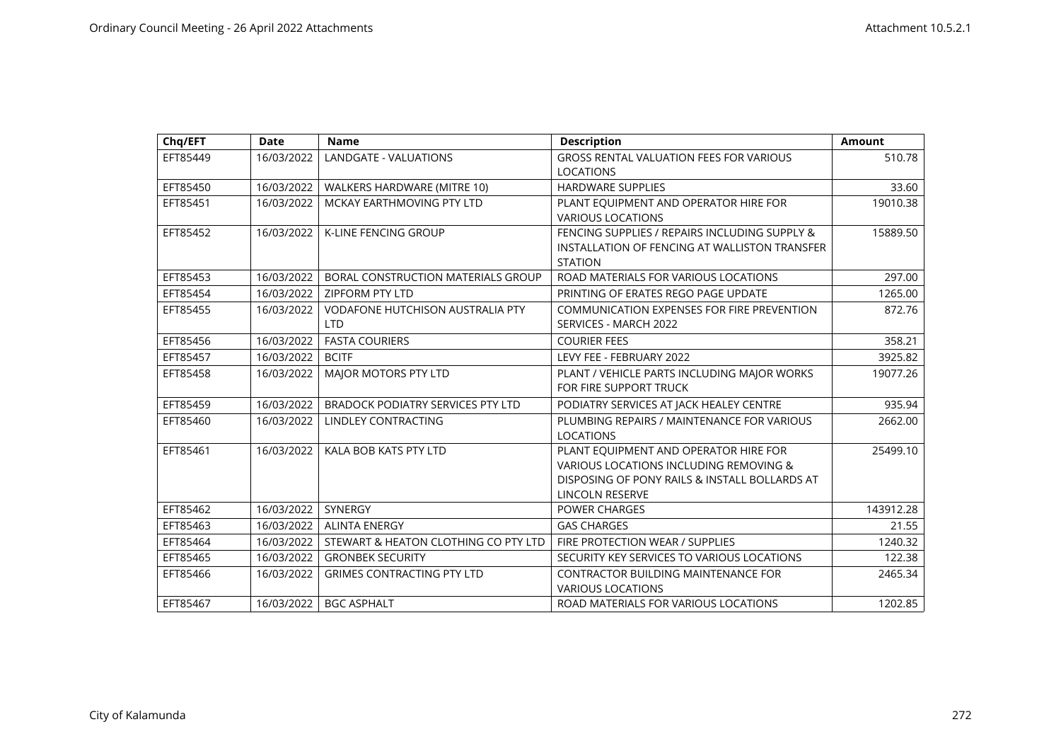| Chq/EFT  | <b>Date</b> | <b>Name</b>                              | <b>Description</b>                             | <b>Amount</b> |
|----------|-------------|------------------------------------------|------------------------------------------------|---------------|
| EFT85449 | 16/03/2022  | LANDGATE - VALUATIONS                    | <b>GROSS RENTAL VALUATION FEES FOR VARIOUS</b> | 510.78        |
|          |             |                                          | <b>LOCATIONS</b>                               |               |
| EFT85450 | 16/03/2022  | WALKERS HARDWARE (MITRE 10)              | <b>HARDWARE SUPPLIES</b>                       | 33.60         |
| EFT85451 | 16/03/2022  | MCKAY EARTHMOVING PTY LTD                | PLANT EQUIPMENT AND OPERATOR HIRE FOR          | 19010.38      |
|          |             |                                          | <b>VARIOUS LOCATIONS</b>                       |               |
| EFT85452 | 16/03/2022  | <b>K-LINE FENCING GROUP</b>              | FENCING SUPPLIES / REPAIRS INCLUDING SUPPLY &  | 15889.50      |
|          |             |                                          | INSTALLATION OF FENCING AT WALLISTON TRANSFER  |               |
|          |             |                                          | <b>STATION</b>                                 |               |
| EFT85453 | 16/03/2022  | BORAL CONSTRUCTION MATERIALS GROUP       | ROAD MATERIALS FOR VARIOUS LOCATIONS           | 297.00        |
| EFT85454 | 16/03/2022  | <b>ZIPFORM PTY LTD</b>                   | PRINTING OF ERATES REGO PAGE UPDATE            | 1265.00       |
| EFT85455 | 16/03/2022  | <b>VODAFONE HUTCHISON AUSTRALIA PTY</b>  | COMMUNICATION EXPENSES FOR FIRE PREVENTION     | 872.76        |
|          |             | <b>LTD</b>                               | SERVICES - MARCH 2022                          |               |
| EFT85456 | 16/03/2022  | <b>FASTA COURIERS</b>                    | <b>COURIER FEES</b>                            | 358.21        |
| EFT85457 | 16/03/2022  | <b>BCITF</b>                             | LEVY FEE - FEBRUARY 2022                       | 3925.82       |
| EFT85458 | 16/03/2022  | MAJOR MOTORS PTY LTD                     | PLANT / VEHICLE PARTS INCLUDING MAJOR WORKS    | 19077.26      |
|          |             |                                          | FOR FIRE SUPPORT TRUCK                         |               |
| EFT85459 | 16/03/2022  | <b>BRADOCK PODIATRY SERVICES PTY LTD</b> | PODIATRY SERVICES AT JACK HEALEY CENTRE        | 935.94        |
| EFT85460 | 16/03/2022  | LINDLEY CONTRACTING                      | PLUMBING REPAIRS / MAINTENANCE FOR VARIOUS     | 2662.00       |
|          |             |                                          | <b>LOCATIONS</b>                               |               |
| EFT85461 | 16/03/2022  | KALA BOB KATS PTY LTD                    | PLANT EQUIPMENT AND OPERATOR HIRE FOR          | 25499.10      |
|          |             |                                          | VARIOUS LOCATIONS INCLUDING REMOVING &         |               |
|          |             |                                          | DISPOSING OF PONY RAILS & INSTALL BOLLARDS AT  |               |
|          |             |                                          | LINCOLN RESERVE                                |               |
| EFT85462 | 16/03/2022  | SYNERGY                                  | <b>POWER CHARGES</b>                           | 143912.28     |
| EFT85463 | 16/03/2022  | <b>ALINTA ENERGY</b>                     | <b>GAS CHARGES</b>                             | 21.55         |
| EFT85464 | 16/03/2022  | STEWART & HEATON CLOTHING CO PTY LTD     | FIRE PROTECTION WEAR / SUPPLIES                | 1240.32       |
| EFT85465 | 16/03/2022  | <b>GRONBEK SECURITY</b>                  | SECURITY KEY SERVICES TO VARIOUS LOCATIONS     | 122.38        |
| EFT85466 | 16/03/2022  | <b>GRIMES CONTRACTING PTY LTD</b>        | CONTRACTOR BUILDING MAINTENANCE FOR            | 2465.34       |
|          |             |                                          | <b>VARIOUS LOCATIONS</b>                       |               |
| EFT85467 | 16/03/2022  | <b>BGC ASPHALT</b>                       | ROAD MATERIALS FOR VARIOUS LOCATIONS           | 1202.85       |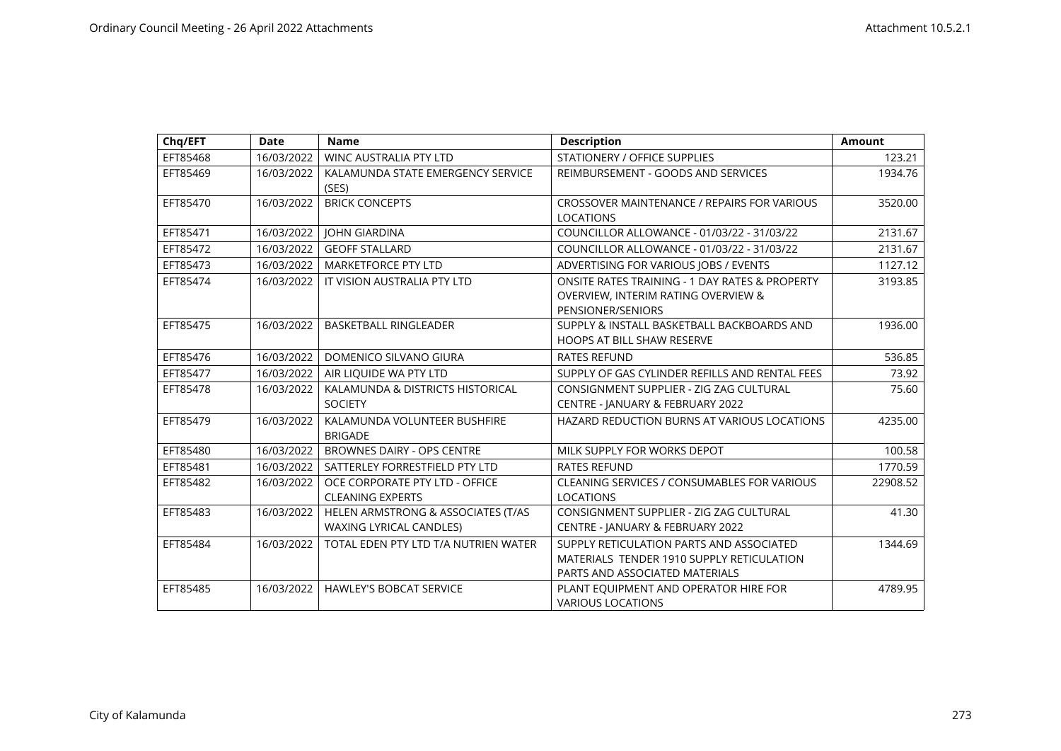| Chq/EFT  | <b>Date</b> | <b>Name</b>                                                          | <b>Description</b>                                                                                                      | <b>Amount</b> |
|----------|-------------|----------------------------------------------------------------------|-------------------------------------------------------------------------------------------------------------------------|---------------|
| EFT85468 | 16/03/2022  | <b>WINC AUSTRALIA PTY LTD</b>                                        | STATIONERY / OFFICE SUPPLIES                                                                                            | 123.21        |
| EFT85469 | 16/03/2022  | KALAMUNDA STATE EMERGENCY SERVICE<br>(SES)                           | REIMBURSEMENT - GOODS AND SERVICES                                                                                      | 1934.76       |
| EFT85470 | 16/03/2022  | <b>BRICK CONCEPTS</b>                                                | CROSSOVER MAINTENANCE / REPAIRS FOR VARIOUS<br><b>LOCATIONS</b>                                                         | 3520.00       |
| EFT85471 | 16/03/2022  | <b>JOHN GIARDINA</b>                                                 | COUNCILLOR ALLOWANCE - 01/03/22 - 31/03/22                                                                              | 2131.67       |
| EFT85472 | 16/03/2022  | <b>GEOFF STALLARD</b>                                                | COUNCILLOR ALLOWANCE - 01/03/22 - 31/03/22                                                                              | 2131.67       |
| EFT85473 | 16/03/2022  | <b>MARKETFORCE PTY LTD</b>                                           | ADVERTISING FOR VARIOUS JOBS / EVENTS                                                                                   | 1127.12       |
| EFT85474 | 16/03/2022  | IT VISION AUSTRALIA PTY LTD                                          | ONSITE RATES TRAINING - 1 DAY RATES & PROPERTY<br>OVERVIEW, INTERIM RATING OVERVIEW &<br>PENSIONER/SENIORS              | 3193.85       |
| EFT85475 | 16/03/2022  | <b>BASKETBALL RINGLEADER</b>                                         | SUPPLY & INSTALL BASKETBALL BACKBOARDS AND<br><b>HOOPS AT BILL SHAW RESERVE</b>                                         | 1936.00       |
| EFT85476 | 16/03/2022  | DOMENICO SILVANO GIURA                                               | <b>RATES REFUND</b>                                                                                                     | 536.85        |
| EFT85477 | 16/03/2022  | AIR LIQUIDE WA PTY LTD                                               | SUPPLY OF GAS CYLINDER REFILLS AND RENTAL FEES                                                                          | 73.92         |
| EFT85478 | 16/03/2022  | KALAMUNDA & DISTRICTS HISTORICAL<br><b>SOCIETY</b>                   | CONSIGNMENT SUPPLIER - ZIG ZAG CULTURAL<br>CENTRE - JANUARY & FEBRUARY 2022                                             | 75.60         |
| EFT85479 | 16/03/2022  | KALAMUNDA VOLUNTEER BUSHFIRE<br><b>BRIGADE</b>                       | HAZARD REDUCTION BURNS AT VARIOUS LOCATIONS                                                                             | 4235.00       |
| EFT85480 | 16/03/2022  | <b>BROWNES DAIRY - OPS CENTRE</b>                                    | MILK SUPPLY FOR WORKS DEPOT                                                                                             | 100.58        |
| EFT85481 | 16/03/2022  | SATTERLEY FORRESTFIELD PTY LTD                                       | <b>RATES REFUND</b>                                                                                                     | 1770.59       |
| EFT85482 | 16/03/2022  | OCE CORPORATE PTY LTD - OFFICE<br><b>CLEANING EXPERTS</b>            | CLEANING SERVICES / CONSUMABLES FOR VARIOUS<br><b>LOCATIONS</b>                                                         | 22908.52      |
| EFT85483 | 16/03/2022  | HELEN ARMSTRONG & ASSOCIATES (T/AS<br><b>WAXING LYRICAL CANDLES)</b> | CONSIGNMENT SUPPLIER - ZIG ZAG CULTURAL<br>CENTRE - JANUARY & FEBRUARY 2022                                             | 41.30         |
| EFT85484 | 16/03/2022  | TOTAL EDEN PTY LTD T/A NUTRIEN WATER                                 | SUPPLY RETICULATION PARTS AND ASSOCIATED<br>MATERIALS TENDER 1910 SUPPLY RETICULATION<br>PARTS AND ASSOCIATED MATERIALS | 1344.69       |
| EFT85485 | 16/03/2022  | <b>HAWLEY'S BOBCAT SERVICE</b>                                       | PLANT EQUIPMENT AND OPERATOR HIRE FOR<br><b>VARIOUS LOCATIONS</b>                                                       | 4789.95       |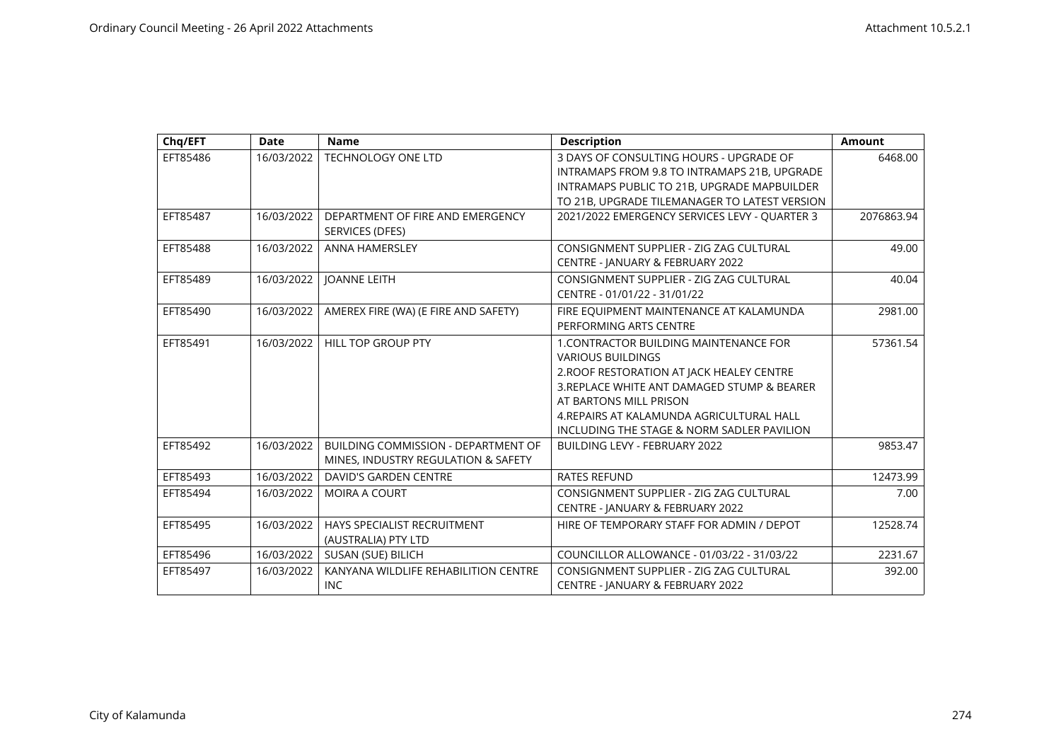| Chq/EFT  | <b>Date</b> | <b>Name</b>                          | <b>Description</b>                                                                          | <b>Amount</b> |
|----------|-------------|--------------------------------------|---------------------------------------------------------------------------------------------|---------------|
| EFT85486 | 16/03/2022  | <b>TECHNOLOGY ONE LTD</b>            | 3 DAYS OF CONSULTING HOURS - UPGRADE OF                                                     | 6468.00       |
|          |             |                                      | INTRAMAPS FROM 9.8 TO INTRAMAPS 21B, UPGRADE<br>INTRAMAPS PUBLIC TO 21B, UPGRADE MAPBUILDER |               |
|          |             |                                      | TO 21B, UPGRADE TILEMANAGER TO LATEST VERSION                                               |               |
| EFT85487 | 16/03/2022  | DEPARTMENT OF FIRE AND EMERGENCY     | 2021/2022 EMERGENCY SERVICES LEVY - QUARTER 3                                               | 2076863.94    |
|          |             | SERVICES (DFES)                      |                                                                                             |               |
| EFT85488 | 16/03/2022  | <b>ANNA HAMERSLEY</b>                | CONSIGNMENT SUPPLIER - ZIG ZAG CULTURAL                                                     | 49.00         |
|          |             |                                      | CENTRE - JANUARY & FEBRUARY 2022                                                            |               |
| EFT85489 | 16/03/2022  | <b>JOANNE LEITH</b>                  | CONSIGNMENT SUPPLIER - ZIG ZAG CULTURAL                                                     | 40.04         |
|          |             |                                      | CENTRE - 01/01/22 - 31/01/22                                                                |               |
| EFT85490 | 16/03/2022  | AMEREX FIRE (WA) (E FIRE AND SAFETY) | FIRE EQUIPMENT MAINTENANCE AT KALAMUNDA                                                     | 2981.00       |
|          |             |                                      | PERFORMING ARTS CENTRE                                                                      |               |
| EFT85491 | 16/03/2022  | <b>HILL TOP GROUP PTY</b>            | 1. CONTRACTOR BUILDING MAINTENANCE FOR                                                      | 57361.54      |
|          |             |                                      | <b>VARIOUS BUILDINGS</b>                                                                    |               |
|          |             |                                      | 2. ROOF RESTORATION AT JACK HEALEY CENTRE                                                   |               |
|          |             |                                      | 3. REPLACE WHITE ANT DAMAGED STUMP & BEARER                                                 |               |
|          |             |                                      | AT BARTONS MILL PRISON                                                                      |               |
|          |             |                                      | 4. REPAIRS AT KALAMUNDA AGRICULTURAL HALL                                                   |               |
|          |             |                                      | INCLUDING THE STAGE & NORM SADLER PAVILION                                                  |               |
| EFT85492 | 16/03/2022  | BUILDING COMMISSION - DEPARTMENT OF  | <b>BUILDING LEVY - FEBRUARY 2022</b>                                                        | 9853.47       |
|          |             | MINES, INDUSTRY REGULATION & SAFETY  |                                                                                             |               |
| EFT85493 | 16/03/2022  | <b>DAVID'S GARDEN CENTRE</b>         | <b>RATES REFUND</b>                                                                         | 12473.99      |
| EFT85494 | 16/03/2022  | MOIRA A COURT                        | CONSIGNMENT SUPPLIER - ZIG ZAG CULTURAL                                                     | 7.00          |
|          |             |                                      | CENTRE - JANUARY & FEBRUARY 2022                                                            |               |
| EFT85495 | 16/03/2022  | HAYS SPECIALIST RECRUITMENT          | HIRE OF TEMPORARY STAFF FOR ADMIN / DEPOT                                                   | 12528.74      |
|          |             | (AUSTRALIA) PTY LTD                  |                                                                                             |               |
| EFT85496 | 16/03/2022  | SUSAN (SUE) BILICH                   | COUNCILLOR ALLOWANCE - 01/03/22 - 31/03/22                                                  | 2231.67       |
| EFT85497 | 16/03/2022  | KANYANA WILDLIFE REHABILITION CENTRE | CONSIGNMENT SUPPLIER - ZIG ZAG CULTURAL                                                     | 392.00        |
|          |             | INC                                  | CENTRE - JANUARY & FEBRUARY 2022                                                            |               |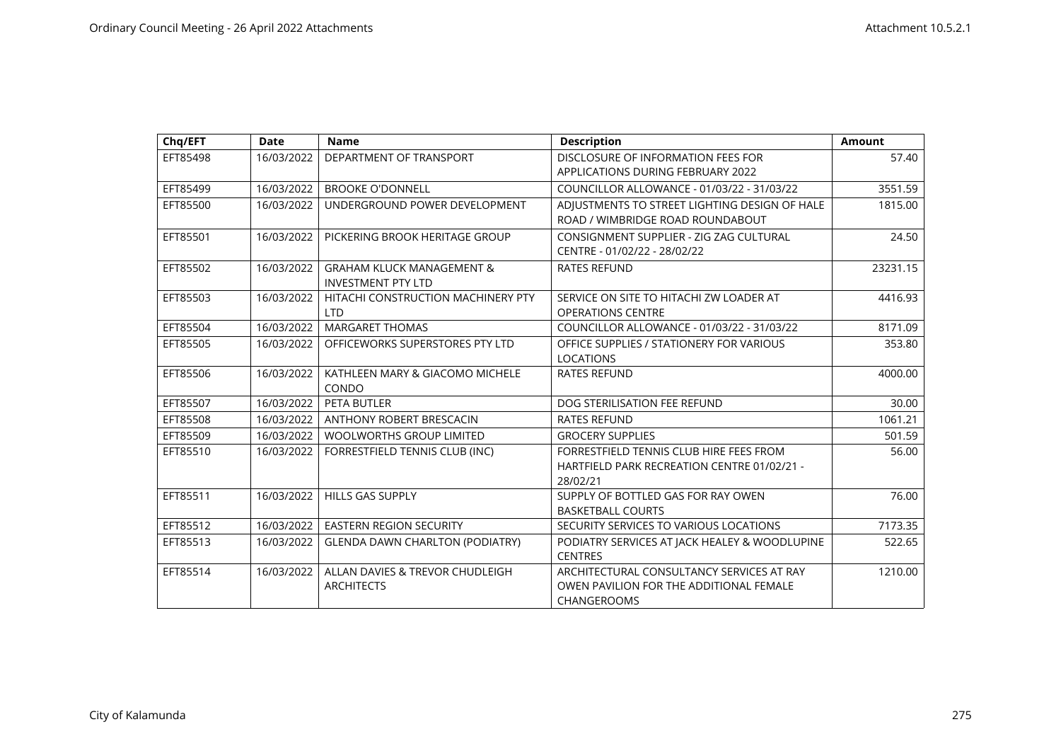| Chq/EFT  | <b>Date</b> | <b>Name</b>                                                       | <b>Description</b>                                                                                         | <b>Amount</b> |
|----------|-------------|-------------------------------------------------------------------|------------------------------------------------------------------------------------------------------------|---------------|
| EFT85498 | 16/03/2022  | DEPARTMENT OF TRANSPORT                                           | DISCLOSURE OF INFORMATION FEES FOR<br><b>APPLICATIONS DURING FEBRUARY 2022</b>                             | 57.40         |
| EFT85499 | 16/03/2022  | <b>BROOKE O'DONNELL</b>                                           | COUNCILLOR ALLOWANCE - 01/03/22 - 31/03/22                                                                 | 3551.59       |
| EFT85500 | 16/03/2022  | UNDERGROUND POWER DEVELOPMENT                                     | ADJUSTMENTS TO STREET LIGHTING DESIGN OF HALE<br>ROAD / WIMBRIDGE ROAD ROUNDABOUT                          | 1815.00       |
| EFT85501 | 16/03/2022  | PICKERING BROOK HERITAGE GROUP                                    | CONSIGNMENT SUPPLIER - ZIG ZAG CULTURAL<br>CENTRE - 01/02/22 - 28/02/22                                    | 24.50         |
| EFT85502 | 16/03/2022  | <b>GRAHAM KLUCK MANAGEMENT &amp;</b><br><b>INVESTMENT PTY LTD</b> | <b>RATES REFUND</b>                                                                                        | 23231.15      |
| EFT85503 | 16/03/2022  | HITACHI CONSTRUCTION MACHINERY PTY<br><b>LTD</b>                  | SERVICE ON SITE TO HITACHI ZW LOADER AT<br><b>OPERATIONS CENTRE</b>                                        | 4416.93       |
| EFT85504 | 16/03/2022  | <b>MARGARET THOMAS</b>                                            | COUNCILLOR ALLOWANCE - 01/03/22 - 31/03/22                                                                 | 8171.09       |
| EFT85505 | 16/03/2022  | OFFICEWORKS SUPERSTORES PTY LTD                                   | OFFICE SUPPLIES / STATIONERY FOR VARIOUS<br><b>LOCATIONS</b>                                               | 353.80        |
| EFT85506 | 16/03/2022  | KATHLEEN MARY & GIACOMO MICHELE<br>CONDO                          | <b>RATES REFUND</b>                                                                                        | 4000.00       |
| EFT85507 | 16/03/2022  | PETA BUTLER                                                       | DOG STERILISATION FEE REFUND                                                                               | 30.00         |
| EFT85508 | 16/03/2022  | <b>ANTHONY ROBERT BRESCACIN</b>                                   | <b>RATES REFUND</b>                                                                                        | 1061.21       |
| EFT85509 | 16/03/2022  | <b>WOOLWORTHS GROUP LIMITED</b>                                   | <b>GROCERY SUPPLIES</b>                                                                                    | 501.59        |
| EFT85510 | 16/03/2022  | FORRESTFIELD TENNIS CLUB (INC)                                    | FORRESTFIELD TENNIS CLUB HIRE FEES FROM<br>HARTFIELD PARK RECREATION CENTRE 01/02/21 -<br>28/02/21         | 56.00         |
| EFT85511 | 16/03/2022  | <b>HILLS GAS SUPPLY</b>                                           | SUPPLY OF BOTTLED GAS FOR RAY OWEN<br><b>BASKETBALL COURTS</b>                                             | 76.00         |
| EFT85512 | 16/03/2022  | <b>EASTERN REGION SECURITY</b>                                    | SECURITY SERVICES TO VARIOUS LOCATIONS                                                                     | 7173.35       |
| EFT85513 | 16/03/2022  | <b>GLENDA DAWN CHARLTON (PODIATRY)</b>                            | PODIATRY SERVICES AT JACK HEALEY & WOODLUPINE<br><b>CENTRES</b>                                            | 522.65        |
| EFT85514 | 16/03/2022  | ALLAN DAVIES & TREVOR CHUDLEIGH<br><b>ARCHITECTS</b>              | ARCHITECTURAL CONSULTANCY SERVICES AT RAY<br>OWEN PAVILION FOR THE ADDITIONAL FEMALE<br><b>CHANGEROOMS</b> | 1210.00       |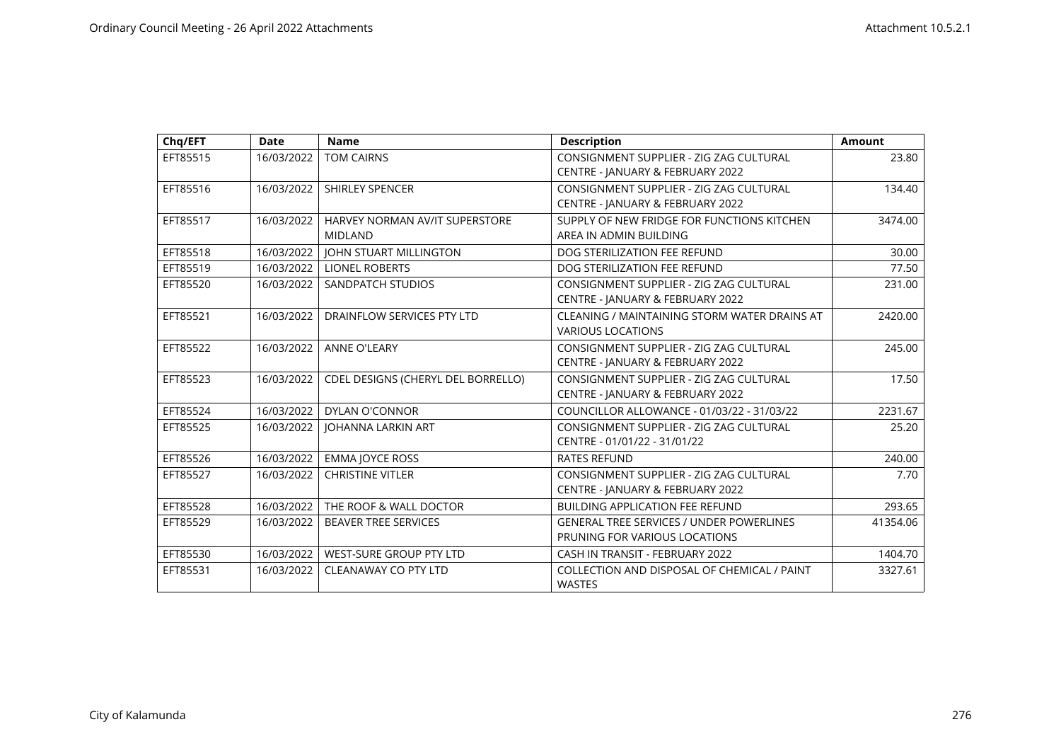| Chq/EFT  | <b>Date</b> | <b>Name</b>                                      | <b>Description</b>                                                               | <b>Amount</b> |
|----------|-------------|--------------------------------------------------|----------------------------------------------------------------------------------|---------------|
| EFT85515 | 16/03/2022  | <b>TOM CAIRNS</b>                                | CONSIGNMENT SUPPLIER - ZIG ZAG CULTURAL<br>CENTRE - JANUARY & FEBRUARY 2022      | 23.80         |
| EFT85516 | 16/03/2022  | <b>SHIRLEY SPENCER</b>                           | CONSIGNMENT SUPPLIER - ZIG ZAG CULTURAL<br>CENTRE - JANUARY & FEBRUARY 2022      | 134.40        |
| EFT85517 | 16/03/2022  | HARVEY NORMAN AV/IT SUPERSTORE<br><b>MIDLAND</b> | SUPPLY OF NEW FRIDGE FOR FUNCTIONS KITCHEN<br>AREA IN ADMIN BUILDING             | 3474.00       |
| EFT85518 | 16/03/2022  | <b>JOHN STUART MILLINGTON</b>                    | DOG STERILIZATION FEE REFUND                                                     | 30.00         |
| EFT85519 | 16/03/2022  | <b>LIONEL ROBERTS</b>                            | DOG STERILIZATION FEE REFUND                                                     | 77.50         |
| EFT85520 | 16/03/2022  | SANDPATCH STUDIOS                                | CONSIGNMENT SUPPLIER - ZIG ZAG CULTURAL<br>CENTRE - JANUARY & FEBRUARY 2022      | 231.00        |
| EFT85521 | 16/03/2022  | DRAINFLOW SERVICES PTY LTD                       | CLEANING / MAINTAINING STORM WATER DRAINS AT<br><b>VARIOUS LOCATIONS</b>         | 2420.00       |
| EFT85522 | 16/03/2022  | <b>ANNE O'LEARY</b>                              | CONSIGNMENT SUPPLIER - ZIG ZAG CULTURAL<br>CENTRE - JANUARY & FEBRUARY 2022      | 245.00        |
| EFT85523 | 16/03/2022  | CDEL DESIGNS (CHERYL DEL BORRELLO)               | CONSIGNMENT SUPPLIER - ZIG ZAG CULTURAL<br>CENTRE - JANUARY & FEBRUARY 2022      | 17.50         |
| EFT85524 | 16/03/2022  | DYLAN O'CONNOR                                   | COUNCILLOR ALLOWANCE - 01/03/22 - 31/03/22                                       | 2231.67       |
| EFT85525 | 16/03/2022  | <b>JOHANNA LARKIN ART</b>                        | CONSIGNMENT SUPPLIER - ZIG ZAG CULTURAL<br>CENTRE - 01/01/22 - 31/01/22          | 25.20         |
| EFT85526 | 16/03/2022  | <b>EMMA JOYCE ROSS</b>                           | <b>RATES REFUND</b>                                                              | 240.00        |
| EFT85527 | 16/03/2022  | <b>CHRISTINE VITLER</b>                          | CONSIGNMENT SUPPLIER - ZIG ZAG CULTURAL<br>CENTRE - JANUARY & FEBRUARY 2022      | 7.70          |
| EFT85528 | 16/03/2022  | THE ROOF & WALL DOCTOR                           | <b>BUILDING APPLICATION FEE REFUND</b>                                           | 293.65        |
| EFT85529 | 16/03/2022  | <b>BEAVER TREE SERVICES</b>                      | <b>GENERAL TREE SERVICES / UNDER POWERLINES</b><br>PRUNING FOR VARIOUS LOCATIONS | 41354.06      |
| EFT85530 | 16/03/2022  | WEST-SURE GROUP PTY LTD                          | CASH IN TRANSIT - FEBRUARY 2022                                                  | 1404.70       |
| EFT85531 | 16/03/2022  | <b>CLEANAWAY CO PTY LTD</b>                      | COLLECTION AND DISPOSAL OF CHEMICAL / PAINT<br><b>WASTES</b>                     | 3327.61       |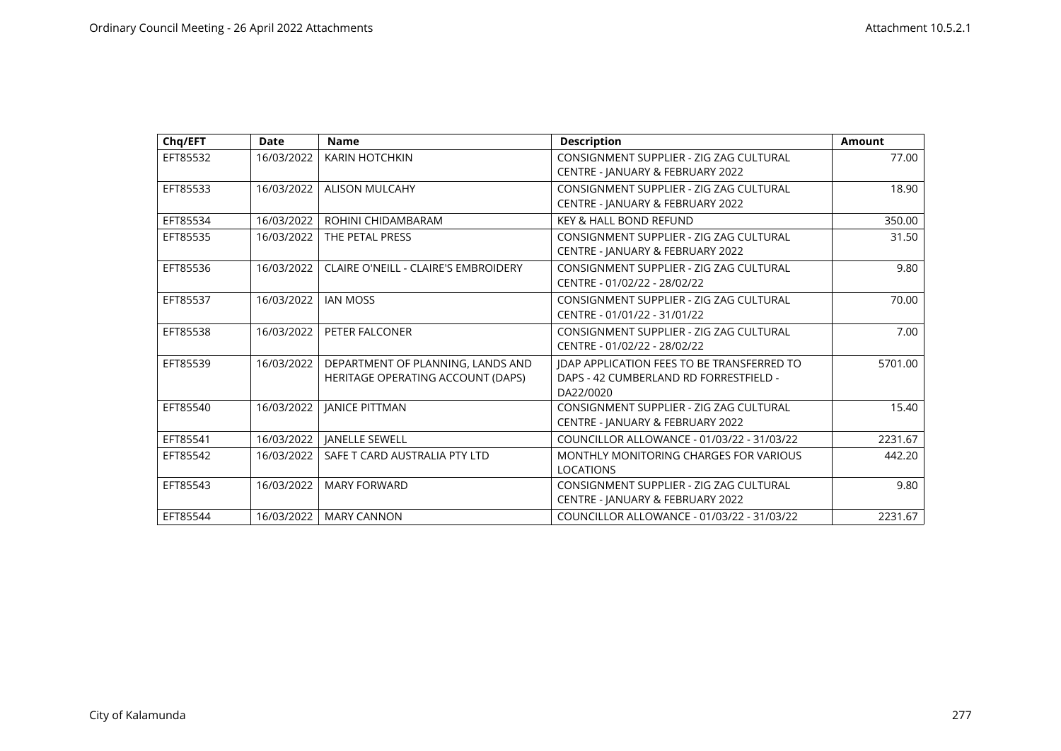| Chq/EFT  | Date       | <b>Name</b>                                                            | <b>Description</b>                                                                                       | <b>Amount</b> |
|----------|------------|------------------------------------------------------------------------|----------------------------------------------------------------------------------------------------------|---------------|
| EFT85532 | 16/03/2022 | <b>KARIN HOTCHKIN</b>                                                  | CONSIGNMENT SUPPLIER - ZIG ZAG CULTURAL<br>CENTRE - JANUARY & FEBRUARY 2022                              | 77.00         |
| EFT85533 | 16/03/2022 | <b>ALISON MULCAHY</b>                                                  | CONSIGNMENT SUPPLIER - ZIG ZAG CULTURAL<br>CENTRE - JANUARY & FEBRUARY 2022                              | 18.90         |
| EFT85534 | 16/03/2022 | ROHINI CHIDAMBARAM                                                     | KEY & HALL BOND REFUND                                                                                   | 350.00        |
| EFT85535 | 16/03/2022 | THE PETAL PRESS                                                        | CONSIGNMENT SUPPLIER - ZIG ZAG CULTURAL<br>CENTRE - JANUARY & FEBRUARY 2022                              | 31.50         |
| EFT85536 | 16/03/2022 | CLAIRE O'NEILL - CLAIRE'S EMBROIDERY                                   | CONSIGNMENT SUPPLIER - ZIG ZAG CULTURAL<br>CENTRE - 01/02/22 - 28/02/22                                  | 9.80          |
| EFT85537 | 16/03/2022 | <b>IAN MOSS</b>                                                        | CONSIGNMENT SUPPLIER - ZIG ZAG CULTURAL<br>CENTRE - 01/01/22 - 31/01/22                                  | 70.00         |
| EFT85538 | 16/03/2022 | PETER FALCONER                                                         | CONSIGNMENT SUPPLIER - ZIG ZAG CULTURAL<br>CENTRE - 01/02/22 - 28/02/22                                  | 7.00          |
| EFT85539 | 16/03/2022 | DEPARTMENT OF PLANNING, LANDS AND<br>HERITAGE OPERATING ACCOUNT (DAPS) | <b>IDAP APPLICATION FEES TO BE TRANSFERRED TO</b><br>DAPS - 42 CUMBERLAND RD FORRESTFIELD -<br>DA22/0020 | 5701.00       |
| EFT85540 | 16/03/2022 | <b>JANICE PITTMAN</b>                                                  | CONSIGNMENT SUPPLIER - ZIG ZAG CULTURAL<br>CENTRE - JANUARY & FEBRUARY 2022                              | 15.40         |
| EFT85541 | 16/03/2022 | <b>IANELLE SEWELL</b>                                                  | COUNCILLOR ALLOWANCE - 01/03/22 - 31/03/22                                                               | 2231.67       |
| EFT85542 | 16/03/2022 | SAFE T CARD AUSTRALIA PTY LTD                                          | MONTHLY MONITORING CHARGES FOR VARIOUS<br><b>LOCATIONS</b>                                               | 442.20        |
| EFT85543 | 16/03/2022 | <b>MARY FORWARD</b>                                                    | CONSIGNMENT SUPPLIER - ZIG ZAG CULTURAL<br>CENTRE - JANUARY & FEBRUARY 2022                              | 9.80          |
| EFT85544 | 16/03/2022 | <b>MARY CANNON</b>                                                     | COUNCILLOR ALLOWANCE - 01/03/22 - 31/03/22                                                               | 2231.67       |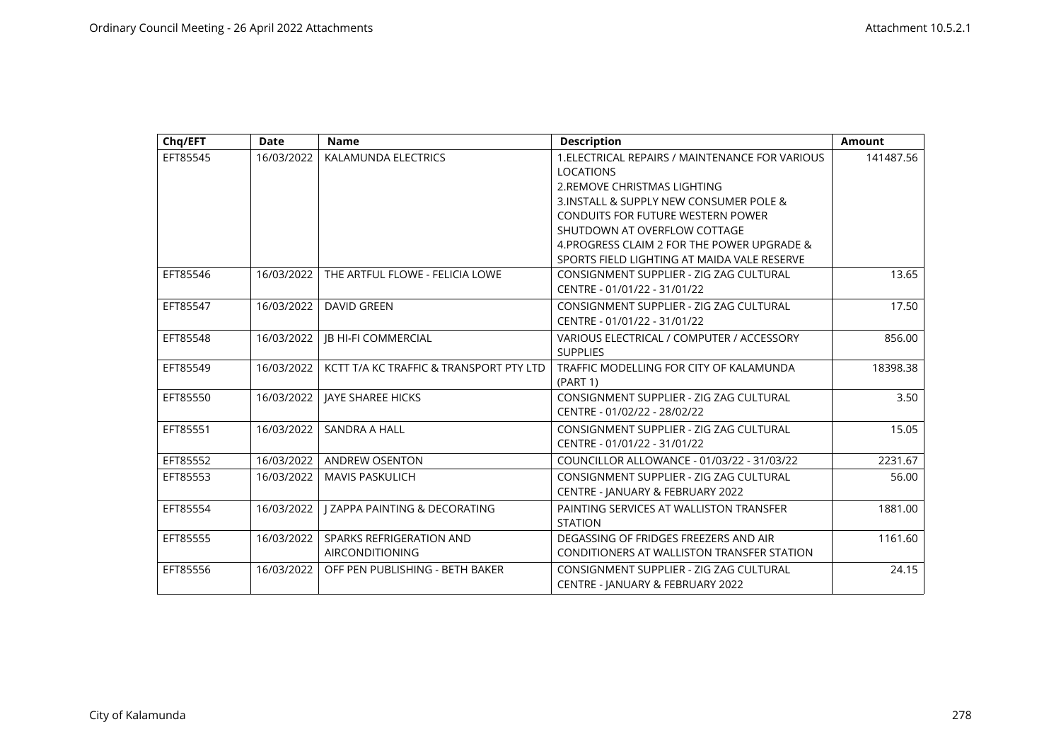| Chg/EFT  | Date       | <b>Name</b>                              | <b>Description</b>                              | <b>Amount</b> |
|----------|------------|------------------------------------------|-------------------------------------------------|---------------|
| EFT85545 | 16/03/2022 | KALAMUNDA ELECTRICS                      | 1. ELECTRICAL REPAIRS / MAINTENANCE FOR VARIOUS | 141487.56     |
|          |            |                                          | <b>LOCATIONS</b>                                |               |
|          |            |                                          | 2. REMOVE CHRISTMAS LIGHTING                    |               |
|          |            |                                          | 3. INSTALL & SUPPLY NEW CONSUMER POLE &         |               |
|          |            |                                          | CONDUITS FOR FUTURE WESTERN POWER               |               |
|          |            |                                          | SHUTDOWN AT OVERFLOW COTTAGE                    |               |
|          |            |                                          | 4. PROGRESS CLAIM 2 FOR THE POWER UPGRADE &     |               |
|          |            |                                          | SPORTS FIELD LIGHTING AT MAIDA VALE RESERVE     |               |
| EFT85546 | 16/03/2022 | THE ARTFUL FLOWE - FELICIA LOWE          | CONSIGNMENT SUPPLIER - ZIG ZAG CULTURAL         | 13.65         |
|          |            |                                          | CENTRE - 01/01/22 - 31/01/22                    |               |
| EFT85547 | 16/03/2022 | <b>DAVID GREEN</b>                       | CONSIGNMENT SUPPLIER - ZIG ZAG CULTURAL         | 17.50         |
|          |            |                                          | CENTRE - 01/01/22 - 31/01/22                    |               |
| EFT85548 | 16/03/2022 | <b>IB HI-FI COMMERCIAL</b>               | VARIOUS ELECTRICAL / COMPUTER / ACCESSORY       | 856.00        |
|          |            |                                          | <b>SUPPLIES</b>                                 |               |
| EFT85549 | 16/03/2022 | KCTT T/A KC TRAFFIC & TRANSPORT PTY LTD  | TRAFFIC MODELLING FOR CITY OF KALAMUNDA         | 18398.38      |
|          |            |                                          | (PART 1)                                        |               |
| EFT85550 | 16/03/2022 | JAYE SHAREE HICKS                        | CONSIGNMENT SUPPLIER - ZIG ZAG CULTURAL         | 3.50          |
|          |            |                                          | CENTRE - 01/02/22 - 28/02/22                    |               |
| EFT85551 | 16/03/2022 | SANDRA A HALL                            | CONSIGNMENT SUPPLIER - ZIG ZAG CULTURAL         | 15.05         |
|          |            |                                          | CENTRE - 01/01/22 - 31/01/22                    |               |
| EFT85552 | 16/03/2022 | <b>ANDREW OSENTON</b>                    | COUNCILLOR ALLOWANCE - 01/03/22 - 31/03/22      | 2231.67       |
| EFT85553 | 16/03/2022 | <b>MAVIS PASKULICH</b>                   | CONSIGNMENT SUPPLIER - ZIG ZAG CULTURAL         | 56.00         |
|          |            |                                          | CENTRE - JANUARY & FEBRUARY 2022                |               |
| EFT85554 | 16/03/2022 | <b>I ZAPPA PAINTING &amp; DECORATING</b> | PAINTING SERVICES AT WALLISTON TRANSFER         | 1881.00       |
|          |            |                                          | <b>STATION</b>                                  |               |
| EFT85555 | 16/03/2022 | SPARKS REFRIGERATION AND                 | DEGASSING OF FRIDGES FREEZERS AND AIR           | 1161.60       |
|          |            | <b>AIRCONDITIONING</b>                   | CONDITIONERS AT WALLISTON TRANSFER STATION      |               |
| EFT85556 | 16/03/2022 | OFF PEN PUBLISHING - BETH BAKER          | CONSIGNMENT SUPPLIER - ZIG ZAG CULTURAL         | 24.15         |
|          |            |                                          | <b>CENTRE - JANUARY &amp; FEBRUARY 2022</b>     |               |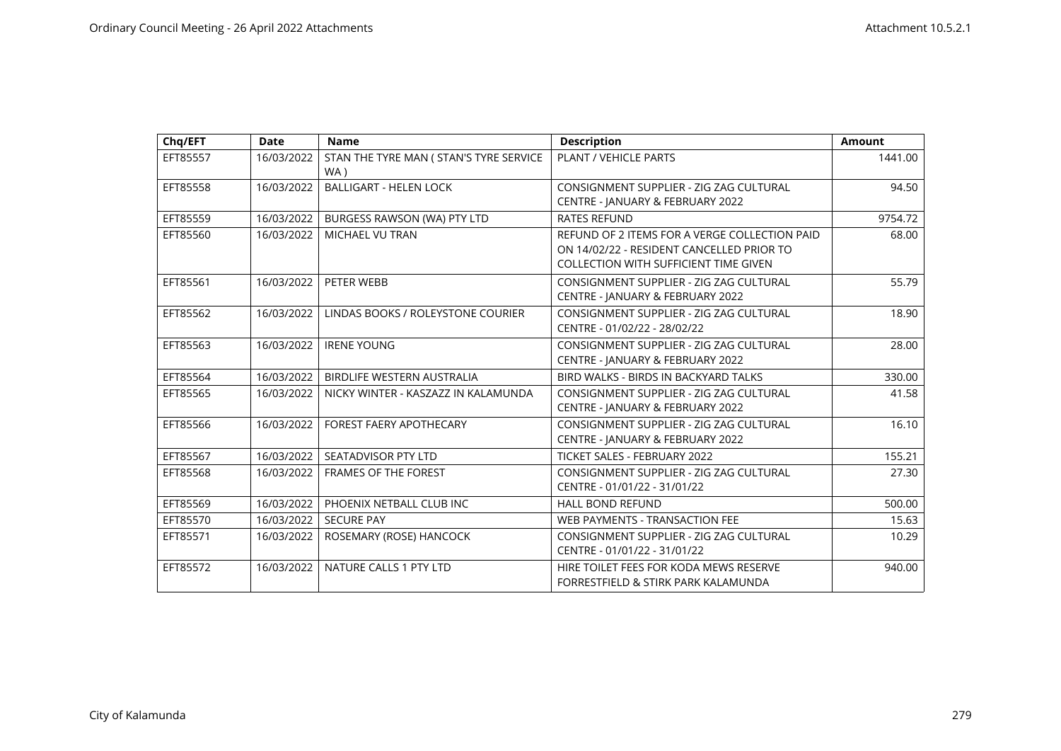| Chq/EFT  | <b>Date</b> | <b>Name</b>                                    | <b>Description</b>                                                                                                                         | <b>Amount</b> |
|----------|-------------|------------------------------------------------|--------------------------------------------------------------------------------------------------------------------------------------------|---------------|
| EFT85557 | 16/03/2022  | STAN THE TYRE MAN ( STAN'S TYRE SERVICE<br>WA) | PLANT / VEHICLE PARTS                                                                                                                      | 1441.00       |
| EFT85558 | 16/03/2022  | <b>BALLIGART - HELEN LOCK</b>                  | CONSIGNMENT SUPPLIER - ZIG ZAG CULTURAL<br>CENTRE - JANUARY & FEBRUARY 2022                                                                | 94.50         |
| EFT85559 | 16/03/2022  | BURGESS RAWSON (WA) PTY LTD                    | <b>RATES REFUND</b>                                                                                                                        | 9754.72       |
| EFT85560 | 16/03/2022  | MICHAEL VU TRAN                                | REFUND OF 2 ITEMS FOR A VERGE COLLECTION PAID<br>ON 14/02/22 - RESIDENT CANCELLED PRIOR TO<br><b>COLLECTION WITH SUFFICIENT TIME GIVEN</b> | 68.00         |
| EFT85561 | 16/03/2022  | PETER WEBB                                     | CONSIGNMENT SUPPLIER - ZIG ZAG CULTURAL<br>CENTRE - JANUARY & FEBRUARY 2022                                                                | 55.79         |
| EFT85562 | 16/03/2022  | LINDAS BOOKS / ROLEYSTONE COURIER              | CONSIGNMENT SUPPLIER - ZIG ZAG CULTURAL<br>CENTRE - 01/02/22 - 28/02/22                                                                    | 18.90         |
| EFT85563 | 16/03/2022  | <b>IRENE YOUNG</b>                             | CONSIGNMENT SUPPLIER - ZIG ZAG CULTURAL<br>CENTRE - JANUARY & FEBRUARY 2022                                                                | 28.00         |
| EFT85564 | 16/03/2022  | BIRDLIFE WESTERN AUSTRALIA                     | BIRD WALKS - BIRDS IN BACKYARD TALKS                                                                                                       | 330.00        |
| EFT85565 | 16/03/2022  | NICKY WINTER - KASZAZZ IN KALAMUNDA            | CONSIGNMENT SUPPLIER - ZIG ZAG CULTURAL<br>CENTRE - JANUARY & FEBRUARY 2022                                                                | 41.58         |
| EFT85566 | 16/03/2022  | <b>FOREST FAERY APOTHECARY</b>                 | CONSIGNMENT SUPPLIER - ZIG ZAG CULTURAL<br>CENTRE - JANUARY & FEBRUARY 2022                                                                | 16.10         |
| EFT85567 | 16/03/2022  | SEATADVISOR PTY LTD                            | TICKET SALES - FEBRUARY 2022                                                                                                               | 155.21        |
| EFT85568 | 16/03/2022  | <b>FRAMES OF THE FOREST</b>                    | CONSIGNMENT SUPPLIER - ZIG ZAG CULTURAL<br>CENTRE - 01/01/22 - 31/01/22                                                                    | 27.30         |
| EFT85569 | 16/03/2022  | PHOENIX NETBALL CLUB INC                       | <b>HALL BOND REFUND</b>                                                                                                                    | 500.00        |
| EFT85570 | 16/03/2022  | <b>SECURE PAY</b>                              | WEB PAYMENTS - TRANSACTION FEE                                                                                                             | 15.63         |
| EFT85571 | 16/03/2022  | ROSEMARY (ROSE) HANCOCK                        | CONSIGNMENT SUPPLIER - ZIG ZAG CULTURAL<br>CENTRE - 01/01/22 - 31/01/22                                                                    | 10.29         |
| EFT85572 | 16/03/2022  | NATURE CALLS 1 PTY LTD                         | HIRE TOILET FEES FOR KODA MEWS RESERVE<br>FORRESTFIELD & STIRK PARK KALAMUNDA                                                              | 940.00        |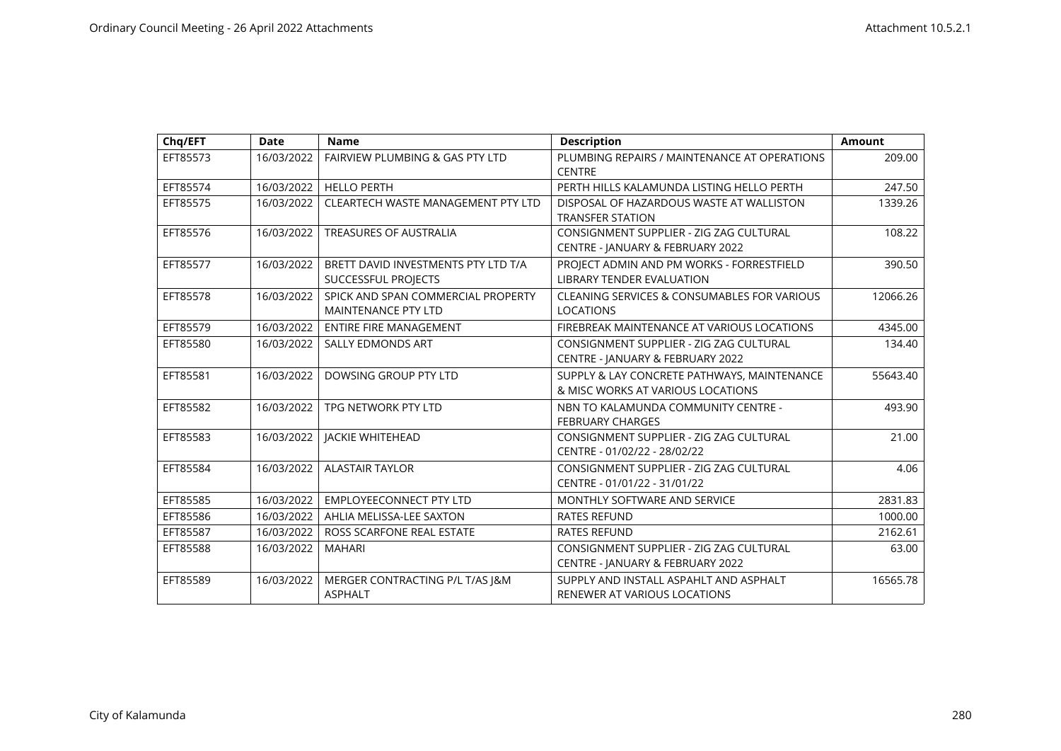| Chq/EFT  | <b>Date</b> | <b>Name</b>                                                       | <b>Description</b>                                                               | <b>Amount</b> |
|----------|-------------|-------------------------------------------------------------------|----------------------------------------------------------------------------------|---------------|
| EFT85573 | 16/03/2022  | <b>FAIRVIEW PLUMBING &amp; GAS PTY LTD</b>                        | PLUMBING REPAIRS / MAINTENANCE AT OPERATIONS<br><b>CENTRE</b>                    | 209.00        |
| EFT85574 | 16/03/2022  | <b>HELLO PERTH</b>                                                | PERTH HILLS KALAMUNDA LISTING HELLO PERTH                                        | 247.50        |
| EFT85575 | 16/03/2022  | CLEARTECH WASTE MANAGEMENT PTY LTD                                | DISPOSAL OF HAZARDOUS WASTE AT WALLISTON<br><b>TRANSFER STATION</b>              | 1339.26       |
| EFT85576 | 16/03/2022  | <b>TREASURES OF AUSTRALIA</b>                                     | CONSIGNMENT SUPPLIER - ZIG ZAG CULTURAL<br>CENTRE - JANUARY & FEBRUARY 2022      | 108.22        |
| EFT85577 | 16/03/2022  | BRETT DAVID INVESTMENTS PTY LTD T/A<br><b>SUCCESSFUL PROJECTS</b> | PROJECT ADMIN AND PM WORKS - FORRESTFIELD<br><b>LIBRARY TENDER EVALUATION</b>    | 390.50        |
| EFT85578 | 16/03/2022  | SPICK AND SPAN COMMERCIAL PROPERTY<br><b>MAINTENANCE PTY LTD</b>  | <b>CLEANING SERVICES &amp; CONSUMABLES FOR VARIOUS</b><br><b>LOCATIONS</b>       | 12066.26      |
| EFT85579 | 16/03/2022  | <b>ENTIRE FIRE MANAGEMENT</b>                                     | FIREBREAK MAINTENANCE AT VARIOUS LOCATIONS                                       | 4345.00       |
| EFT85580 | 16/03/2022  | <b>SALLY EDMONDS ART</b>                                          | CONSIGNMENT SUPPLIER - ZIG ZAG CULTURAL<br>CENTRE - JANUARY & FEBRUARY 2022      | 134.40        |
| EFT85581 | 16/03/2022  | DOWSING GROUP PTY LTD                                             | SUPPLY & LAY CONCRETE PATHWAYS, MAINTENANCE<br>& MISC WORKS AT VARIOUS LOCATIONS | 55643.40      |
| EFT85582 | 16/03/2022  | TPG NETWORK PTY LTD                                               | NBN TO KALAMUNDA COMMUNITY CENTRE -<br><b>FEBRUARY CHARGES</b>                   | 493.90        |
| EFT85583 | 16/03/2022  | JACKIE WHITEHEAD                                                  | CONSIGNMENT SUPPLIER - ZIG ZAG CULTURAL<br>CENTRE - 01/02/22 - 28/02/22          | 21.00         |
| EFT85584 | 16/03/2022  | <b>ALASTAIR TAYLOR</b>                                            | CONSIGNMENT SUPPLIER - ZIG ZAG CULTURAL<br>CENTRE - 01/01/22 - 31/01/22          | 4.06          |
| EFT85585 | 16/03/2022  | <b>EMPLOYEECONNECT PTY LTD</b>                                    | MONTHLY SOFTWARE AND SERVICE                                                     | 2831.83       |
| EFT85586 | 16/03/2022  | AHLIA MELISSA-LEE SAXTON                                          | <b>RATES REFUND</b>                                                              | 1000.00       |
| EFT85587 | 16/03/2022  | ROSS SCARFONE REAL ESTATE                                         | <b>RATES REFUND</b>                                                              | 2162.61       |
| EFT85588 | 16/03/2022  | <b>MAHARI</b>                                                     | CONSIGNMENT SUPPLIER - ZIG ZAG CULTURAL<br>CENTRE - JANUARY & FEBRUARY 2022      | 63.00         |
| EFT85589 | 16/03/2022  | MERGER CONTRACTING P/L T/AS J&M<br><b>ASPHALT</b>                 | SUPPLY AND INSTALL ASPAHLT AND ASPHALT<br>RENEWER AT VARIOUS LOCATIONS           | 16565.78      |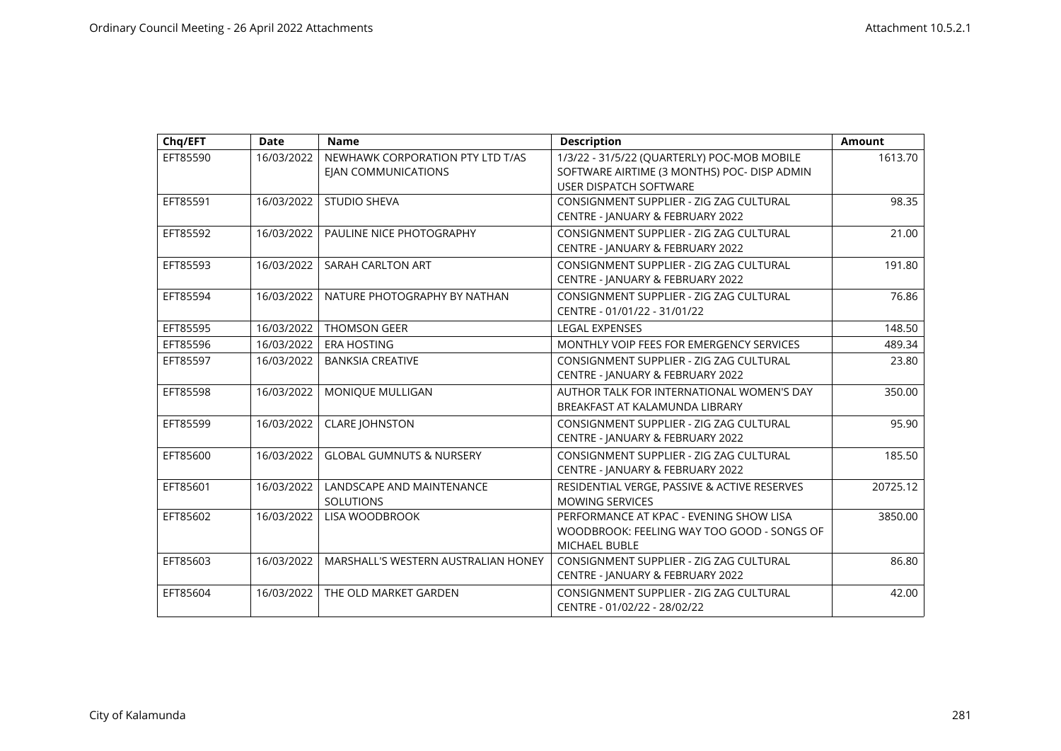| Chq/EFT  | <b>Date</b> | <b>Name</b>                                                    | <b>Description</b>                                                                                                          | <b>Amount</b> |
|----------|-------------|----------------------------------------------------------------|-----------------------------------------------------------------------------------------------------------------------------|---------------|
| EFT85590 | 16/03/2022  | NEWHAWK CORPORATION PTY LTD T/AS<br><b>EIAN COMMUNICATIONS</b> | 1/3/22 - 31/5/22 (QUARTERLY) POC-MOB MOBILE<br>SOFTWARE AIRTIME (3 MONTHS) POC- DISP ADMIN<br><b>USER DISPATCH SOFTWARE</b> | 1613.70       |
| EFT85591 | 16/03/2022  | <b>STUDIO SHEVA</b>                                            | CONSIGNMENT SUPPLIER - ZIG ZAG CULTURAL<br>CENTRE - JANUARY & FEBRUARY 2022                                                 | 98.35         |
| EFT85592 | 16/03/2022  | PAULINE NICE PHOTOGRAPHY                                       | CONSIGNMENT SUPPLIER - ZIG ZAG CULTURAL<br>CENTRE - JANUARY & FEBRUARY 2022                                                 | 21.00         |
| EFT85593 | 16/03/2022  | SARAH CARLTON ART                                              | CONSIGNMENT SUPPLIER - ZIG ZAG CULTURAL<br>CENTRE - JANUARY & FEBRUARY 2022                                                 | 191.80        |
| EFT85594 | 16/03/2022  | NATURE PHOTOGRAPHY BY NATHAN                                   | CONSIGNMENT SUPPLIER - ZIG ZAG CULTURAL<br>CENTRE - 01/01/22 - 31/01/22                                                     | 76.86         |
| EFT85595 | 16/03/2022  | <b>THOMSON GEER</b>                                            | <b>LEGAL EXPENSES</b>                                                                                                       | 148.50        |
| EFT85596 | 16/03/2022  | <b>ERA HOSTING</b>                                             | MONTHLY VOIP FEES FOR EMERGENCY SERVICES                                                                                    | 489.34        |
| EFT85597 | 16/03/2022  | <b>BANKSIA CREATIVE</b>                                        | CONSIGNMENT SUPPLIER - ZIG ZAG CULTURAL<br>CENTRE - JANUARY & FEBRUARY 2022                                                 | 23.80         |
| EFT85598 | 16/03/2022  | MONIQUE MULLIGAN                                               | AUTHOR TALK FOR INTERNATIONAL WOMEN'S DAY<br>BREAKFAST AT KALAMUNDA LIBRARY                                                 | 350.00        |
| EFT85599 | 16/03/2022  | <b>CLARE JOHNSTON</b>                                          | CONSIGNMENT SUPPLIER - ZIG ZAG CULTURAL<br>CENTRE - JANUARY & FEBRUARY 2022                                                 | 95.90         |
| EFT85600 | 16/03/2022  | <b>GLOBAL GUMNUTS &amp; NURSERY</b>                            | CONSIGNMENT SUPPLIER - ZIG ZAG CULTURAL<br>CENTRE - JANUARY & FEBRUARY 2022                                                 | 185.50        |
| EFT85601 | 16/03/2022  | LANDSCAPE AND MAINTENANCE<br><b>SOLUTIONS</b>                  | RESIDENTIAL VERGE, PASSIVE & ACTIVE RESERVES<br><b>MOWING SERVICES</b>                                                      | 20725.12      |
| EFT85602 | 16/03/2022  | LISA WOODBROOK                                                 | PERFORMANCE AT KPAC - EVENING SHOW LISA<br>WOODBROOK: FEELING WAY TOO GOOD - SONGS OF<br>MICHAEL BUBLE                      | 3850.00       |
| EFT85603 | 16/03/2022  | MARSHALL'S WESTERN AUSTRALIAN HONEY                            | CONSIGNMENT SUPPLIER - ZIG ZAG CULTURAL<br>CENTRE - JANUARY & FEBRUARY 2022                                                 | 86.80         |
| EFT85604 | 16/03/2022  | THE OLD MARKET GARDEN                                          | CONSIGNMENT SUPPLIER - ZIG ZAG CULTURAL<br>CENTRE - 01/02/22 - 28/02/22                                                     | 42.00         |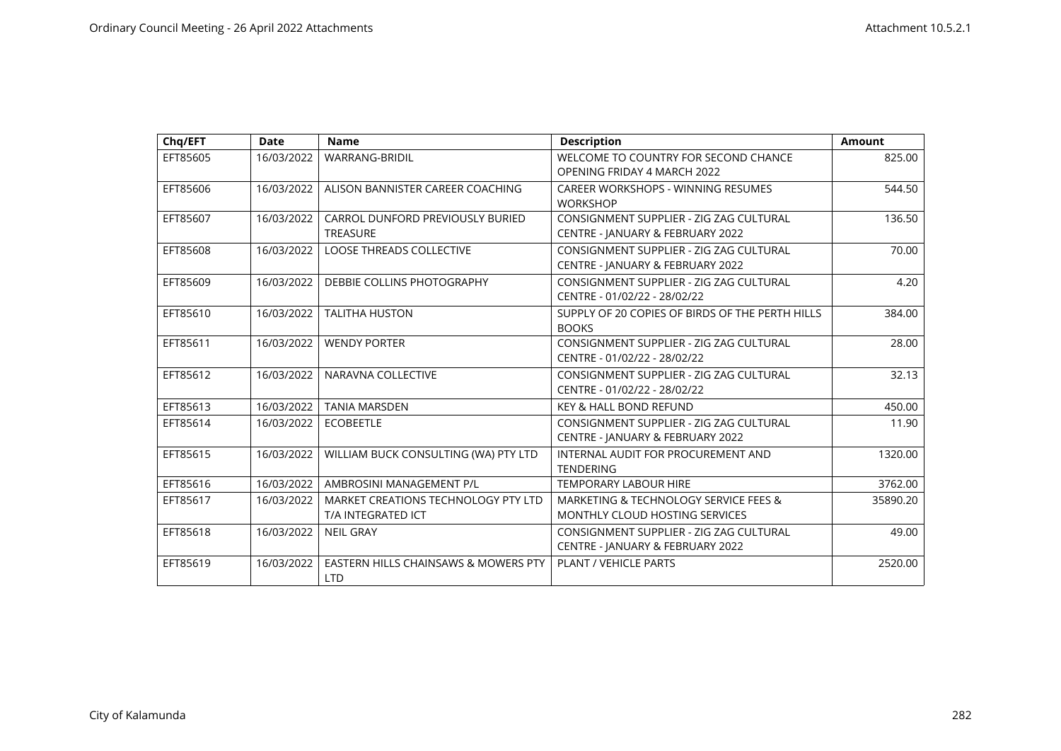| Chq/EFT  | <b>Date</b> | <b>Name</b>                                               | <b>Description</b>                                                          | <b>Amount</b> |
|----------|-------------|-----------------------------------------------------------|-----------------------------------------------------------------------------|---------------|
| EFT85605 | 16/03/2022  | WARRANG-BRIDIL                                            | WELCOME TO COUNTRY FOR SECOND CHANCE<br>OPENING FRIDAY 4 MARCH 2022         | 825.00        |
| EFT85606 | 16/03/2022  | ALISON BANNISTER CAREER COACHING                          | CAREER WORKSHOPS - WINNING RESUMES<br><b>WORKSHOP</b>                       | 544.50        |
| EFT85607 | 16/03/2022  | CARROL DUNFORD PREVIOUSLY BURIED<br><b>TREASURE</b>       | CONSIGNMENT SUPPLIER - ZIG ZAG CULTURAL<br>CENTRE - JANUARY & FEBRUARY 2022 | 136.50        |
| EFT85608 | 16/03/2022  | <b>LOOSE THREADS COLLECTIVE</b>                           | CONSIGNMENT SUPPLIER - ZIG ZAG CULTURAL<br>CENTRE - JANUARY & FEBRUARY 2022 | 70.00         |
| EFT85609 | 16/03/2022  | DEBBIE COLLINS PHOTOGRAPHY                                | CONSIGNMENT SUPPLIER - ZIG ZAG CULTURAL<br>CENTRE - 01/02/22 - 28/02/22     | 4.20          |
| EFT85610 | 16/03/2022  | <b>TALITHA HUSTON</b>                                     | SUPPLY OF 20 COPIES OF BIRDS OF THE PERTH HILLS<br><b>BOOKS</b>             | 384.00        |
| EFT85611 | 16/03/2022  | <b>WENDY PORTER</b>                                       | CONSIGNMENT SUPPLIER - ZIG ZAG CULTURAL<br>CENTRE - 01/02/22 - 28/02/22     | 28.00         |
| EFT85612 | 16/03/2022  | NARAVNA COLLECTIVE                                        | CONSIGNMENT SUPPLIER - ZIG ZAG CULTURAL<br>CENTRE - 01/02/22 - 28/02/22     | 32.13         |
| EFT85613 | 16/03/2022  | <b>TANIA MARSDEN</b>                                      | <b>KEY &amp; HALL BOND REFUND</b>                                           | 450.00        |
| EFT85614 | 16/03/2022  | <b>ECOBEETLE</b>                                          | CONSIGNMENT SUPPLIER - ZIG ZAG CULTURAL<br>CENTRE - JANUARY & FEBRUARY 2022 | 11.90         |
| EFT85615 | 16/03/2022  | WILLIAM BUCK CONSULTING (WA) PTY LTD                      | INTERNAL AUDIT FOR PROCUREMENT AND<br><b>TENDERING</b>                      | 1320.00       |
| EFT85616 | 16/03/2022  | AMBROSINI MANAGEMENT P/L                                  | <b>TEMPORARY LABOUR HIRE</b>                                                | 3762.00       |
| EFT85617 | 16/03/2022  | MARKET CREATIONS TECHNOLOGY PTY LTD<br>T/A INTEGRATED ICT | MARKETING & TECHNOLOGY SERVICE FEES &<br>MONTHLY CLOUD HOSTING SERVICES     | 35890.20      |
| EFT85618 | 16/03/2022  | <b>NEIL GRAY</b>                                          | CONSIGNMENT SUPPLIER - ZIG ZAG CULTURAL<br>CENTRE - JANUARY & FEBRUARY 2022 | 49.00         |
| EFT85619 | 16/03/2022  | EASTERN HILLS CHAINSAWS & MOWERS PTY<br><b>LTD</b>        | PLANT / VEHICLE PARTS                                                       | 2520.00       |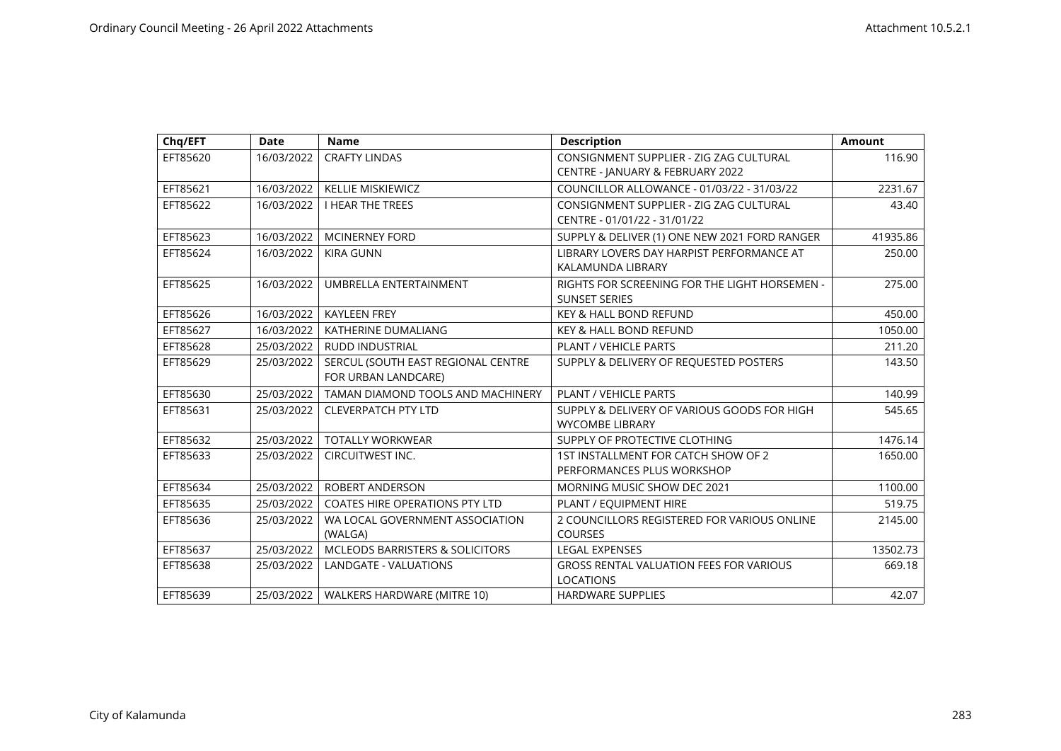| Chq/EFT  | <b>Date</b> | <b>Name</b>                                               | <b>Description</b>                                                          | <b>Amount</b> |
|----------|-------------|-----------------------------------------------------------|-----------------------------------------------------------------------------|---------------|
| EFT85620 | 16/03/2022  | <b>CRAFTY LINDAS</b>                                      | CONSIGNMENT SUPPLIER - ZIG ZAG CULTURAL<br>CENTRE - JANUARY & FEBRUARY 2022 | 116.90        |
| EFT85621 | 16/03/2022  | <b>KELLIE MISKIEWICZ</b>                                  | COUNCILLOR ALLOWANCE - 01/03/22 - 31/03/22                                  | 2231.67       |
| EFT85622 | 16/03/2022  | <b>I HEAR THE TREES</b>                                   | CONSIGNMENT SUPPLIER - ZIG ZAG CULTURAL<br>CENTRE - 01/01/22 - 31/01/22     | 43.40         |
| EFT85623 | 16/03/2022  | <b>MCINERNEY FORD</b>                                     | SUPPLY & DELIVER (1) ONE NEW 2021 FORD RANGER                               | 41935.86      |
| EFT85624 | 16/03/2022  | <b>KIRA GUNN</b>                                          | LIBRARY LOVERS DAY HARPIST PERFORMANCE AT<br>KALAMUNDA LIBRARY              | 250.00        |
| EFT85625 | 16/03/2022  | UMBRELLA ENTERTAINMENT                                    | RIGHTS FOR SCREENING FOR THE LIGHT HORSEMEN -<br><b>SUNSET SERIES</b>       | 275.00        |
| EFT85626 | 16/03/2022  | <b>KAYLEEN FREY</b>                                       | <b>KEY &amp; HALL BOND REFUND</b>                                           | 450.00        |
| EFT85627 | 16/03/2022  | KATHERINE DUMALIANG                                       | <b>KEY &amp; HALL BOND REFUND</b>                                           | 1050.00       |
| EFT85628 | 25/03/2022  | <b>RUDD INDUSTRIAL</b>                                    | PLANT / VEHICLE PARTS                                                       | 211.20        |
| EFT85629 | 25/03/2022  | SERCUL (SOUTH EAST REGIONAL CENTRE<br>FOR URBAN LANDCARE) | SUPPLY & DELIVERY OF REQUESTED POSTERS                                      | 143.50        |
| EFT85630 | 25/03/2022  | TAMAN DIAMOND TOOLS AND MACHINERY                         | PLANT / VEHICLE PARTS                                                       | 140.99        |
| EFT85631 | 25/03/2022  | <b>CLEVERPATCH PTY LTD</b>                                | SUPPLY & DELIVERY OF VARIOUS GOODS FOR HIGH<br><b>WYCOMBE LIBRARY</b>       | 545.65        |
| EFT85632 | 25/03/2022  | <b>TOTALLY WORKWEAR</b>                                   | SUPPLY OF PROTECTIVE CLOTHING                                               | 1476.14       |
| EFT85633 | 25/03/2022  | CIRCUITWEST INC.                                          | 1ST INSTALLMENT FOR CATCH SHOW OF 2<br>PERFORMANCES PLUS WORKSHOP           | 1650.00       |
| EFT85634 | 25/03/2022  | <b>ROBERT ANDERSON</b>                                    | MORNING MUSIC SHOW DEC 2021                                                 | 1100.00       |
| EFT85635 | 25/03/2022  | <b>COATES HIRE OPERATIONS PTY LTD</b>                     | PLANT / EQUIPMENT HIRE                                                      | 519.75        |
| EFT85636 | 25/03/2022  | WA LOCAL GOVERNMENT ASSOCIATION<br>(WALGA)                | 2 COUNCILLORS REGISTERED FOR VARIOUS ONLINE<br><b>COURSES</b>               | 2145.00       |
| EFT85637 | 25/03/2022  | <b>MCLEODS BARRISTERS &amp; SOLICITORS</b>                | <b>LEGAL EXPENSES</b>                                                       | 13502.73      |
| EFT85638 | 25/03/2022  | LANDGATE - VALUATIONS                                     | <b>GROSS RENTAL VALUATION FEES FOR VARIOUS</b><br><b>LOCATIONS</b>          | 669.18        |
| EFT85639 | 25/03/2022  | WALKERS HARDWARE (MITRE 10)                               | <b>HARDWARE SUPPLIES</b>                                                    | 42.07         |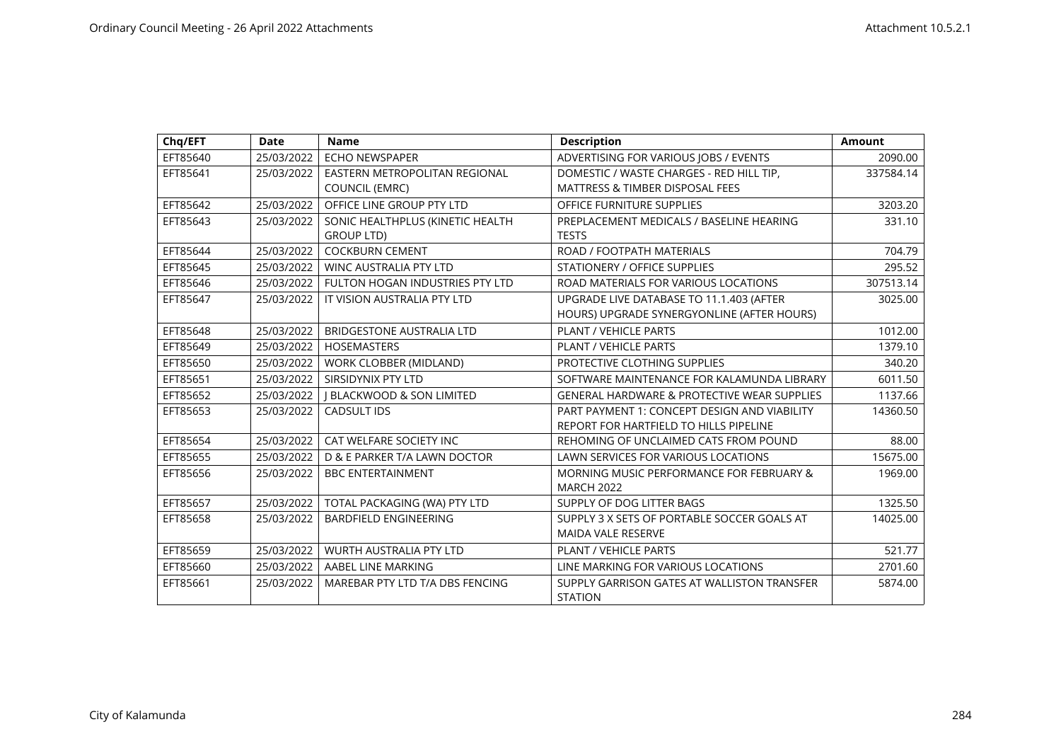| Chq/EFT  | <b>Date</b> | <b>Name</b>                                                   | <b>Description</b>                                                                     | <b>Amount</b> |
|----------|-------------|---------------------------------------------------------------|----------------------------------------------------------------------------------------|---------------|
| EFT85640 | 25/03/2022  | ECHO NEWSPAPER                                                | ADVERTISING FOR VARIOUS JOBS / EVENTS                                                  | 2090.00       |
| EFT85641 | 25/03/2022  | <b>EASTERN METROPOLITAN REGIONAL</b><br><b>COUNCIL (EMRC)</b> | DOMESTIC / WASTE CHARGES - RED HILL TIP.<br><b>MATTRESS &amp; TIMBER DISPOSAL FEES</b> | 337584.14     |
| EFT85642 | 25/03/2022  | OFFICE LINE GROUP PTY LTD                                     | OFFICE FURNITURE SUPPLIES                                                              | 3203.20       |
| EFT85643 | 25/03/2022  | SONIC HEALTHPLUS (KINETIC HEALTH<br><b>GROUP LTD)</b>         | PREPLACEMENT MEDICALS / BASELINE HEARING<br><b>TESTS</b>                               | 331.10        |
| EFT85644 | 25/03/2022  | <b>COCKBURN CEMENT</b>                                        | ROAD / FOOTPATH MATERIALS                                                              | 704.79        |
| EFT85645 | 25/03/2022  | <b>WINC AUSTRALIA PTY LTD</b>                                 | STATIONERY / OFFICE SUPPLIES                                                           | 295.52        |
| EFT85646 | 25/03/2022  | FULTON HOGAN INDUSTRIES PTY LTD                               | ROAD MATERIALS FOR VARIOUS LOCATIONS                                                   | 307513.14     |
| EFT85647 | 25/03/2022  | IT VISION AUSTRALIA PTY LTD                                   | UPGRADE LIVE DATABASE TO 11.1.403 (AFTER<br>HOURS) UPGRADE SYNERGYONLINE (AFTER HOURS) | 3025.00       |
| EFT85648 | 25/03/2022  | <b>BRIDGESTONE AUSTRALIA LTD</b>                              | PLANT / VEHICLE PARTS                                                                  | 1012.00       |
| EFT85649 | 25/03/2022  | <b>HOSEMASTERS</b>                                            | PLANT / VEHICLE PARTS                                                                  | 1379.10       |
| EFT85650 | 25/03/2022  | WORK CLOBBER (MIDLAND)                                        | PROTECTIVE CLOTHING SUPPLIES                                                           | 340.20        |
| EFT85651 | 25/03/2022  | SIRSIDYNIX PTY LTD                                            | SOFTWARE MAINTENANCE FOR KALAMUNDA LIBRARY                                             | 6011.50       |
| EFT85652 | 25/03/2022  | <b>I BLACKWOOD &amp; SON LIMITED</b>                          | <b>GENERAL HARDWARE &amp; PROTECTIVE WEAR SUPPLIES</b>                                 | 1137.66       |
| EFT85653 | 25/03/2022  | CADSULT IDS                                                   | PART PAYMENT 1: CONCEPT DESIGN AND VIABILITY<br>REPORT FOR HARTFIELD TO HILLS PIPELINE | 14360.50      |
| EFT85654 | 25/03/2022  | CAT WELFARE SOCIETY INC                                       | REHOMING OF UNCLAIMED CATS FROM POUND                                                  | 88.00         |
| EFT85655 | 25/03/2022  | D & E PARKER T/A LAWN DOCTOR                                  | LAWN SERVICES FOR VARIOUS LOCATIONS                                                    | 15675.00      |
| EFT85656 | 25/03/2022  | <b>BBC ENTERTAINMENT</b>                                      | MORNING MUSIC PERFORMANCE FOR FEBRUARY &<br><b>MARCH 2022</b>                          | 1969.00       |
| EFT85657 | 25/03/2022  | TOTAL PACKAGING (WA) PTY LTD                                  | SUPPLY OF DOG LITTER BAGS                                                              | 1325.50       |
| EFT85658 | 25/03/2022  | <b>BARDFIELD ENGINEERING</b>                                  | SUPPLY 3 X SETS OF PORTABLE SOCCER GOALS AT<br><b>MAIDA VALE RESERVE</b>               | 14025.00      |
| EFT85659 | 25/03/2022  | WURTH AUSTRALIA PTY LTD                                       | <b>PLANT / VEHICLE PARTS</b>                                                           | 521.77        |
| EFT85660 | 25/03/2022  | AABEL LINE MARKING                                            | LINE MARKING FOR VARIOUS LOCATIONS                                                     | 2701.60       |
| EFT85661 | 25/03/2022  | MAREBAR PTY LTD T/A DBS FENCING                               | SUPPLY GARRISON GATES AT WALLISTON TRANSFER<br><b>STATION</b>                          | 5874.00       |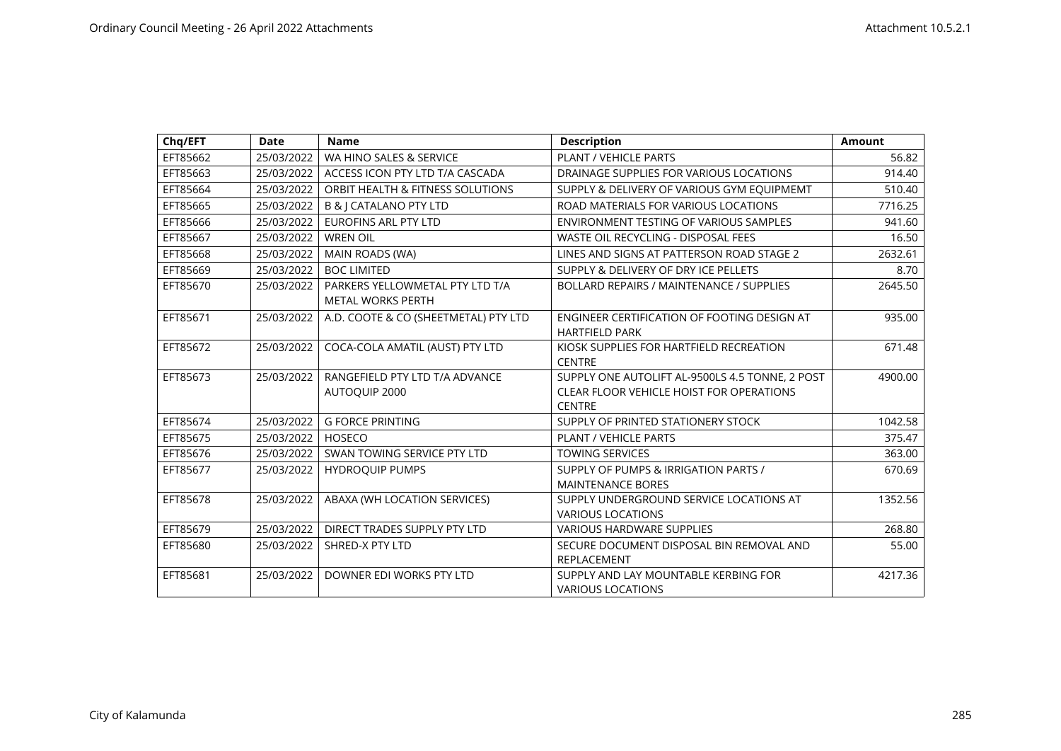| Chq/EFT  | <b>Date</b> | <b>Name</b>                                                 | <b>Description</b>                                                                                                  | <b>Amount</b> |
|----------|-------------|-------------------------------------------------------------|---------------------------------------------------------------------------------------------------------------------|---------------|
| EFT85662 | 25/03/2022  | WA HINO SALES & SERVICE                                     | PLANT / VEHICLE PARTS                                                                                               | 56.82         |
| EFT85663 | 25/03/2022  | ACCESS ICON PTY LTD T/A CASCADA                             | DRAINAGE SUPPLIES FOR VARIOUS LOCATIONS                                                                             | 914.40        |
| EFT85664 | 25/03/2022  | ORBIT HEALTH & FITNESS SOLUTIONS                            | SUPPLY & DELIVERY OF VARIOUS GYM EQUIPMEMT                                                                          | 510.40        |
| EFT85665 | 25/03/2022  | <b>B &amp; J CATALANO PTY LTD</b>                           | ROAD MATERIALS FOR VARIOUS LOCATIONS                                                                                | 7716.25       |
| EFT85666 | 25/03/2022  | <b>EUROFINS ARL PTY LTD</b>                                 | ENVIRONMENT TESTING OF VARIOUS SAMPLES                                                                              | 941.60        |
| EFT85667 | 25/03/2022  | <b>WREN OIL</b>                                             | <b>WASTE OIL RECYCLING - DISPOSAL FEES</b>                                                                          | 16.50         |
| EFT85668 | 25/03/2022  | MAIN ROADS (WA)                                             | LINES AND SIGNS AT PATTERSON ROAD STAGE 2                                                                           | 2632.61       |
| EFT85669 | 25/03/2022  | <b>BOC LIMITED</b>                                          | SUPPLY & DELIVERY OF DRY ICE PELLETS                                                                                | 8.70          |
| EFT85670 | 25/03/2022  | PARKERS YELLOWMETAL PTY LTD T/A<br><b>METAL WORKS PERTH</b> | <b>BOLLARD REPAIRS / MAINTENANCE / SUPPLIES</b>                                                                     | 2645.50       |
| EFT85671 | 25/03/2022  | A.D. COOTE & CO (SHEETMETAL) PTY LTD                        | ENGINEER CERTIFICATION OF FOOTING DESIGN AT<br><b>HARTFIELD PARK</b>                                                | 935.00        |
| EFT85672 | 25/03/2022  | COCA-COLA AMATIL (AUST) PTY LTD                             | KIOSK SUPPLIES FOR HARTFIELD RECREATION<br><b>CENTRE</b>                                                            | 671.48        |
| EFT85673 | 25/03/2022  | RANGEFIELD PTY LTD T/A ADVANCE<br>AUTOQUIP 2000             | SUPPLY ONE AUTOLIFT AL-9500LS 4.5 TONNE, 2 POST<br><b>CLEAR FLOOR VEHICLE HOIST FOR OPERATIONS</b><br><b>CENTRE</b> | 4900.00       |
| EFT85674 | 25/03/2022  | <b>G FORCE PRINTING</b>                                     | SUPPLY OF PRINTED STATIONERY STOCK                                                                                  | 1042.58       |
| EFT85675 | 25/03/2022  | <b>HOSECO</b>                                               | PLANT / VEHICLE PARTS                                                                                               | 375.47        |
| EFT85676 | 25/03/2022  | SWAN TOWING SERVICE PTY LTD                                 | <b>TOWING SERVICES</b>                                                                                              | 363.00        |
| EFT85677 | 25/03/2022  | <b>HYDROQUIP PUMPS</b>                                      | SUPPLY OF PUMPS & IRRIGATION PARTS /<br><b>MAINTENANCE BORES</b>                                                    | 670.69        |
| EFT85678 | 25/03/2022  | ABAXA (WH LOCATION SERVICES)                                | SUPPLY UNDERGROUND SERVICE LOCATIONS AT<br><b>VARIOUS LOCATIONS</b>                                                 | 1352.56       |
| EFT85679 | 25/03/2022  | DIRECT TRADES SUPPLY PTY LTD                                | <b>VARIOUS HARDWARE SUPPLIES</b>                                                                                    | 268.80        |
| EFT85680 | 25/03/2022  | SHRED-X PTY LTD                                             | SECURE DOCUMENT DISPOSAL BIN REMOVAL AND<br><b>REPLACEMENT</b>                                                      | 55.00         |
| EFT85681 | 25/03/2022  | DOWNER EDI WORKS PTY LTD                                    | SUPPLY AND LAY MOUNTABLE KERBING FOR<br><b>VARIOUS LOCATIONS</b>                                                    | 4217.36       |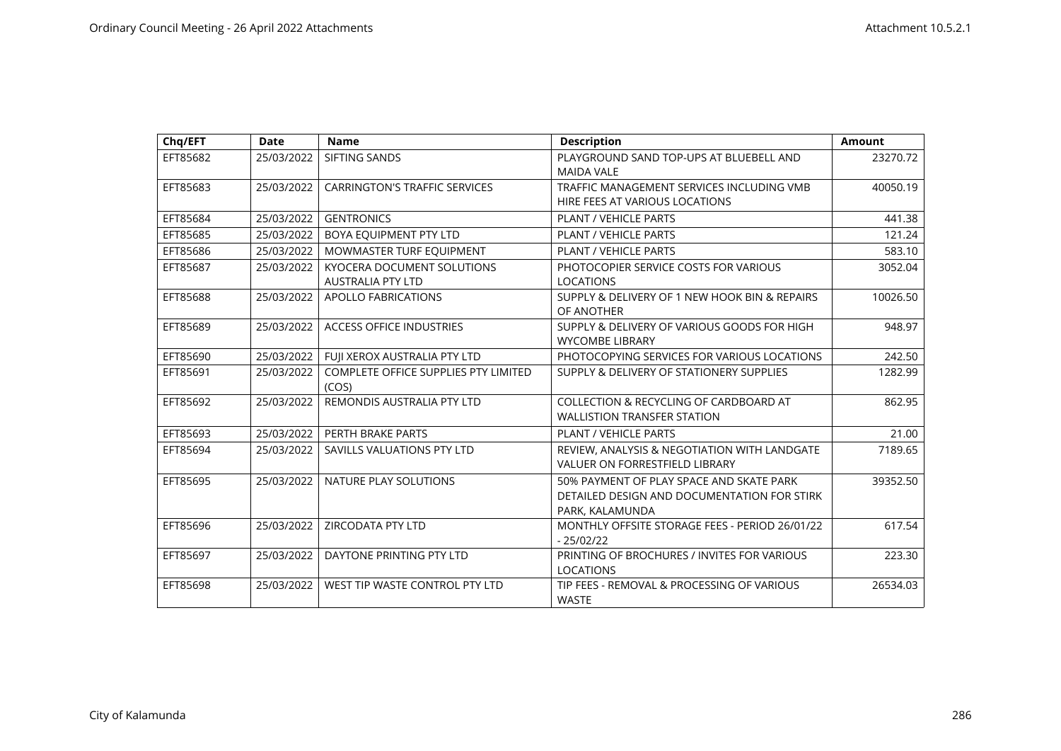| Chq/EFT  | <b>Date</b> | <b>Name</b>                                                   | <b>Description</b>                                                                                         | <b>Amount</b> |
|----------|-------------|---------------------------------------------------------------|------------------------------------------------------------------------------------------------------------|---------------|
| EFT85682 | 25/03/2022  | SIFTING SANDS                                                 | PLAYGROUND SAND TOP-UPS AT BLUEBELL AND<br><b>MAIDA VALE</b>                                               | 23270.72      |
| EFT85683 | 25/03/2022  | <b>CARRINGTON'S TRAFFIC SERVICES</b>                          | TRAFFIC MANAGEMENT SERVICES INCLUDING VMB<br>HIRE FEES AT VARIOUS LOCATIONS                                | 40050.19      |
| EFT85684 | 25/03/2022  | <b>GENTRONICS</b>                                             | <b>PLANT / VEHICLE PARTS</b>                                                                               | 441.38        |
| EFT85685 | 25/03/2022  | BOYA EQUIPMENT PTY LTD                                        | <b>PLANT / VEHICLE PARTS</b>                                                                               | 121.24        |
| EFT85686 | 25/03/2022  | MOWMASTER TURF EQUIPMENT                                      | <b>PLANT / VEHICLE PARTS</b>                                                                               | 583.10        |
| EFT85687 | 25/03/2022  | <b>KYOCERA DOCUMENT SOLUTIONS</b><br><b>AUSTRALIA PTY LTD</b> | PHOTOCOPIER SERVICE COSTS FOR VARIOUS<br><b>LOCATIONS</b>                                                  | 3052.04       |
| EFT85688 | 25/03/2022  | <b>APOLLO FABRICATIONS</b>                                    | SUPPLY & DELIVERY OF 1 NEW HOOK BIN & REPAIRS<br>OF ANOTHER                                                | 10026.50      |
| EFT85689 | 25/03/2022  | <b>ACCESS OFFICE INDUSTRIES</b>                               | SUPPLY & DELIVERY OF VARIOUS GOODS FOR HIGH<br><b>WYCOMBE LIBRARY</b>                                      | 948.97        |
| EFT85690 | 25/03/2022  | FUJI XEROX AUSTRALIA PTY LTD                                  | PHOTOCOPYING SERVICES FOR VARIOUS LOCATIONS                                                                | 242.50        |
| EFT85691 | 25/03/2022  | COMPLETE OFFICE SUPPLIES PTY LIMITED<br>(COS)                 | SUPPLY & DELIVERY OF STATIONERY SUPPLIES                                                                   | 1282.99       |
| EFT85692 | 25/03/2022  | REMONDIS AUSTRALIA PTY LTD                                    | COLLECTION & RECYCLING OF CARDBOARD AT<br><b>WALLISTION TRANSFER STATION</b>                               | 862.95        |
| EFT85693 | 25/03/2022  | PERTH BRAKE PARTS                                             | PLANT / VEHICLE PARTS                                                                                      | 21.00         |
| EFT85694 | 25/03/2022  | SAVILLS VALUATIONS PTY LTD                                    | REVIEW, ANALYSIS & NEGOTIATION WITH LANDGATE<br><b>VALUER ON FORRESTFIELD LIBRARY</b>                      | 7189.65       |
| EFT85695 | 25/03/2022  | NATURE PLAY SOLUTIONS                                         | 50% PAYMENT OF PLAY SPACE AND SKATE PARK<br>DETAILED DESIGN AND DOCUMENTATION FOR STIRK<br>PARK, KALAMUNDA | 39352.50      |
| EFT85696 | 25/03/2022  | <b>ZIRCODATA PTY LTD</b>                                      | MONTHLY OFFSITE STORAGE FEES - PERIOD 26/01/22<br>$-25/02/22$                                              | 617.54        |
| EFT85697 | 25/03/2022  | DAYTONE PRINTING PTY LTD                                      | PRINTING OF BROCHURES / INVITES FOR VARIOUS<br><b>LOCATIONS</b>                                            | 223.30        |
| EFT85698 | 25/03/2022  | WEST TIP WASTE CONTROL PTY LTD                                | TIP FEES - REMOVAL & PROCESSING OF VARIOUS<br><b>WASTE</b>                                                 | 26534.03      |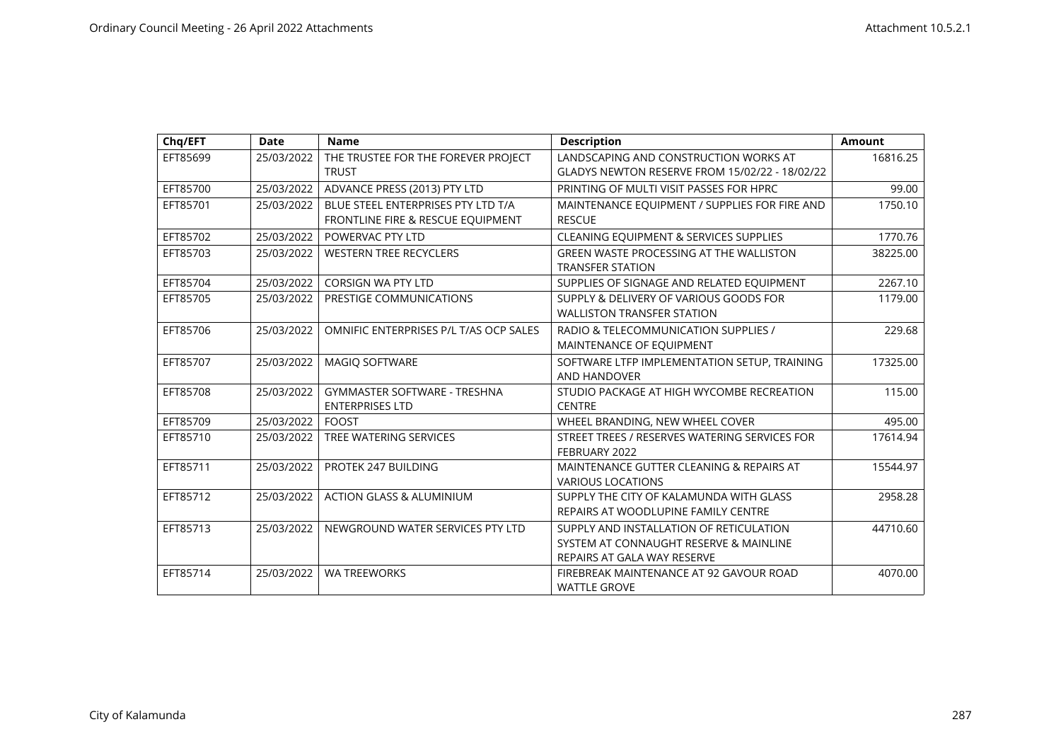| Chq/EFT  | <b>Date</b> | <b>Name</b>                            | <b>Description</b>                                    | <b>Amount</b> |
|----------|-------------|----------------------------------------|-------------------------------------------------------|---------------|
| EFT85699 | 25/03/2022  | THE TRUSTEE FOR THE FOREVER PROJECT    | LANDSCAPING AND CONSTRUCTION WORKS AT                 | 16816.25      |
|          |             | <b>TRUST</b>                           | <b>GLADYS NEWTON RESERVE FROM 15/02/22 - 18/02/22</b> |               |
| EFT85700 | 25/03/2022  | ADVANCE PRESS (2013) PTY LTD           | PRINTING OF MULTI VISIT PASSES FOR HPRC               | 99.00         |
| EFT85701 | 25/03/2022  | BLUE STEEL ENTERPRISES PTY LTD T/A     | MAINTENANCE EQUIPMENT / SUPPLIES FOR FIRE AND         | 1750.10       |
|          |             | FRONTLINE FIRE & RESCUE EQUIPMENT      | <b>RESCUE</b>                                         |               |
| EFT85702 | 25/03/2022  | POWERVAC PTY LTD                       | <b>CLEANING EQUIPMENT &amp; SERVICES SUPPLIES</b>     | 1770.76       |
| EFT85703 | 25/03/2022  | <b>WESTERN TREE RECYCLERS</b>          | <b>GREEN WASTE PROCESSING AT THE WALLISTON</b>        | 38225.00      |
|          |             |                                        | <b>TRANSFER STATION</b>                               |               |
| EFT85704 | 25/03/2022  | <b>CORSIGN WA PTY LTD</b>              | SUPPLIES OF SIGNAGE AND RELATED EQUIPMENT             | 2267.10       |
| EFT85705 | 25/03/2022  | PRESTIGE COMMUNICATIONS                | SUPPLY & DELIVERY OF VARIOUS GOODS FOR                | 1179.00       |
|          |             |                                        | <b>WALLISTON TRANSFER STATION</b>                     |               |
| EFT85706 | 25/03/2022  | OMNIFIC ENTERPRISES P/L T/AS OCP SALES | RADIO & TELECOMMUNICATION SUPPLIES /                  | 229.68        |
|          |             |                                        | MAINTENANCE OF EQUIPMENT                              |               |
| EFT85707 | 25/03/2022  | MAGIQ SOFTWARE                         | SOFTWARE LTFP IMPLEMENTATION SETUP, TRAINING          | 17325.00      |
|          |             |                                        | AND HANDOVER                                          |               |
| EFT85708 | 25/03/2022  | <b>GYMMASTER SOFTWARE - TRESHNA</b>    | STUDIO PACKAGE AT HIGH WYCOMBE RECREATION             | 115.00        |
|          |             | <b>ENTERPRISES LTD</b>                 | <b>CENTRE</b>                                         |               |
| EFT85709 | 25/03/2022  | <b>FOOST</b>                           | WHEEL BRANDING, NEW WHEEL COVER                       | 495.00        |
| EFT85710 | 25/03/2022  | TREE WATERING SERVICES                 | STREET TREES / RESERVES WATERING SERVICES FOR         | 17614.94      |
|          |             |                                        | FEBRUARY 2022                                         |               |
| EFT85711 | 25/03/2022  | PROTEK 247 BUILDING                    | MAINTENANCE GUTTER CLEANING & REPAIRS AT              | 15544.97      |
|          |             |                                        | <b>VARIOUS LOCATIONS</b>                              |               |
| EFT85712 | 25/03/2022  | <b>ACTION GLASS &amp; ALUMINIUM</b>    | SUPPLY THE CITY OF KALAMUNDA WITH GLASS               | 2958.28       |
|          |             |                                        | REPAIRS AT WOODLUPINE FAMILY CENTRE                   |               |
| EFT85713 | 25/03/2022  | NEWGROUND WATER SERVICES PTY LTD       | SUPPLY AND INSTALLATION OF RETICULATION               | 44710.60      |
|          |             |                                        | SYSTEM AT CONNAUGHT RESERVE & MAINLINE                |               |
|          |             |                                        | REPAIRS AT GALA WAY RESERVE                           |               |
| EFT85714 | 25/03/2022  | <b>WA TREEWORKS</b>                    | FIREBREAK MAINTENANCE AT 92 GAVOUR ROAD               | 4070.00       |
|          |             |                                        | <b>WATTLE GROVE</b>                                   |               |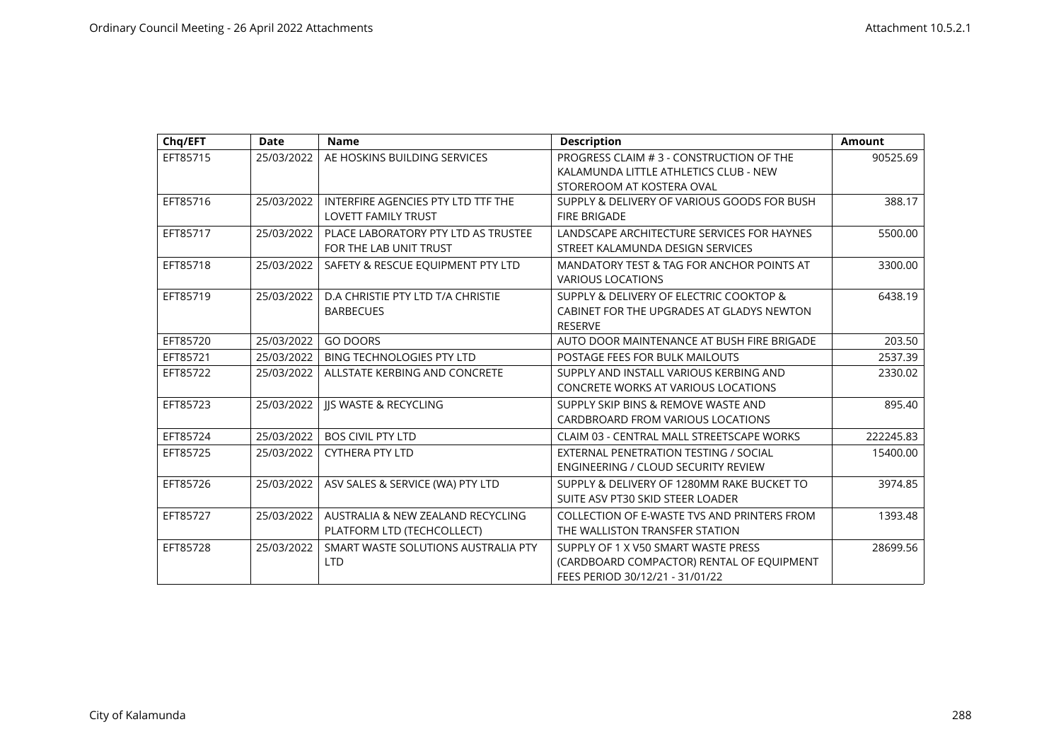| Chq/EFT  | Date       | <b>Name</b>                                                      | <b>Description</b>                                                                                                  | <b>Amount</b> |
|----------|------------|------------------------------------------------------------------|---------------------------------------------------------------------------------------------------------------------|---------------|
| EFT85715 | 25/03/2022 | AE HOSKINS BUILDING SERVICES                                     | PROGRESS CLAIM # 3 - CONSTRUCTION OF THE<br>KALAMUNDA LITTLE ATHLETICS CLUB - NEW<br>STOREROOM AT KOSTERA OVAL      | 90525.69      |
| EFT85716 | 25/03/2022 | INTERFIRE AGENCIES PTY LTD TTF THE<br><b>LOVETT FAMILY TRUST</b> | SUPPLY & DELIVERY OF VARIOUS GOODS FOR BUSH<br><b>FIRE BRIGADE</b>                                                  | 388.17        |
| EFT85717 | 25/03/2022 | PLACE LABORATORY PTY LTD AS TRUSTEE<br>FOR THE LAB UNIT TRUST    | LANDSCAPE ARCHITECTURE SERVICES FOR HAYNES<br>STREET KALAMUNDA DESIGN SERVICES                                      | 5500.00       |
| EFT85718 | 25/03/2022 | SAFETY & RESCUE EQUIPMENT PTY LTD                                | MANDATORY TEST & TAG FOR ANCHOR POINTS AT<br><b>VARIOUS LOCATIONS</b>                                               | 3300.00       |
| EFT85719 | 25/03/2022 | D.A CHRISTIE PTY LTD T/A CHRISTIE<br><b>BARBECUES</b>            | SUPPLY & DELIVERY OF ELECTRIC COOKTOP &<br>CABINET FOR THE UPGRADES AT GLADYS NEWTON<br><b>RESERVE</b>              | 6438.19       |
| EFT85720 | 25/03/2022 | <b>GO DOORS</b>                                                  | AUTO DOOR MAINTENANCE AT BUSH FIRE BRIGADE                                                                          | 203.50        |
| EFT85721 | 25/03/2022 | BING TECHNOLOGIES PTY LTD                                        | POSTAGE FEES FOR BULK MAILOUTS                                                                                      | 2537.39       |
| EFT85722 | 25/03/2022 | ALLSTATE KERBING AND CONCRETE                                    | SUPPLY AND INSTALL VARIOUS KERBING AND<br><b>CONCRETE WORKS AT VARIOUS LOCATIONS</b>                                | 2330.02       |
| EFT85723 | 25/03/2022 | <b>JIS WASTE &amp; RECYCLING</b>                                 | SUPPLY SKIP BINS & REMOVE WASTE AND<br>CARDBROARD FROM VARIOUS LOCATIONS                                            | 895.40        |
| EFT85724 | 25/03/2022 | <b>BOS CIVIL PTY LTD</b>                                         | CLAIM 03 - CENTRAL MALL STREETSCAPE WORKS                                                                           | 222245.83     |
| EFT85725 | 25/03/2022 | <b>CYTHERA PTY LTD</b>                                           | EXTERNAL PENETRATION TESTING / SOCIAL<br><b>ENGINEERING / CLOUD SECURITY REVIEW</b>                                 | 15400.00      |
| EFT85726 | 25/03/2022 | ASV SALES & SERVICE (WA) PTY LTD                                 | SUPPLY & DELIVERY OF 1280MM RAKE BUCKET TO<br>SUITE ASV PT30 SKID STEER LOADER                                      | 3974.85       |
| EFT85727 | 25/03/2022 | AUSTRALIA & NEW ZEALAND RECYCLING<br>PLATFORM LTD (TECHCOLLECT)  | COLLECTION OF E-WASTE TVS AND PRINTERS FROM<br>THE WALLISTON TRANSFER STATION                                       | 1393.48       |
| EFT85728 | 25/03/2022 | SMART WASTE SOLUTIONS AUSTRALIA PTY<br><b>LTD</b>                | SUPPLY OF 1 X V50 SMART WASTE PRESS<br>(CARDBOARD COMPACTOR) RENTAL OF EQUIPMENT<br>FEES PERIOD 30/12/21 - 31/01/22 | 28699.56      |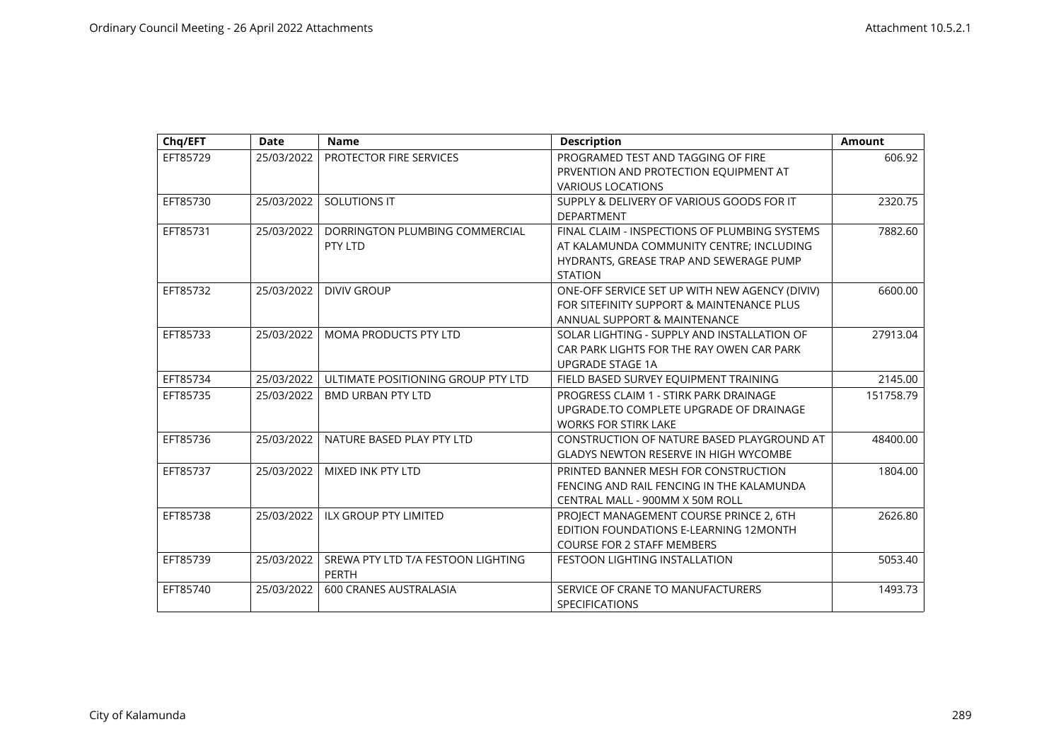| Chq/EFT  | <b>Date</b> | <b>Name</b>                        | <b>Description</b>                             | <b>Amount</b> |
|----------|-------------|------------------------------------|------------------------------------------------|---------------|
| EFT85729 | 25/03/2022  | PROTECTOR FIRE SERVICES            | PROGRAMED TEST AND TAGGING OF FIRE             | 606.92        |
|          |             |                                    | PRVENTION AND PROTECTION EQUIPMENT AT          |               |
|          |             |                                    | <b>VARIOUS LOCATIONS</b>                       |               |
| EFT85730 | 25/03/2022  | <b>SOLUTIONS IT</b>                | SUPPLY & DELIVERY OF VARIOUS GOODS FOR IT      | 2320.75       |
|          |             |                                    | <b>DEPARTMENT</b>                              |               |
| EFT85731 | 25/03/2022  | DORRINGTON PLUMBING COMMERCIAL     | FINAL CLAIM - INSPECTIONS OF PLUMBING SYSTEMS  | 7882.60       |
|          |             | PTY LTD                            | AT KALAMUNDA COMMUNITY CENTRE; INCLUDING       |               |
|          |             |                                    | HYDRANTS, GREASE TRAP AND SEWERAGE PUMP        |               |
|          |             |                                    | <b>STATION</b>                                 |               |
| EFT85732 | 25/03/2022  | <b>DIVIV GROUP</b>                 | ONE-OFF SERVICE SET UP WITH NEW AGENCY (DIVIV) | 6600.00       |
|          |             |                                    | FOR SITEFINITY SUPPORT & MAINTENANCE PLUS      |               |
|          |             |                                    | ANNUAL SUPPORT & MAINTENANCE                   |               |
| EFT85733 | 25/03/2022  | MOMA PRODUCTS PTY LTD              | SOLAR LIGHTING - SUPPLY AND INSTALLATION OF    | 27913.04      |
|          |             |                                    | CAR PARK LIGHTS FOR THE RAY OWEN CAR PARK      |               |
|          |             |                                    | <b>UPGRADE STAGE 1A</b>                        |               |
| EFT85734 | 25/03/2022  | ULTIMATE POSITIONING GROUP PTY LTD | FIELD BASED SURVEY EQUIPMENT TRAINING          | 2145.00       |
| EFT85735 | 25/03/2022  | <b>BMD URBAN PTY LTD</b>           | PROGRESS CLAIM 1 - STIRK PARK DRAINAGE         | 151758.79     |
|          |             |                                    | UPGRADE.TO COMPLETE UPGRADE OF DRAINAGE        |               |
|          |             |                                    | <b>WORKS FOR STIRK LAKE</b>                    |               |
| EFT85736 | 25/03/2022  | NATURE BASED PLAY PTY LTD          | CONSTRUCTION OF NATURE BASED PLAYGROUND AT     | 48400.00      |
|          |             |                                    | <b>GLADYS NEWTON RESERVE IN HIGH WYCOMBE</b>   |               |
| EFT85737 | 25/03/2022  | MIXED INK PTY LTD                  | PRINTED BANNER MESH FOR CONSTRUCTION           | 1804.00       |
|          |             |                                    | FENCING AND RAIL FENCING IN THE KALAMUNDA      |               |
|          |             |                                    | CENTRAL MALL - 900MM X 50M ROLL                |               |
| EFT85738 | 25/03/2022  | <b>ILX GROUP PTY LIMITED</b>       | PROJECT MANAGEMENT COURSE PRINCE 2, 6TH        | 2626.80       |
|          |             |                                    | EDITION FOUNDATIONS E-LEARNING 12MONTH         |               |
|          |             |                                    | <b>COURSE FOR 2 STAFF MEMBERS</b>              |               |
| EFT85739 | 25/03/2022  | SREWA PTY LTD T/A FESTOON LIGHTING | <b>FESTOON LIGHTING INSTALLATION</b>           | 5053.40       |
|          |             | PERTH                              |                                                |               |
| EFT85740 | 25/03/2022  | <b>600 CRANES AUSTRALASIA</b>      | SERVICE OF CRANE TO MANUFACTURERS              | 1493.73       |
|          |             |                                    | <b>SPECIFICATIONS</b>                          |               |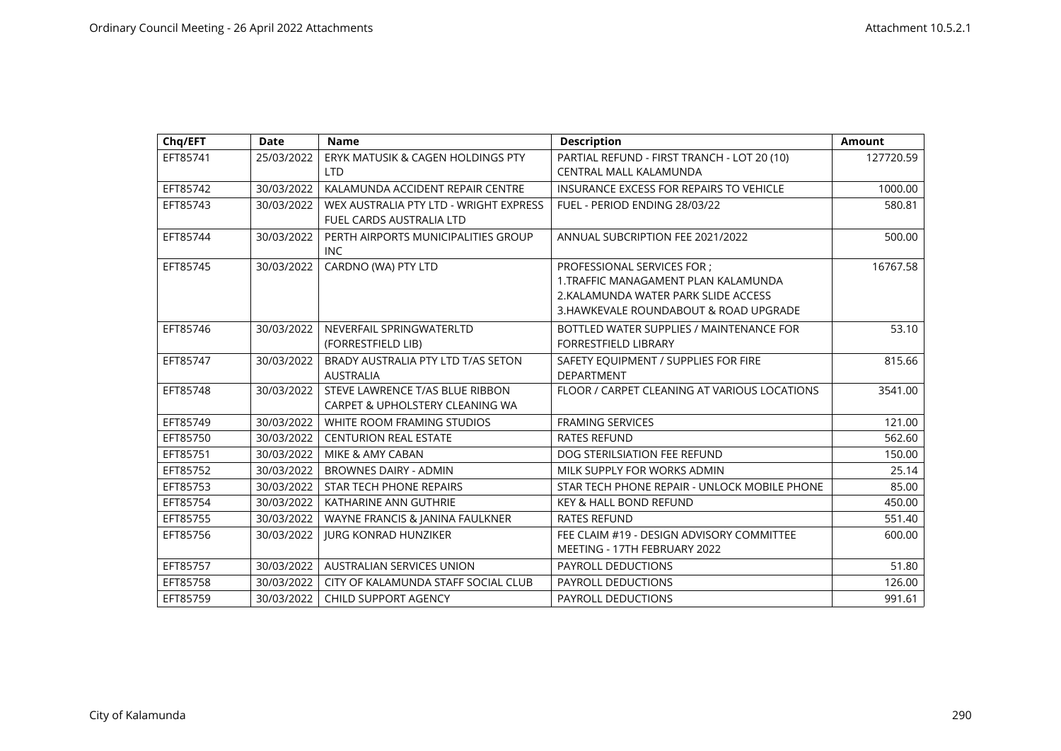| Chq/EFT  | Date       | <b>Name</b>                                       | <b>Description</b>                           | Amount    |
|----------|------------|---------------------------------------------------|----------------------------------------------|-----------|
| EFT85741 | 25/03/2022 | ERYK MATUSIK & CAGEN HOLDINGS PTY                 | PARTIAL REFUND - FIRST TRANCH - LOT 20 (10)  | 127720.59 |
|          |            | <b>LTD</b>                                        | <b>CENTRAL MALL KALAMUNDA</b>                |           |
| EFT85742 | 30/03/2022 | KALAMUNDA ACCIDENT REPAIR CENTRE                  | INSURANCE EXCESS FOR REPAIRS TO VEHICLE      | 1000.00   |
| EFT85743 | 30/03/2022 | WEX AUSTRALIA PTY LTD - WRIGHT EXPRESS            | FUEL - PERIOD ENDING 28/03/22                | 580.81    |
|          |            | FUEL CARDS AUSTRALIA LTD                          |                                              |           |
| EFT85744 | 30/03/2022 | PERTH AIRPORTS MUNICIPALITIES GROUP<br><b>INC</b> | ANNUAL SUBCRIPTION FEE 2021/2022             | 500.00    |
| EFT85745 | 30/03/2022 | CARDNO (WA) PTY LTD                               | PROFESSIONAL SERVICES FOR ;                  | 16767.58  |
|          |            |                                                   | 1.TRAFFIC MANAGAMENT PLAN KALAMUNDA          |           |
|          |            |                                                   | 2. KALAMUNDA WATER PARK SLIDE ACCESS         |           |
|          |            |                                                   | 3. HAWKEVALE ROUNDABOUT & ROAD UPGRADE       |           |
| EFT85746 | 30/03/2022 | NEVERFAIL SPRINGWATERLTD                          | BOTTLED WATER SUPPLIES / MAINTENANCE FOR     | 53.10     |
|          |            | (FORRESTFIELD LIB)                                | <b>FORRESTFIELD LIBRARY</b>                  |           |
| EFT85747 | 30/03/2022 | BRADY AUSTRALIA PTY LTD T/AS SETON                | SAFETY EQUIPMENT / SUPPLIES FOR FIRE         | 815.66    |
|          |            | <b>AUSTRALIA</b>                                  | <b>DEPARTMENT</b>                            |           |
| EFT85748 | 30/03/2022 | STEVE LAWRENCE T/AS BLUE RIBBON                   | FLOOR / CARPET CLEANING AT VARIOUS LOCATIONS | 3541.00   |
|          |            | CARPET & UPHOLSTERY CLEANING WA                   |                                              |           |
| EFT85749 | 30/03/2022 | WHITE ROOM FRAMING STUDIOS                        | <b>FRAMING SERVICES</b>                      | 121.00    |
| EFT85750 | 30/03/2022 | <b>CENTURION REAL ESTATE</b>                      | <b>RATES REFUND</b>                          | 562.60    |
| EFT85751 | 30/03/2022 | MIKE & AMY CABAN                                  | DOG STERILSIATION FEE REFUND                 | 150.00    |
| EFT85752 | 30/03/2022 | <b>BROWNES DAIRY - ADMIN</b>                      | MILK SUPPLY FOR WORKS ADMIN                  | 25.14     |
| EFT85753 | 30/03/2022 | STAR TECH PHONE REPAIRS                           | STAR TECH PHONE REPAIR - UNLOCK MOBILE PHONE | 85.00     |
| EFT85754 | 30/03/2022 | KATHARINE ANN GUTHRIE                             | <b>KEY &amp; HALL BOND REFUND</b>            | 450.00    |
| EFT85755 | 30/03/2022 | WAYNE FRANCIS & JANINA FAULKNER                   | <b>RATES REFUND</b>                          | 551.40    |
| EFT85756 | 30/03/2022 | <b>JURG KONRAD HUNZIKER</b>                       | FEE CLAIM #19 - DESIGN ADVISORY COMMITTEE    | 600.00    |
|          |            |                                                   | MEETING - 17TH FEBRUARY 2022                 |           |
| EFT85757 | 30/03/2022 | <b>AUSTRALIAN SERVICES UNION</b>                  | PAYROLL DEDUCTIONS                           | 51.80     |
| EFT85758 | 30/03/2022 | CITY OF KALAMUNDA STAFF SOCIAL CLUB               | <b>PAYROLL DEDUCTIONS</b>                    | 126.00    |
| EFT85759 | 30/03/2022 | <b>CHILD SUPPORT AGENCY</b>                       | <b>PAYROLL DEDUCTIONS</b>                    | 991.61    |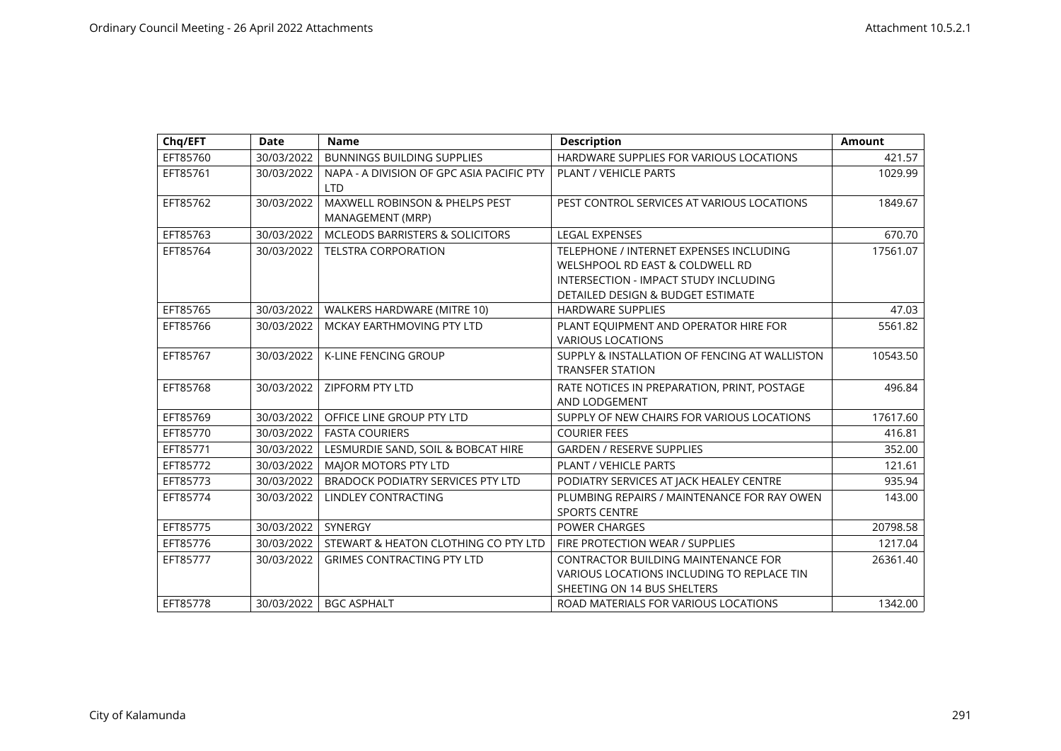| Chq/EFT  | <b>Date</b> | <b>Name</b>                                             | <b>Description</b>                                                                                                                                       | <b>Amount</b> |
|----------|-------------|---------------------------------------------------------|----------------------------------------------------------------------------------------------------------------------------------------------------------|---------------|
| EFT85760 | 30/03/2022  | <b>BUNNINGS BUILDING SUPPLIES</b>                       | HARDWARE SUPPLIES FOR VARIOUS LOCATIONS                                                                                                                  | 421.57        |
| EFT85761 | 30/03/2022  | NAPA - A DIVISION OF GPC ASIA PACIFIC PTY<br><b>LTD</b> | <b>PLANT / VEHICLE PARTS</b>                                                                                                                             | 1029.99       |
| EFT85762 | 30/03/2022  | MAXWELL ROBINSON & PHELPS PEST<br>MANAGEMENT (MRP)      | PEST CONTROL SERVICES AT VARIOUS LOCATIONS                                                                                                               | 1849.67       |
| EFT85763 | 30/03/2022  | <b>MCLEODS BARRISTERS &amp; SOLICITORS</b>              | <b>LEGAL EXPENSES</b>                                                                                                                                    | 670.70        |
| EFT85764 | 30/03/2022  | <b>TELSTRA CORPORATION</b>                              | TELEPHONE / INTERNET EXPENSES INCLUDING<br>WELSHPOOL RD EAST & COLDWELL RD<br>INTERSECTION - IMPACT STUDY INCLUDING<br>DETAILED DESIGN & BUDGET ESTIMATE | 17561.07      |
| EFT85765 | 30/03/2022  | WALKERS HARDWARE (MITRE 10)                             | <b>HARDWARE SUPPLIES</b>                                                                                                                                 | 47.03         |
| EFT85766 | 30/03/2022  | MCKAY EARTHMOVING PTY LTD                               | PLANT EQUIPMENT AND OPERATOR HIRE FOR<br><b>VARIOUS LOCATIONS</b>                                                                                        | 5561.82       |
| EFT85767 | 30/03/2022  | <b>K-LINE FENCING GROUP</b>                             | SUPPLY & INSTALLATION OF FENCING AT WALLISTON<br><b>TRANSFER STATION</b>                                                                                 | 10543.50      |
| EFT85768 | 30/03/2022  | <b>ZIPFORM PTY LTD</b>                                  | RATE NOTICES IN PREPARATION, PRINT, POSTAGE<br>AND LODGEMENT                                                                                             | 496.84        |
| EFT85769 | 30/03/2022  | OFFICE LINE GROUP PTY LTD                               | SUPPLY OF NEW CHAIRS FOR VARIOUS LOCATIONS                                                                                                               | 17617.60      |
| EFT85770 | 30/03/2022  | <b>FASTA COURIERS</b>                                   | <b>COURIER FEES</b>                                                                                                                                      | 416.81        |
| EFT85771 | 30/03/2022  | LESMURDIE SAND, SOIL & BOBCAT HIRE                      | <b>GARDEN / RESERVE SUPPLIES</b>                                                                                                                         | 352.00        |
| EFT85772 | 30/03/2022  | MAJOR MOTORS PTY LTD                                    | <b>PLANT / VEHICLE PARTS</b>                                                                                                                             | 121.61        |
| EFT85773 | 30/03/2022  | <b>BRADOCK PODIATRY SERVICES PTY LTD</b>                | PODIATRY SERVICES AT JACK HEALEY CENTRE                                                                                                                  | 935.94        |
| EFT85774 | 30/03/2022  | <b>LINDLEY CONTRACTING</b>                              | PLUMBING REPAIRS / MAINTENANCE FOR RAY OWEN<br><b>SPORTS CENTRE</b>                                                                                      | 143.00        |
| EFT85775 | 30/03/2022  | <b>SYNERGY</b>                                          | <b>POWER CHARGES</b>                                                                                                                                     | 20798.58      |
| EFT85776 | 30/03/2022  | STEWART & HEATON CLOTHING CO PTY LTD                    | FIRE PROTECTION WEAR / SUPPLIES                                                                                                                          | 1217.04       |
| EFT85777 | 30/03/2022  | <b>GRIMES CONTRACTING PTY LTD</b>                       | <b>CONTRACTOR BUILDING MAINTENANCE FOR</b><br>VARIOUS LOCATIONS INCLUDING TO REPLACE TIN<br>SHEETING ON 14 BUS SHELTERS                                  | 26361.40      |
| EFT85778 | 30/03/2022  | <b>BGC ASPHALT</b>                                      | ROAD MATERIALS FOR VARIOUS LOCATIONS                                                                                                                     | 1342.00       |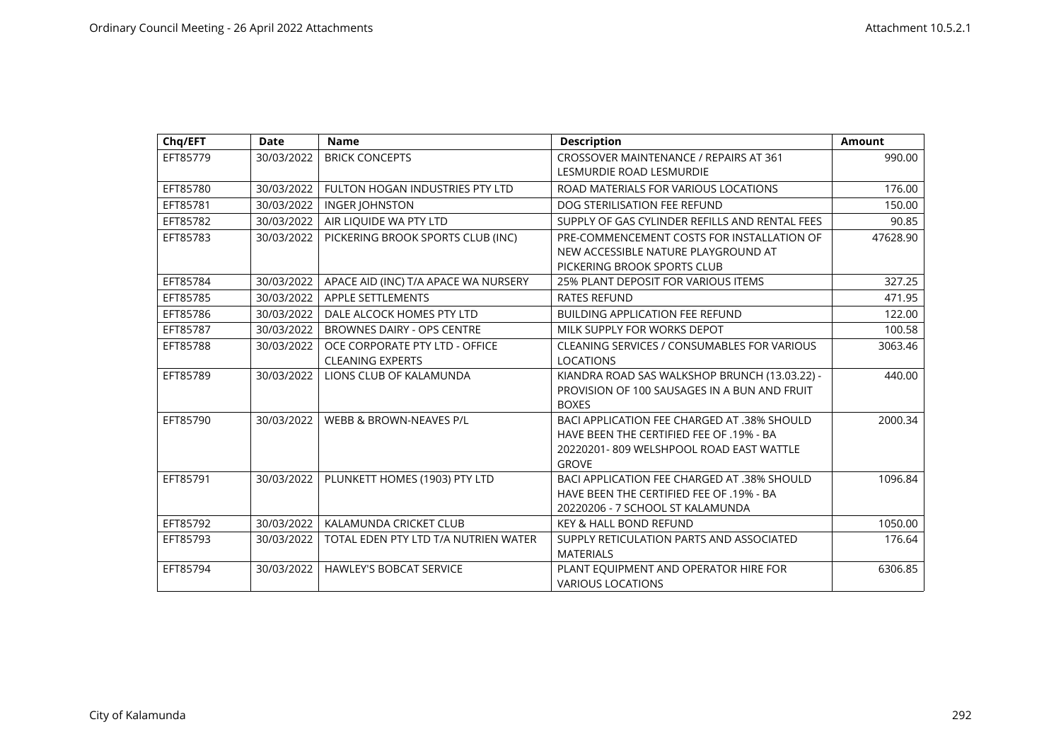| Chq/EFT  | <b>Date</b> | <b>Name</b>                          | <b>Description</b>                                 | Amount   |
|----------|-------------|--------------------------------------|----------------------------------------------------|----------|
| EFT85779 | 30/03/2022  | <b>BRICK CONCEPTS</b>                | CROSSOVER MAINTENANCE / REPAIRS AT 361             | 990.00   |
|          |             |                                      | LESMURDIE ROAD LESMURDIE                           |          |
| EFT85780 | 30/03/2022  | FULTON HOGAN INDUSTRIES PTY LTD      | ROAD MATERIALS FOR VARIOUS LOCATIONS               | 176.00   |
| EFT85781 | 30/03/2022  | <b>INGER JOHNSTON</b>                | DOG STERILISATION FEE REFUND                       | 150.00   |
| EFT85782 | 30/03/2022  | AIR LIQUIDE WA PTY LTD               | SUPPLY OF GAS CYLINDER REFILLS AND RENTAL FEES     | 90.85    |
| EFT85783 | 30/03/2022  | PICKERING BROOK SPORTS CLUB (INC)    | PRE-COMMENCEMENT COSTS FOR INSTALLATION OF         | 47628.90 |
|          |             |                                      | NEW ACCESSIBLE NATURE PLAYGROUND AT                |          |
|          |             |                                      | PICKERING BROOK SPORTS CLUB                        |          |
| EFT85784 | 30/03/2022  | APACE AID (INC) T/A APACE WA NURSERY | 25% PLANT DEPOSIT FOR VARIOUS ITEMS                | 327.25   |
| EFT85785 | 30/03/2022  | <b>APPLE SETTLEMENTS</b>             | <b>RATES REFUND</b>                                | 471.95   |
| EFT85786 | 30/03/2022  | DALE ALCOCK HOMES PTY LTD            | <b>BUILDING APPLICATION FEE REFUND</b>             | 122.00   |
| EFT85787 | 30/03/2022  | <b>BROWNES DAIRY - OPS CENTRE</b>    | MILK SUPPLY FOR WORKS DEPOT                        | 100.58   |
| EFT85788 | 30/03/2022  | OCE CORPORATE PTY LTD - OFFICE       | <b>CLEANING SERVICES / CONSUMABLES FOR VARIOUS</b> | 3063.46  |
|          |             | <b>CLEANING EXPERTS</b>              | <b>LOCATIONS</b>                                   |          |
| EFT85789 | 30/03/2022  | LIONS CLUB OF KALAMUNDA              | KIANDRA ROAD SAS WALKSHOP BRUNCH (13.03.22) -      | 440.00   |
|          |             |                                      | PROVISION OF 100 SAUSAGES IN A BUN AND FRUIT       |          |
|          |             |                                      | <b>BOXES</b>                                       |          |
| EFT85790 | 30/03/2022  | WEBB & BROWN-NEAVES P/L              | BACI APPLICATION FEE CHARGED AT .38% SHOULD        | 2000.34  |
|          |             |                                      | HAVE BEEN THE CERTIFIED FEE OF .19% - BA           |          |
|          |             |                                      | 20220201-809 WELSHPOOL ROAD EAST WATTLE            |          |
|          |             |                                      | <b>GROVE</b>                                       |          |
| EFT85791 | 30/03/2022  | PLUNKETT HOMES (1903) PTY LTD        | BACI APPLICATION FEE CHARGED AT .38% SHOULD        | 1096.84  |
|          |             |                                      | HAVE BEEN THE CERTIFIED FEE OF .19% - BA           |          |
|          |             |                                      | 20220206 - 7 SCHOOL ST KALAMUNDA                   |          |
| EFT85792 | 30/03/2022  | KALAMUNDA CRICKET CLUB               | <b>KEY &amp; HALL BOND REFUND</b>                  | 1050.00  |
| EFT85793 | 30/03/2022  | TOTAL EDEN PTY LTD T/A NUTRIEN WATER | SUPPLY RETICULATION PARTS AND ASSOCIATED           | 176.64   |
|          |             |                                      | <b>MATERIALS</b>                                   |          |
| EFT85794 | 30/03/2022  | <b>HAWLEY'S BOBCAT SERVICE</b>       | PLANT EQUIPMENT AND OPERATOR HIRE FOR              | 6306.85  |
|          |             |                                      | <b>VARIOUS LOCATIONS</b>                           |          |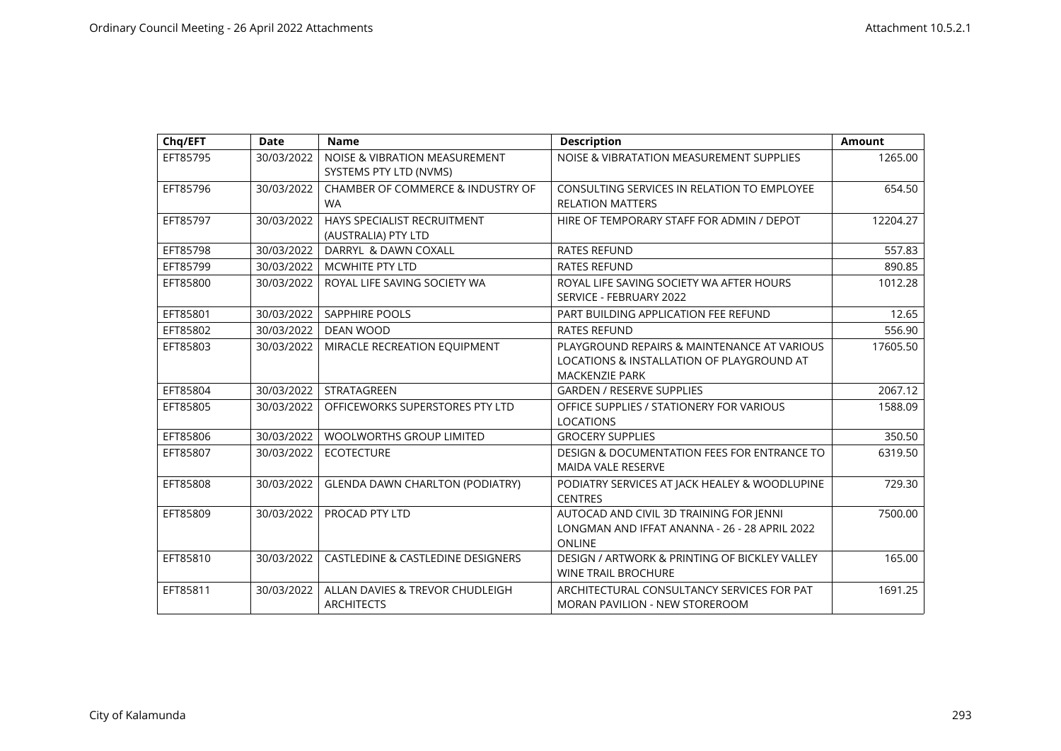| Chq/EFT  | <b>Date</b> | <b>Name</b>                                               | <b>Description</b>                                                                                                | <b>Amount</b> |
|----------|-------------|-----------------------------------------------------------|-------------------------------------------------------------------------------------------------------------------|---------------|
| EFT85795 | 30/03/2022  | NOISE & VIBRATION MEASUREMENT<br>SYSTEMS PTY LTD (NVMS)   | NOISE & VIBRATATION MEASUREMENT SUPPLIES                                                                          | 1265.00       |
| EFT85796 | 30/03/2022  | <b>CHAMBER OF COMMERCE &amp; INDUSTRY OF</b><br><b>WA</b> | CONSULTING SERVICES IN RELATION TO EMPLOYEE<br><b>RELATION MATTERS</b>                                            | 654.50        |
| EFT85797 | 30/03/2022  | HAYS SPECIALIST RECRUITMENT<br>(AUSTRALIA) PTY LTD        | HIRE OF TEMPORARY STAFF FOR ADMIN / DEPOT                                                                         | 12204.27      |
| EFT85798 | 30/03/2022  | DARRYL & DAWN COXALL                                      | <b>RATES REFUND</b>                                                                                               | 557.83        |
| EFT85799 | 30/03/2022  | <b>MCWHITE PTY LTD</b>                                    | <b>RATES REFUND</b>                                                                                               | 890.85        |
| EFT85800 | 30/03/2022  | ROYAL LIFE SAVING SOCIETY WA                              | ROYAL LIFE SAVING SOCIETY WA AFTER HOURS<br>SERVICE - FEBRUARY 2022                                               | 1012.28       |
| EFT85801 | 30/03/2022  | <b>SAPPHIRE POOLS</b>                                     | PART BUILDING APPLICATION FEE REFUND                                                                              | 12.65         |
| EFT85802 | 30/03/2022  | <b>DEAN WOOD</b>                                          | <b>RATES REFUND</b>                                                                                               | 556.90        |
| EFT85803 | 30/03/2022  | MIRACLE RECREATION EQUIPMENT                              | PLAYGROUND REPAIRS & MAINTENANCE AT VARIOUS<br>LOCATIONS & INSTALLATION OF PLAYGROUND AT<br><b>MACKENZIE PARK</b> | 17605.50      |
| EFT85804 | 30/03/2022  | STRATAGREEN                                               | <b>GARDEN / RESERVE SUPPLIES</b>                                                                                  | 2067.12       |
| EFT85805 | 30/03/2022  | OFFICEWORKS SUPERSTORES PTY LTD                           | OFFICE SUPPLIES / STATIONERY FOR VARIOUS<br><b>LOCATIONS</b>                                                      | 1588.09       |
| EFT85806 | 30/03/2022  | <b>WOOLWORTHS GROUP LIMITED</b>                           | <b>GROCERY SUPPLIES</b>                                                                                           | 350.50        |
| EFT85807 | 30/03/2022  | <b>ECOTECTURE</b>                                         | <b>DESIGN &amp; DOCUMENTATION FEES FOR ENTRANCE TO</b><br><b>MAIDA VALE RESERVE</b>                               | 6319.50       |
| EFT85808 | 30/03/2022  | <b>GLENDA DAWN CHARLTON (PODIATRY)</b>                    | PODIATRY SERVICES AT JACK HEALEY & WOODLUPINE<br><b>CENTRES</b>                                                   | 729.30        |
| EFT85809 | 30/03/2022  | PROCAD PTY LTD                                            | AUTOCAD AND CIVIL 3D TRAINING FOR JENNI<br>LONGMAN AND IFFAT ANANNA - 26 - 28 APRIL 2022<br><b>ONLINE</b>         | 7500.00       |
| EFT85810 | 30/03/2022  | <b>CASTLEDINE &amp; CASTLEDINE DESIGNERS</b>              | DESIGN / ARTWORK & PRINTING OF BICKLEY VALLEY<br><b>WINE TRAIL BROCHURE</b>                                       | 165.00        |
| EFT85811 | 30/03/2022  | ALLAN DAVIES & TREVOR CHUDLEIGH<br><b>ARCHITECTS</b>      | ARCHITECTURAL CONSULTANCY SERVICES FOR PAT<br><b>MORAN PAVILION - NEW STOREROOM</b>                               | 1691.25       |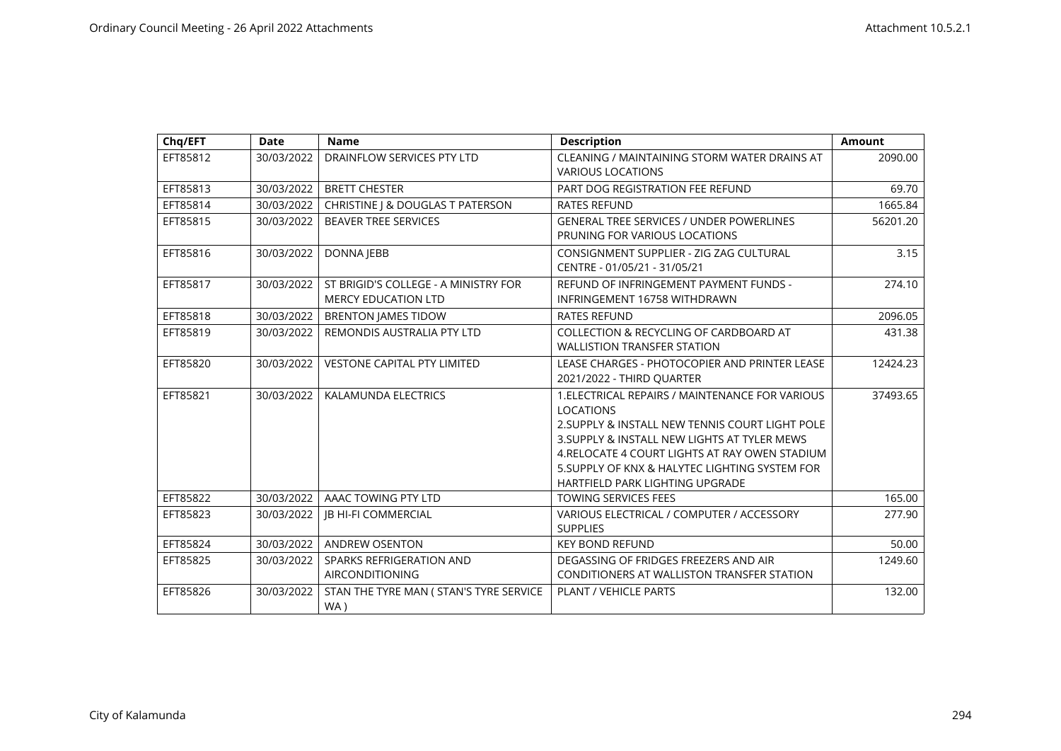| Chq/EFT  | <b>Date</b> | <b>Name</b>                                                        | <b>Description</b>                                                                                                                                                                                                                                                                                            | <b>Amount</b> |
|----------|-------------|--------------------------------------------------------------------|---------------------------------------------------------------------------------------------------------------------------------------------------------------------------------------------------------------------------------------------------------------------------------------------------------------|---------------|
| EFT85812 | 30/03/2022  | DRAINFLOW SERVICES PTY LTD                                         | CLEANING / MAINTAINING STORM WATER DRAINS AT<br><b>VARIOUS LOCATIONS</b>                                                                                                                                                                                                                                      | 2090.00       |
| EFT85813 | 30/03/2022  | <b>BRETT CHESTER</b>                                               | PART DOG REGISTRATION FEE REFUND                                                                                                                                                                                                                                                                              | 69.70         |
| EFT85814 | 30/03/2022  | CHRISTINE J & DOUGLAS T PATERSON                                   | <b>RATES REFUND</b>                                                                                                                                                                                                                                                                                           | 1665.84       |
| EFT85815 | 30/03/2022  | BEAVER TREE SERVICES                                               | <b>GENERAL TREE SERVICES / UNDER POWERLINES</b><br>PRUNING FOR VARIOUS LOCATIONS                                                                                                                                                                                                                              | 56201.20      |
| EFT85816 | 30/03/2022  | <b>DONNA JEBB</b>                                                  | CONSIGNMENT SUPPLIER - ZIG ZAG CULTURAL<br>CENTRE - 01/05/21 - 31/05/21                                                                                                                                                                                                                                       | 3.15          |
| EFT85817 | 30/03/2022  | ST BRIGID'S COLLEGE - A MINISTRY FOR<br><b>MERCY EDUCATION LTD</b> | REFUND OF INFRINGEMENT PAYMENT FUNDS -<br>INFRINGEMENT 16758 WITHDRAWN                                                                                                                                                                                                                                        | 274.10        |
| EFT85818 | 30/03/2022  | <b>BRENTON JAMES TIDOW</b>                                         | <b>RATES REFUND</b>                                                                                                                                                                                                                                                                                           | 2096.05       |
| EFT85819 | 30/03/2022  | REMONDIS AUSTRALIA PTY LTD                                         | COLLECTION & RECYCLING OF CARDBOARD AT<br><b>WALLISTION TRANSFER STATION</b>                                                                                                                                                                                                                                  | 431.38        |
| EFT85820 | 30/03/2022  | <b>VESTONE CAPITAL PTY LIMITED</b>                                 | LEASE CHARGES - PHOTOCOPIER AND PRINTER LEASE<br>2021/2022 - THIRD OUARTER                                                                                                                                                                                                                                    | 12424.23      |
| EFT85821 | 30/03/2022  | KALAMUNDA ELECTRICS                                                | 1. ELECTRICAL REPAIRS / MAINTENANCE FOR VARIOUS<br><b>LOCATIONS</b><br>2. SUPPLY & INSTALL NEW TENNIS COURT LIGHT POLE<br>3. SUPPLY & INSTALL NEW LIGHTS AT TYLER MEWS<br>4. RELOCATE 4 COURT LIGHTS AT RAY OWEN STADIUM<br>5. SUPPLY OF KNX & HALYTEC LIGHTING SYSTEM FOR<br>HARTFIELD PARK LIGHTING UPGRADE | 37493.65      |
| EFT85822 | 30/03/2022  | AAAC TOWING PTY LTD                                                | <b>TOWING SERVICES FEES</b>                                                                                                                                                                                                                                                                                   | 165.00        |
| EFT85823 | 30/03/2022  | <b>IB HI-FI COMMERCIAL</b>                                         | VARIOUS ELECTRICAL / COMPUTER / ACCESSORY<br><b>SUPPLIES</b>                                                                                                                                                                                                                                                  | 277.90        |
| EFT85824 | 30/03/2022  | <b>ANDREW OSENTON</b>                                              | <b>KEY BOND REFUND</b>                                                                                                                                                                                                                                                                                        | 50.00         |
| EFT85825 | 30/03/2022  | SPARKS REFRIGERATION AND<br><b>AIRCONDITIONING</b>                 | DEGASSING OF FRIDGES FREEZERS AND AIR<br>CONDITIONERS AT WALLISTON TRANSFER STATION                                                                                                                                                                                                                           | 1249.60       |
| EFT85826 | 30/03/2022  | STAN THE TYRE MAN ( STAN'S TYRE SERVICE<br>WA)                     | <b>PLANT / VEHICLE PARTS</b>                                                                                                                                                                                                                                                                                  | 132.00        |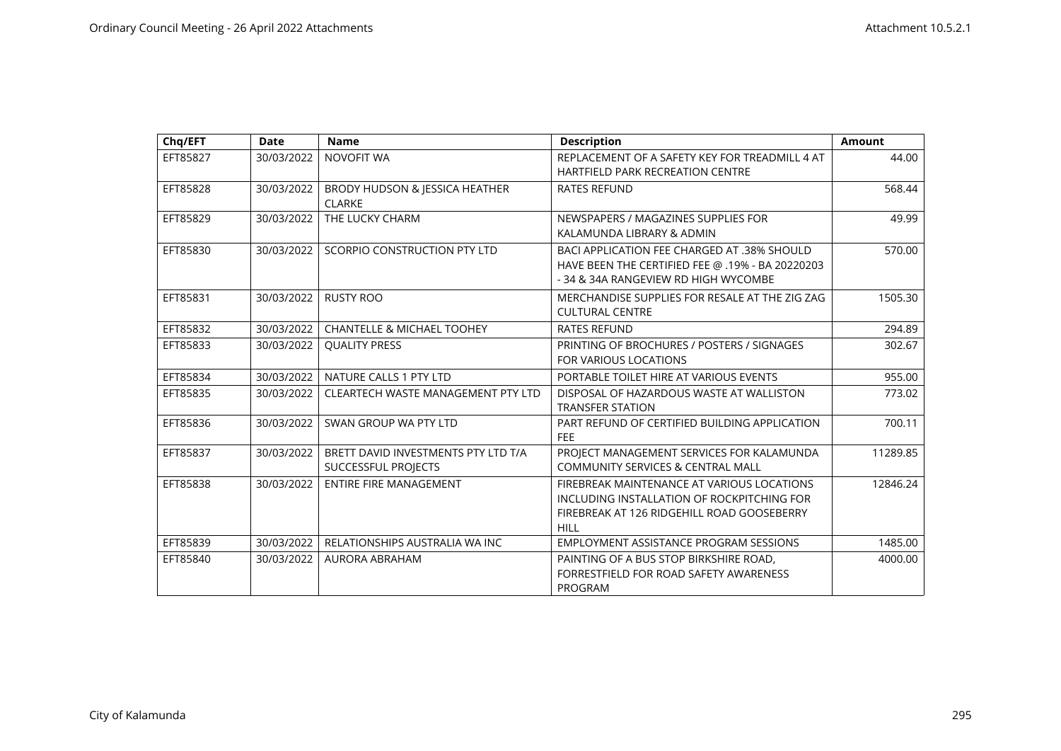| Chq/EFT  | <b>Date</b> | <b>Name</b>                                                | <b>Description</b>                                                                                                                                    | <b>Amount</b> |
|----------|-------------|------------------------------------------------------------|-------------------------------------------------------------------------------------------------------------------------------------------------------|---------------|
| EFT85827 | 30/03/2022  | NOVOFIT WA                                                 | REPLACEMENT OF A SAFETY KEY FOR TREADMILL 4 AT<br><b>HARTFIELD PARK RECREATION CENTRE</b>                                                             | 44.00         |
| EFT85828 | 30/03/2022  | BRODY HUDSON & JESSICA HEATHER<br><b>CLARKE</b>            | <b>RATES REFUND</b>                                                                                                                                   | 568.44        |
| EFT85829 | 30/03/2022  | THE LUCKY CHARM                                            | NEWSPAPERS / MAGAZINES SUPPLIES FOR<br>KALAMUNDA LIBRARY & ADMIN                                                                                      | 49.99         |
| EFT85830 | 30/03/2022  | SCORPIO CONSTRUCTION PTY LTD                               | BACI APPLICATION FEE CHARGED AT .38% SHOULD<br>HAVE BEEN THE CERTIFIED FEE @ .19% - BA 20220203<br>- 34 & 34A RANGEVIEW RD HIGH WYCOMBE               | 570.00        |
| EFT85831 | 30/03/2022  | <b>RUSTY ROO</b>                                           | MERCHANDISE SUPPLIES FOR RESALE AT THE ZIG ZAG<br><b>CULTURAL CENTRE</b>                                                                              | 1505.30       |
| EFT85832 | 30/03/2022  | <b>CHANTELLE &amp; MICHAEL TOOHEY</b>                      | <b>RATES REFUND</b>                                                                                                                                   | 294.89        |
| EFT85833 | 30/03/2022  | <b>OUALITY PRESS</b>                                       | PRINTING OF BROCHURES / POSTERS / SIGNAGES<br><b>FOR VARIOUS LOCATIONS</b>                                                                            | 302.67        |
| EFT85834 | 30/03/2022  | NATURE CALLS 1 PTY LTD                                     | PORTABLE TOILET HIRE AT VARIOUS EVENTS                                                                                                                | 955.00        |
| EFT85835 | 30/03/2022  | CLEARTECH WASTE MANAGEMENT PTY LTD                         | DISPOSAL OF HAZARDOUS WASTE AT WALLISTON<br><b>TRANSFER STATION</b>                                                                                   | 773.02        |
| EFT85836 | 30/03/2022  | SWAN GROUP WA PTY LTD                                      | PART REFUND OF CERTIFIED BUILDING APPLICATION<br><b>FEE</b>                                                                                           | 700.11        |
| EFT85837 | 30/03/2022  | BRETT DAVID INVESTMENTS PTY LTD T/A<br>SUCCESSFUL PROJECTS | PROJECT MANAGEMENT SERVICES FOR KALAMUNDA<br><b>COMMUNITY SERVICES &amp; CENTRAL MALL</b>                                                             | 11289.85      |
| EFT85838 | 30/03/2022  | <b>ENTIRE FIRE MANAGEMENT</b>                              | FIREBREAK MAINTENANCE AT VARIOUS LOCATIONS<br>INCLUDING INSTALLATION OF ROCKPITCHING FOR<br>FIREBREAK AT 126 RIDGEHILL ROAD GOOSEBERRY<br><b>HILL</b> | 12846.24      |
| EFT85839 | 30/03/2022  | RELATIONSHIPS AUSTRALIA WA INC                             | <b>EMPLOYMENT ASSISTANCE PROGRAM SESSIONS</b>                                                                                                         | 1485.00       |
| EFT85840 | 30/03/2022  | AURORA ABRAHAM                                             | PAINTING OF A BUS STOP BIRKSHIRE ROAD.<br>FORRESTFIELD FOR ROAD SAFETY AWARENESS<br>PROGRAM                                                           | 4000.00       |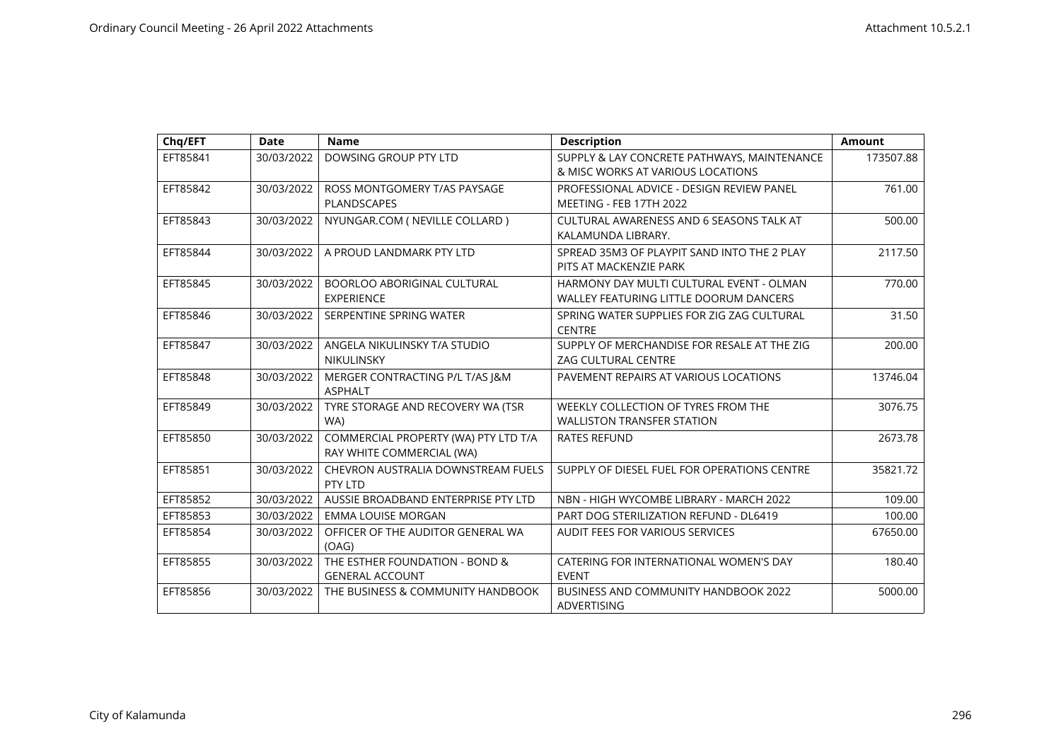| Chq/EFT  | <b>Date</b> | <b>Name</b>                                                       | <b>Description</b>                                                                 | <b>Amount</b> |
|----------|-------------|-------------------------------------------------------------------|------------------------------------------------------------------------------------|---------------|
| EFT85841 | 30/03/2022  | DOWSING GROUP PTY LTD                                             | SUPPLY & LAY CONCRETE PATHWAYS, MAINTENANCE<br>& MISC WORKS AT VARIOUS LOCATIONS   | 173507.88     |
| EFT85842 | 30/03/2022  | ROSS MONTGOMERY T/AS PAYSAGE<br>PLANDSCAPES                       | PROFESSIONAL ADVICE - DESIGN REVIEW PANEL<br><b>MEETING - FEB 17TH 2022</b>        | 761.00        |
| EFT85843 | 30/03/2022  | NYUNGAR.COM ( NEVILLE COLLARD )                                   | CULTURAL AWARENESS AND 6 SEASONS TALK AT<br>KALAMUNDA LIBRARY.                     | 500.00        |
| EFT85844 | 30/03/2022  | A PROUD LANDMARK PTY LTD                                          | SPREAD 35M3 OF PLAYPIT SAND INTO THE 2 PLAY<br>PITS AT MACKENZIE PARK              | 2117.50       |
| EFT85845 | 30/03/2022  | BOORLOO ABORIGINAL CULTURAL<br><b>EXPERIENCE</b>                  | HARMONY DAY MULTI CULTURAL EVENT - OLMAN<br>WALLEY FEATURING LITTLE DOORUM DANCERS | 770.00        |
| EFT85846 | 30/03/2022  | SERPENTINE SPRING WATER                                           | SPRING WATER SUPPLIES FOR ZIG ZAG CULTURAL<br><b>CENTRE</b>                        | 31.50         |
| EFT85847 | 30/03/2022  | ANGELA NIKULINSKY T/A STUDIO<br><b>NIKULINSKY</b>                 | SUPPLY OF MERCHANDISE FOR RESALE AT THE ZIG<br><b>ZAG CULTURAL CENTRE</b>          | 200.00        |
| EFT85848 | 30/03/2022  | MERGER CONTRACTING P/L T/AS J&M<br><b>ASPHALT</b>                 | PAVEMENT REPAIRS AT VARIOUS LOCATIONS                                              | 13746.04      |
| EFT85849 | 30/03/2022  | TYRE STORAGE AND RECOVERY WA (TSR<br>WA)                          | WEEKLY COLLECTION OF TYRES FROM THE<br><b>WALLISTON TRANSFER STATION</b>           | 3076.75       |
| EFT85850 | 30/03/2022  | COMMERCIAL PROPERTY (WA) PTY LTD T/A<br>RAY WHITE COMMERCIAL (WA) | <b>RATES REFUND</b>                                                                | 2673.78       |
| EFT85851 | 30/03/2022  | CHEVRON AUSTRALIA DOWNSTREAM FUELS<br>PTY LTD                     | SUPPLY OF DIESEL FUEL FOR OPERATIONS CENTRE                                        | 35821.72      |
| EFT85852 | 30/03/2022  | AUSSIE BROADBAND ENTERPRISE PTY LTD                               | NBN - HIGH WYCOMBE LIBRARY - MARCH 2022                                            | 109.00        |
| EFT85853 | 30/03/2022  | <b>EMMA LOUISE MORGAN</b>                                         | PART DOG STERILIZATION REFUND - DL6419                                             | 100.00        |
| EFT85854 | 30/03/2022  | OFFICER OF THE AUDITOR GENERAL WA<br>(OAG)                        | AUDIT FEES FOR VARIOUS SERVICES                                                    | 67650.00      |
| EFT85855 | 30/03/2022  | THE ESTHER FOUNDATION - BOND &<br><b>GENERAL ACCOUNT</b>          | CATERING FOR INTERNATIONAL WOMEN'S DAY<br><b>EVENT</b>                             | 180.40        |
| EFT85856 | 30/03/2022  | THE BUSINESS & COMMUNITY HANDBOOK                                 | <b>BUSINESS AND COMMUNITY HANDBOOK 2022</b><br><b>ADVERTISING</b>                  | 5000.00       |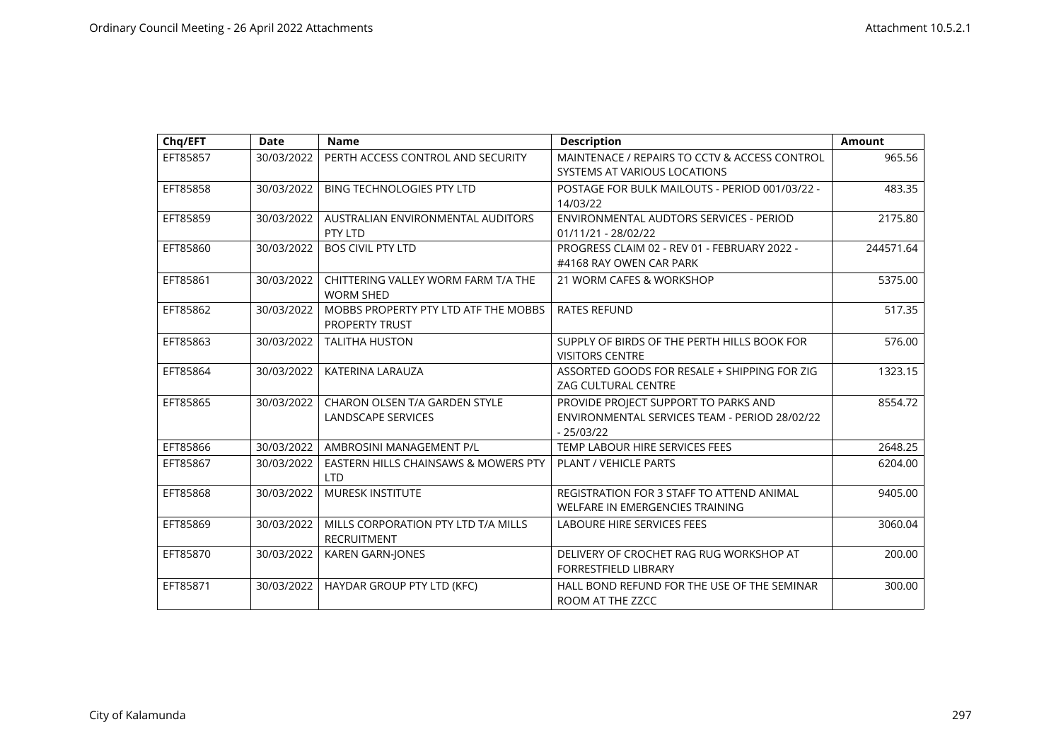| Chq/EFT  | <b>Date</b> | <b>Name</b>                                                   | <b>Description</b>                                                                                   | <b>Amount</b> |
|----------|-------------|---------------------------------------------------------------|------------------------------------------------------------------------------------------------------|---------------|
| EFT85857 | 30/03/2022  | PERTH ACCESS CONTROL AND SECURITY                             | MAINTENACE / REPAIRS TO CCTV & ACCESS CONTROL<br>SYSTEMS AT VARIOUS LOCATIONS                        | 965.56        |
| EFT85858 | 30/03/2022  | <b>BING TECHNOLOGIES PTY LTD</b>                              | POSTAGE FOR BULK MAILOUTS - PERIOD 001/03/22 -<br>14/03/22                                           | 483.35        |
| EFT85859 | 30/03/2022  | AUSTRALIAN ENVIRONMENTAL AUDITORS<br>PTY LTD                  | ENVIRONMENTAL AUDTORS SERVICES - PERIOD<br>01/11/21 - 28/02/22                                       | 2175.80       |
| EFT85860 | 30/03/2022  | <b>BOS CIVIL PTY LTD</b>                                      | PROGRESS CLAIM 02 - REV 01 - FEBRUARY 2022 -<br>#4168 RAY OWEN CAR PARK                              | 244571.64     |
| EFT85861 | 30/03/2022  | CHITTERING VALLEY WORM FARM T/A THE<br><b>WORM SHED</b>       | 21 WORM CAFES & WORKSHOP                                                                             | 5375.00       |
| EFT85862 | 30/03/2022  | MOBBS PROPERTY PTY LTD ATF THE MOBBS<br><b>PROPERTY TRUST</b> | <b>RATES REFUND</b>                                                                                  | 517.35        |
| EFT85863 | 30/03/2022  | <b>TALITHA HUSTON</b>                                         | SUPPLY OF BIRDS OF THE PERTH HILLS BOOK FOR<br><b>VISITORS CENTRE</b>                                | 576.00        |
| EFT85864 | 30/03/2022  | <b>KATERINA LARAUZA</b>                                       | ASSORTED GOODS FOR RESALE + SHIPPING FOR ZIG<br><b>ZAG CULTURAL CENTRE</b>                           | 1323.15       |
| EFT85865 | 30/03/2022  | CHARON OLSEN T/A GARDEN STYLE<br>LANDSCAPE SERVICES           | PROVIDE PROJECT SUPPORT TO PARKS AND<br>ENVIRONMENTAL SERVICES TEAM - PERIOD 28/02/22<br>$-25/03/22$ | 8554.72       |
| EFT85866 | 30/03/2022  | AMBROSINI MANAGEMENT P/L                                      | TEMP LABOUR HIRE SERVICES FEES                                                                       | 2648.25       |
| EFT85867 | 30/03/2022  | EASTERN HILLS CHAINSAWS & MOWERS PTY<br><b>LTD</b>            | <b>PLANT / VEHICLE PARTS</b>                                                                         | 6204.00       |
| EFT85868 | 30/03/2022  | <b>MURESK INSTITUTE</b>                                       | REGISTRATION FOR 3 STAFF TO ATTEND ANIMAL<br>WELFARE IN EMERGENCIES TRAINING                         | 9405.00       |
| EFT85869 | 30/03/2022  | MILLS CORPORATION PTY LTD T/A MILLS<br><b>RECRUITMENT</b>     | <b>LABOURE HIRE SERVICES FEES</b>                                                                    | 3060.04       |
| EFT85870 | 30/03/2022  | <b>KAREN GARN-JONES</b>                                       | DELIVERY OF CROCHET RAG RUG WORKSHOP AT<br><b>FORRESTFIELD LIBRARY</b>                               | 200.00        |
| EFT85871 | 30/03/2022  | HAYDAR GROUP PTY LTD (KFC)                                    | HALL BOND REFUND FOR THE USE OF THE SEMINAR<br>ROOM AT THE ZZCC                                      | 300.00        |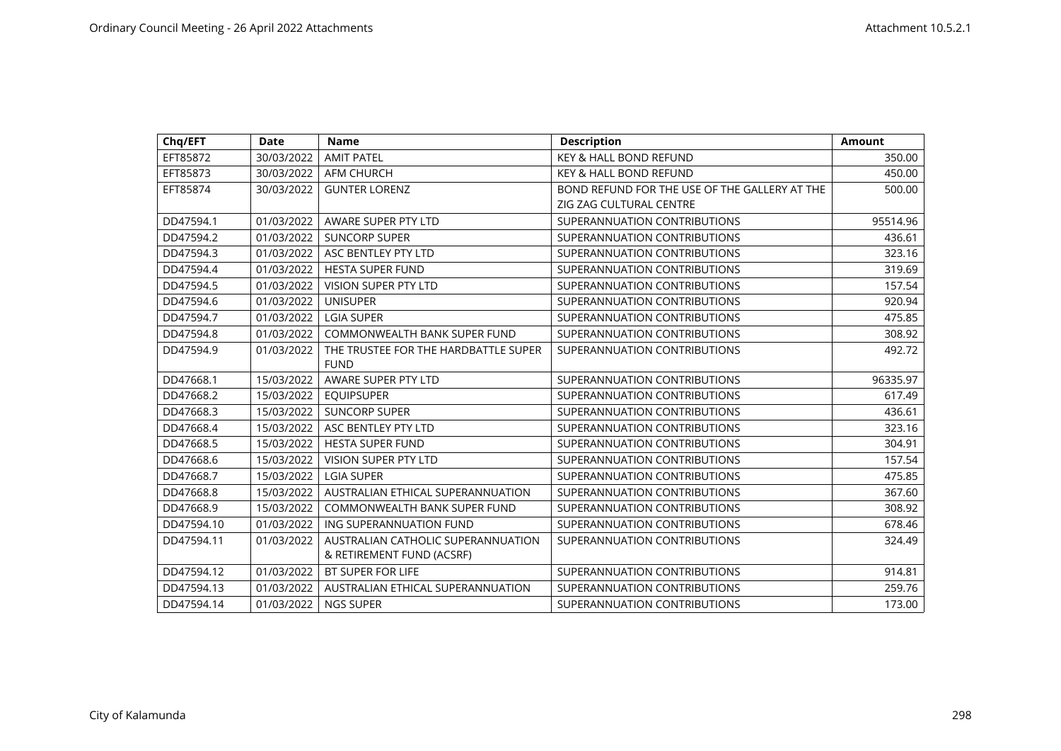| Chq/EFT    | <b>Date</b> | <b>Name</b>                          | <b>Description</b>                            | <b>Amount</b> |
|------------|-------------|--------------------------------------|-----------------------------------------------|---------------|
| EFT85872   | 30/03/2022  | <b>AMIT PATEL</b>                    | KEY & HALL BOND REFUND                        | 350.00        |
| EFT85873   | 30/03/2022  | <b>AFM CHURCH</b>                    | <b>KEY &amp; HALL BOND REFUND</b>             | 450.00        |
| EFT85874   | 30/03/2022  | <b>GUNTER LORENZ</b>                 | BOND REFUND FOR THE USE OF THE GALLERY AT THE | 500.00        |
|            |             |                                      | ZIG ZAG CULTURAL CENTRE                       |               |
| DD47594.1  | 01/03/2022  | AWARE SUPER PTY LTD                  | SUPERANNUATION CONTRIBUTIONS                  | 95514.96      |
| DD47594.2  | 01/03/2022  | <b>SUNCORP SUPER</b>                 | SUPERANNUATION CONTRIBUTIONS                  | 436.61        |
| DD47594.3  | 01/03/2022  | ASC BENTLEY PTY LTD                  | SUPERANNUATION CONTRIBUTIONS                  | 323.16        |
| DD47594.4  | 01/03/2022  | <b>HESTA SUPER FUND</b>              | SUPERANNUATION CONTRIBUTIONS                  | 319.69        |
| DD47594.5  | 01/03/2022  | <b>VISION SUPER PTY LTD</b>          | SUPERANNUATION CONTRIBUTIONS                  | 157.54        |
| DD47594.6  | 01/03/2022  | <b>UNISUPER</b>                      | SUPERANNUATION CONTRIBUTIONS                  | 920.94        |
| DD47594.7  | 01/03/2022  | <b>LGIA SUPER</b>                    | SUPERANNUATION CONTRIBUTIONS                  | 475.85        |
| DD47594.8  | 01/03/2022  | <b>COMMONWEALTH BANK SUPER FUND</b>  | SUPERANNUATION CONTRIBUTIONS                  | 308.92        |
| DD47594.9  | 01/03/2022  | THE TRUSTEE FOR THE HARDBATTLE SUPER | SUPERANNUATION CONTRIBUTIONS                  | 492.72        |
|            |             | <b>FUND</b>                          |                                               |               |
| DD47668.1  | 15/03/2022  | AWARE SUPER PTY LTD                  | SUPERANNUATION CONTRIBUTIONS                  | 96335.97      |
| DD47668.2  | 15/03/2022  | <b>EQUIPSUPER</b>                    | SUPERANNUATION CONTRIBUTIONS                  | 617.49        |
| DD47668.3  | 15/03/2022  | <b>SUNCORP SUPER</b>                 | SUPERANNUATION CONTRIBUTIONS                  | 436.61        |
| DD47668.4  | 15/03/2022  | ASC BENTLEY PTY LTD                  | SUPERANNUATION CONTRIBUTIONS                  | 323.16        |
| DD47668.5  | 15/03/2022  | <b>HESTA SUPER FUND</b>              | SUPERANNUATION CONTRIBUTIONS                  | 304.91        |
| DD47668.6  | 15/03/2022  | <b>VISION SUPER PTY LTD</b>          | SUPERANNUATION CONTRIBUTIONS                  | 157.54        |
| DD47668.7  | 15/03/2022  | <b>LGIA SUPER</b>                    | SUPERANNUATION CONTRIBUTIONS                  | 475.85        |
| DD47668.8  | 15/03/2022  | AUSTRALIAN ETHICAL SUPERANNUATION    | SUPERANNUATION CONTRIBUTIONS                  | 367.60        |
| DD47668.9  | 15/03/2022  | <b>COMMONWEALTH BANK SUPER FUND</b>  | SUPERANNUATION CONTRIBUTIONS                  | 308.92        |
| DD47594.10 | 01/03/2022  | ING SUPERANNUATION FUND              | SUPERANNUATION CONTRIBUTIONS                  | 678.46        |
| DD47594.11 | 01/03/2022  | AUSTRALIAN CATHOLIC SUPERANNUATION   | SUPERANNUATION CONTRIBUTIONS                  | 324.49        |
|            |             | & RETIREMENT FUND (ACSRF)            |                                               |               |
| DD47594.12 | 01/03/2022  | <b>BT SUPER FOR LIFE</b>             | SUPERANNUATION CONTRIBUTIONS                  | 914.81        |
| DD47594.13 | 01/03/2022  | AUSTRALIAN ETHICAL SUPERANNUATION    | SUPERANNUATION CONTRIBUTIONS                  | 259.76        |
| DD47594.14 | 01/03/2022  | <b>NGS SUPER</b>                     | SUPERANNUATION CONTRIBUTIONS                  | 173.00        |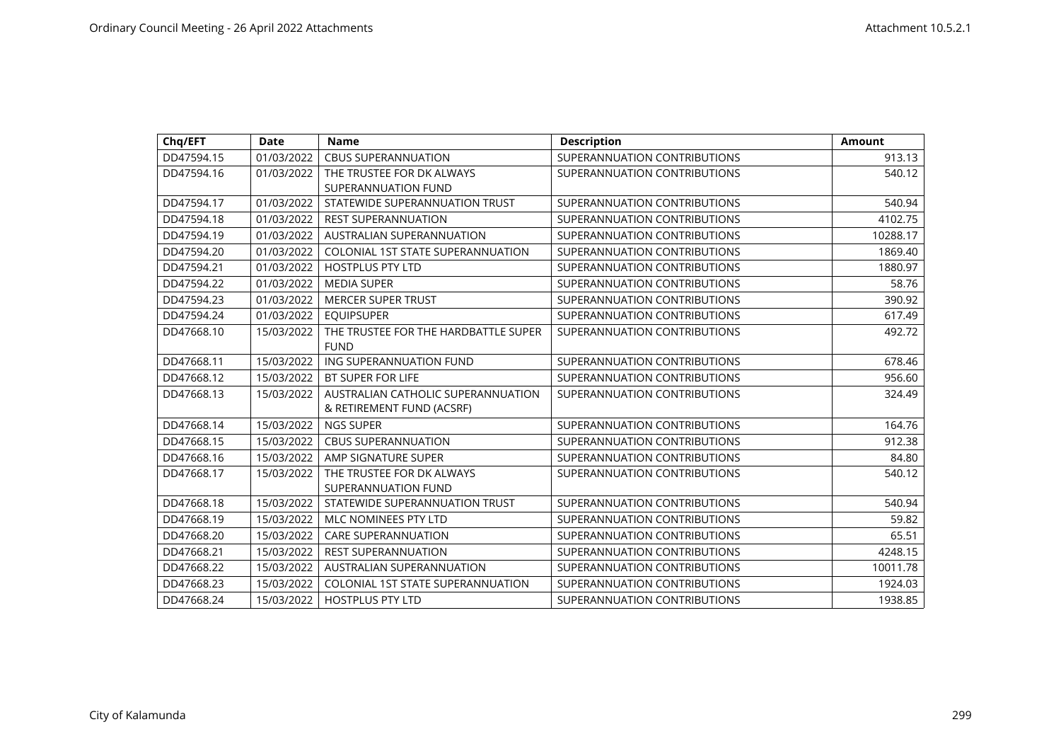| Chq/EFT    | <b>Date</b> | <b>Name</b>                                                     | <b>Description</b>           | <b>Amount</b> |
|------------|-------------|-----------------------------------------------------------------|------------------------------|---------------|
| DD47594.15 | 01/03/2022  | <b>CBUS SUPERANNUATION</b>                                      | SUPERANNUATION CONTRIBUTIONS | 913.13        |
| DD47594.16 | 01/03/2022  | THE TRUSTEE FOR DK ALWAYS<br><b>SUPERANNUATION FUND</b>         | SUPERANNUATION CONTRIBUTIONS | 540.12        |
| DD47594.17 | 01/03/2022  | STATEWIDE SUPERANNUATION TRUST                                  | SUPERANNUATION CONTRIBUTIONS | 540.94        |
| DD47594.18 | 01/03/2022  | <b>REST SUPERANNUATION</b>                                      | SUPERANNUATION CONTRIBUTIONS | 4102.75       |
| DD47594.19 | 01/03/2022  | <b>AUSTRALIAN SUPERANNUATION</b>                                | SUPERANNUATION CONTRIBUTIONS | 10288.17      |
| DD47594.20 | 01/03/2022  | <b>COLONIAL 1ST STATE SUPERANNUATION</b>                        | SUPERANNUATION CONTRIBUTIONS | 1869.40       |
| DD47594.21 | 01/03/2022  | <b>HOSTPLUS PTY LTD</b>                                         | SUPERANNUATION CONTRIBUTIONS | 1880.97       |
| DD47594.22 | 01/03/2022  | <b>MEDIA SUPER</b>                                              | SUPERANNUATION CONTRIBUTIONS | 58.76         |
| DD47594.23 | 01/03/2022  | <b>MERCER SUPER TRUST</b>                                       | SUPERANNUATION CONTRIBUTIONS | 390.92        |
| DD47594.24 | 01/03/2022  | <b>EQUIPSUPER</b>                                               | SUPERANNUATION CONTRIBUTIONS | 617.49        |
| DD47668.10 | 15/03/2022  | THE TRUSTEE FOR THE HARDBATTLE SUPER<br><b>FUND</b>             | SUPERANNUATION CONTRIBUTIONS | 492.72        |
| DD47668.11 | 15/03/2022  | ING SUPERANNUATION FUND                                         | SUPERANNUATION CONTRIBUTIONS | 678.46        |
| DD47668.12 | 15/03/2022  | <b>BT SUPER FOR LIFE</b>                                        | SUPERANNUATION CONTRIBUTIONS | 956.60        |
| DD47668.13 | 15/03/2022  | AUSTRALIAN CATHOLIC SUPERANNUATION<br>& RETIREMENT FUND (ACSRF) | SUPERANNUATION CONTRIBUTIONS | 324.49        |
| DD47668.14 | 15/03/2022  | <b>NGS SUPER</b>                                                | SUPERANNUATION CONTRIBUTIONS | 164.76        |
| DD47668.15 | 15/03/2022  | <b>CBUS SUPERANNUATION</b>                                      | SUPERANNUATION CONTRIBUTIONS | 912.38        |
| DD47668.16 | 15/03/2022  | AMP SIGNATURE SUPER                                             | SUPERANNUATION CONTRIBUTIONS | 84.80         |
| DD47668.17 | 15/03/2022  | THE TRUSTEE FOR DK ALWAYS<br><b>SUPERANNUATION FUND</b>         | SUPERANNUATION CONTRIBUTIONS | 540.12        |
| DD47668.18 | 15/03/2022  | STATEWIDE SUPERANNUATION TRUST                                  | SUPERANNUATION CONTRIBUTIONS | 540.94        |
| DD47668.19 | 15/03/2022  | <b>MLC NOMINEES PTY LTD</b>                                     | SUPERANNUATION CONTRIBUTIONS | 59.82         |
| DD47668.20 | 15/03/2022  | <b>CARE SUPERANNUATION</b>                                      | SUPERANNUATION CONTRIBUTIONS | 65.51         |
| DD47668.21 | 15/03/2022  | <b>REST SUPERANNUATION</b>                                      | SUPERANNUATION CONTRIBUTIONS | 4248.15       |
| DD47668.22 | 15/03/2022  | <b>AUSTRALIAN SUPERANNUATION</b>                                | SUPERANNUATION CONTRIBUTIONS | 10011.78      |
| DD47668.23 | 15/03/2022  | <b>COLONIAL 1ST STATE SUPERANNUATION</b>                        | SUPERANNUATION CONTRIBUTIONS | 1924.03       |
| DD47668.24 | 15/03/2022  | <b>HOSTPLUS PTY LTD</b>                                         | SUPERANNUATION CONTRIBUTIONS | 1938.85       |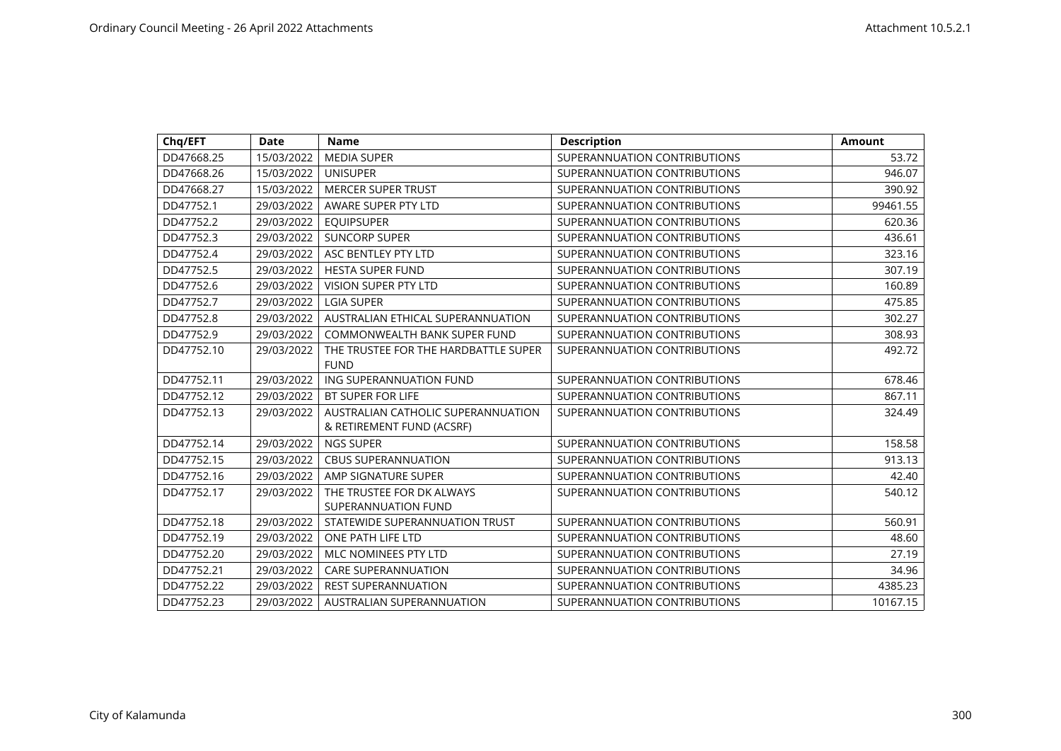| Chq/EFT    | Date       | <b>Name</b>                                                     | <b>Description</b>           | Amount   |
|------------|------------|-----------------------------------------------------------------|------------------------------|----------|
| DD47668.25 | 15/03/2022 | <b>MEDIA SUPER</b>                                              | SUPERANNUATION CONTRIBUTIONS | 53.72    |
| DD47668.26 | 15/03/2022 | <b>UNISUPER</b>                                                 | SUPERANNUATION CONTRIBUTIONS | 946.07   |
| DD47668.27 | 15/03/2022 | <b>MERCER SUPER TRUST</b>                                       | SUPERANNUATION CONTRIBUTIONS | 390.92   |
| DD47752.1  | 29/03/2022 | AWARE SUPER PTY LTD                                             | SUPERANNUATION CONTRIBUTIONS | 99461.55 |
| DD47752.2  | 29/03/2022 | <b>EQUIPSUPER</b>                                               | SUPERANNUATION CONTRIBUTIONS | 620.36   |
| DD47752.3  | 29/03/2022 | <b>SUNCORP SUPER</b>                                            | SUPERANNUATION CONTRIBUTIONS | 436.61   |
| DD47752.4  | 29/03/2022 | ASC BENTLEY PTY LTD                                             | SUPERANNUATION CONTRIBUTIONS | 323.16   |
| DD47752.5  | 29/03/2022 | <b>HESTA SUPER FUND</b>                                         | SUPERANNUATION CONTRIBUTIONS | 307.19   |
| DD47752.6  | 29/03/2022 | <b>VISION SUPER PTY LTD</b>                                     | SUPERANNUATION CONTRIBUTIONS | 160.89   |
| DD47752.7  | 29/03/2022 | <b>LGIA SUPER</b>                                               | SUPERANNUATION CONTRIBUTIONS | 475.85   |
| DD47752.8  | 29/03/2022 | AUSTRALIAN ETHICAL SUPERANNUATION                               | SUPERANNUATION CONTRIBUTIONS | 302.27   |
| DD47752.9  | 29/03/2022 | COMMONWEALTH BANK SUPER FUND                                    | SUPERANNUATION CONTRIBUTIONS | 308.93   |
| DD47752.10 | 29/03/2022 | THE TRUSTEE FOR THE HARDBATTLE SUPER                            | SUPERANNUATION CONTRIBUTIONS | 492.72   |
|            |            | <b>FUND</b>                                                     |                              |          |
| DD47752.11 | 29/03/2022 | ING SUPERANNUATION FUND                                         | SUPERANNUATION CONTRIBUTIONS | 678.46   |
| DD47752.12 | 29/03/2022 | <b>BT SUPER FOR LIFE</b>                                        | SUPERANNUATION CONTRIBUTIONS | 867.11   |
| DD47752.13 | 29/03/2022 | AUSTRALIAN CATHOLIC SUPERANNUATION<br>& RETIREMENT FUND (ACSRF) | SUPERANNUATION CONTRIBUTIONS | 324.49   |
| DD47752.14 | 29/03/2022 | <b>NGS SUPER</b>                                                | SUPERANNUATION CONTRIBUTIONS | 158.58   |
| DD47752.15 | 29/03/2022 | <b>CBUS SUPERANNUATION</b>                                      | SUPERANNUATION CONTRIBUTIONS | 913.13   |
| DD47752.16 | 29/03/2022 | AMP SIGNATURE SUPER                                             | SUPERANNUATION CONTRIBUTIONS | 42.40    |
| DD47752.17 | 29/03/2022 | THE TRUSTEE FOR DK ALWAYS                                       | SUPERANNUATION CONTRIBUTIONS | 540.12   |
|            |            | SUPERANNUATION FUND                                             |                              |          |
| DD47752.18 | 29/03/2022 | STATEWIDE SUPERANNUATION TRUST                                  | SUPERANNUATION CONTRIBUTIONS | 560.91   |
| DD47752.19 | 29/03/2022 | ONE PATH LIFE LTD                                               | SUPERANNUATION CONTRIBUTIONS | 48.60    |
| DD47752.20 | 29/03/2022 | MLC NOMINEES PTY LTD                                            | SUPERANNUATION CONTRIBUTIONS | 27.19    |
| DD47752.21 | 29/03/2022 | <b>CARE SUPERANNUATION</b>                                      | SUPERANNUATION CONTRIBUTIONS | 34.96    |
| DD47752.22 | 29/03/2022 | <b>REST SUPERANNUATION</b>                                      | SUPERANNUATION CONTRIBUTIONS | 4385.23  |
| DD47752.23 | 29/03/2022 | AUSTRALIAN SUPERANNUATION                                       | SUPERANNUATION CONTRIBUTIONS | 10167.15 |